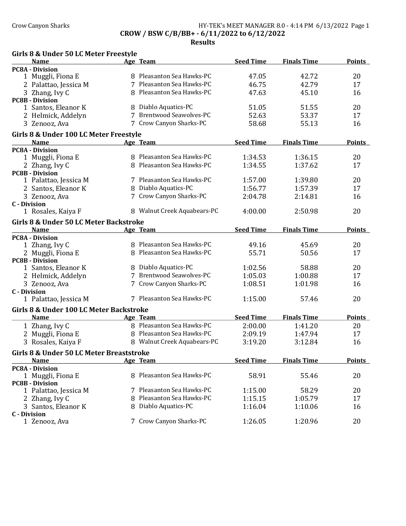### Crow Canyon Sharks **HY-TEK's MEET MANAGER 8.0 - 4:14 PM 6/13/2022** Page 1 CROW / BSW C/B/BB+ - 6/11/2022 to 6/12/2022

| <b>Name</b>                              | Age Team                    | <b>Seed Time</b> | <b>Finals Time</b> | <b>Points</b> |
|------------------------------------------|-----------------------------|------------------|--------------------|---------------|
| <b>PC8A - Division</b>                   |                             |                  |                    |               |
| 1 Muggli, Fiona E                        | 8 Pleasanton Sea Hawks-PC   | 47.05            | 42.72              | 20            |
| 2 Palattao, Jessica M                    | 7 Pleasanton Sea Hawks-PC   | 46.75            | 42.79              | 17            |
| 3 Zhang, Ivy C                           | 8 Pleasanton Sea Hawks-PC   | 47.63            | 45.10              | 16            |
| <b>PC8B - Division</b>                   |                             |                  |                    |               |
| 1 Santos, Eleanor K                      | 8 Diablo Aquatics-PC        | 51.05            | 51.55              | 20            |
| 2 Helmick, Addelyn                       | 7 Brentwood Seawolves-PC    | 52.63            | 53.37              | 17            |
| 3 Zenooz, Ava                            | 7 Crow Canyon Sharks-PC     | 58.68            | 55.13              | 16            |
|                                          |                             |                  |                    |               |
| Girls 8 & Under 100 LC Meter Freestyle   |                             |                  |                    |               |
| <b>Name</b>                              | Age Team                    | <b>Seed Time</b> | <b>Finals Time</b> | <b>Points</b> |
| <b>PC8A - Division</b>                   | 8 Pleasanton Sea Hawks-PC   |                  |                    |               |
| 1 Muggli, Fiona E                        |                             | 1:34.53          | 1:36.15            | 20            |
| 2 Zhang, Ivy C                           | 8 Pleasanton Sea Hawks-PC   | 1:34.55          | 1:37.62            | 17            |
| <b>PC8B - Division</b>                   | 7 Pleasanton Sea Hawks-PC   |                  |                    |               |
| 1 Palattao, Jessica M                    |                             | 1:57.00          | 1:39.80            | 20            |
| 2 Santos, Eleanor K                      | 8 Diablo Aquatics-PC        | 1:56.77          | 1:57.39            | 17            |
| 3 Zenooz, Ava                            | 7 Crow Canyon Sharks-PC     | 2:04.78          | 2:14.81            | 16            |
| <b>C</b> - Division                      |                             |                  |                    |               |
| 1 Rosales, Kaiya F                       | 8 Walnut Creek Aquabears-PC | 4:00.00          | 2:50.98            | 20            |
| Girls 8 & Under 50 LC Meter Backstroke   |                             |                  |                    |               |
| <b>Name</b>                              | Age Team                    | <b>Seed Time</b> | <b>Finals Time</b> | <b>Points</b> |
| <b>PC8A - Division</b>                   |                             |                  |                    |               |
| 1 Zhang, Ivy C                           | 8 Pleasanton Sea Hawks-PC   | 49.16            | 45.69              | 20            |
| 2 Muggli, Fiona E                        | 8 Pleasanton Sea Hawks-PC   | 55.71            | 50.56              | 17            |
| <b>PC8B - Division</b>                   |                             |                  |                    |               |
| 1 Santos, Eleanor K                      | 8 Diablo Aquatics-PC        | 1:02.56          | 58.88              | 20            |
| 2 Helmick, Addelyn                       | 7 Brentwood Seawolves-PC    | 1:05.03          | 1:00.88            | 17            |
| 3 Zenooz, Ava                            | 7 Crow Canyon Sharks-PC     | 1:08.51          | 1:01.98            | 16            |
| <b>C</b> - Division                      |                             |                  |                    |               |
| 1 Palattao, Jessica M                    | 7 Pleasanton Sea Hawks-PC   | 1:15.00          | 57.46              | 20            |
| Girls 8 & Under 100 LC Meter Backstroke  |                             |                  |                    |               |
| <b>Name</b>                              | Age Team                    | <b>Seed Time</b> | <b>Finals Time</b> | <b>Points</b> |
| 1 Zhang, Ivy C                           | 8 Pleasanton Sea Hawks-PC   | 2:00.00          | 1:41.20            | 20            |
| 2 Muggli, Fiona E                        | 8 Pleasanton Sea Hawks-PC   | 2:09.19          | 1:47.94            | 17            |
| 3 Rosales, Kaiya F                       | 8 Walnut Creek Aquabears-PC | 3:19.20          | 3:12.84            | 16            |
|                                          |                             |                  |                    |               |
| Girls 8 & Under 50 LC Meter Breaststroke |                             |                  |                    |               |
| <b>Name</b>                              | Age Team                    | <b>Seed Time</b> | <b>Finals Time</b> | <b>Points</b> |
| <b>PC8A - Division</b>                   |                             |                  |                    |               |
| 1 Muggli, Fiona E                        | 8 Pleasanton Sea Hawks-PC   | 58.91            | 55.46              | 20            |
| <b>PC8B - Division</b>                   |                             |                  |                    |               |
| 1 Palattao, Jessica M                    | 7 Pleasanton Sea Hawks-PC   | 1:15.00          | 58.29              | 20            |
| 2 Zhang, Ivy C                           | 8 Pleasanton Sea Hawks-PC   | 1:15.15          | 1:05.79            | 17            |
| 3 Santos, Eleanor K                      | 8 Diablo Aquatics-PC        | 1:16.04          | 1:10.06            | 16            |
| <b>C</b> - Division                      |                             |                  |                    |               |
| 1 Zenooz, Ava                            | 7 Crow Canyon Sharks-PC     | 1:26.05          | 1:20.96            | 20            |
|                                          |                             |                  |                    |               |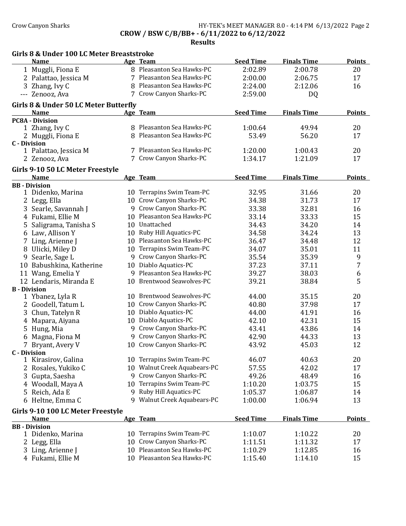## Crow Canyon Sharks **HY-TEK's MEET MANAGER 8.0 - 4:14 PM 6/13/2022** Page 2 CROW / BSW C/B/BB+ - 6/11/2022 to 6/12/2022

|                     | Girls 8 & Under 100 LC Meter Breaststroke<br><b>Name</b> |    | Age Team                   | <b>Seed Time</b> | <b>Finals Time</b> | <b>Points</b>    |
|---------------------|----------------------------------------------------------|----|----------------------------|------------------|--------------------|------------------|
|                     |                                                          |    | 8 Pleasanton Sea Hawks-PC  |                  |                    |                  |
|                     | 1 Muggli, Fiona E                                        |    |                            | 2:02.89          | 2:00.78            | 20               |
|                     | 2 Palattao, Jessica M                                    |    | 7 Pleasanton Sea Hawks-PC  | 2:00.00          | 2:06.75            | 17               |
|                     | 3 Zhang, Ivy C                                           |    | 8 Pleasanton Sea Hawks-PC  | 2:24.00          | 2:12.06            | 16               |
|                     | --- Zenooz, Ava                                          |    | 7 Crow Canyon Sharks-PC    | 2:59.00          | DQ                 |                  |
|                     | Girls 8 & Under 50 LC Meter Butterfly<br><b>Name</b>     |    | Age Team                   | <b>Seed Time</b> | <b>Finals Time</b> | <b>Points</b>    |
|                     | <b>PC8A - Division</b>                                   |    |                            |                  |                    |                  |
|                     | 1 Zhang, Ivy C                                           |    | 8 Pleasanton Sea Hawks-PC  | 1:00.64          | 49.94              | 20               |
|                     | 2 Muggli, Fiona E                                        | 8  | Pleasanton Sea Hawks-PC    | 53.49            | 56.20              | 17               |
|                     | <b>C</b> - Division                                      |    |                            |                  |                    |                  |
|                     | 1 Palattao, Jessica M                                    |    | 7 Pleasanton Sea Hawks-PC  | 1:20.00          | 1:00.43            | 20               |
|                     | 2 Zenooz, Ava                                            |    | 7 Crow Canyon Sharks-PC    | 1:34.17          | 1:21.09            | 17               |
|                     | Girls 9-10 50 LC Meter Freestyle                         |    |                            |                  |                    |                  |
|                     | <b>Name</b>                                              |    | Age Team                   | <b>Seed Time</b> | <b>Finals Time</b> | <b>Points</b>    |
|                     | <b>BB</b> - Division                                     |    |                            |                  |                    |                  |
|                     | 1 Didenko, Marina                                        |    | 10 Terrapins Swim Team-PC  | 32.95            | 31.66              | 20               |
|                     | 2 Legg, Ella                                             |    | 10 Crow Canyon Sharks-PC   | 34.38            | 31.73              | 17               |
|                     | 3 Searle, Savannah J                                     |    | 9 Crow Canyon Sharks-PC    | 33.38            | 32.81              | 16               |
|                     | 4 Fukami, Ellie M                                        | 10 | Pleasanton Sea Hawks-PC    | 33.14            | 33.33              | 15               |
|                     |                                                          |    | 10 Unattached              | 34.43            | 34.20              | 14               |
|                     | 5 Saligrama, Tanisha S                                   |    | 10 Ruby Hill Aquatics-PC   | 34.58            | 34.24              |                  |
|                     | 6 Law, Allison Y                                         |    | 10 Pleasanton Sea Hawks-PC |                  |                    | 13               |
|                     | 7 Ling, Arienne J                                        |    |                            | 36.47            | 34.48              | 12               |
|                     | 8 Ulicki, Miley D                                        |    | 10 Terrapins Swim Team-PC  | 34.07            | 35.01              | 11               |
| 9                   | Searle, Sage L                                           |    | 9 Crow Canyon Sharks-PC    | 35.54            | 35.39              | 9                |
|                     | 10 Babushkina, Katherine                                 |    | 10 Diablo Aquatics-PC      | 37.23            | 37.11              | 7                |
|                     | 11 Wang, Emelia Y                                        |    | 9 Pleasanton Sea Hawks-PC  | 39.27            | 38.03              | $\boldsymbol{6}$ |
|                     | 12 Lendaris, Miranda E                                   |    | 10 Brentwood Seawolves-PC  | 39.21            | 38.84              | 5                |
| <b>B</b> - Division |                                                          |    | 10 Brentwood Seawolves-PC  |                  |                    |                  |
|                     | 1 Ybanez, Lyla R                                         |    |                            | 44.00            | 35.15              | 20               |
|                     | 2 Goodell, Tatum L                                       | 10 | Crow Canyon Sharks-PC      | 40.80            | 37.98              | 17               |
| 3                   | Chun, Tatelyn R                                          | 10 | Diablo Aquatics-PC         | 44.00            | 41.91              | 16               |
|                     | 4 Mapara, Aiyana                                         | 10 | Diablo Aquatics-PC         | 42.10            | 42.31              | 15               |
|                     | 5 Hung, Mia                                              | 9  | Crow Canyon Sharks-PC      | 43.41            | 43.86              | 14               |
|                     | 6 Magna, Fiona M                                         | 9  | Crow Canyon Sharks-PC      | 42.90            | 44.33              | 13               |
|                     | 7 Bryant, Avery V                                        |    | 10 Crow Canyon Sharks-PC   | 43.92            | 45.03              | 12               |
| <b>C</b> - Division |                                                          |    |                            |                  |                    |                  |
|                     | 1 Kirasirov, Galina                                      | 10 | Terrapins Swim Team-PC     | 46.07            | 40.63              | 20               |
|                     | 2 Rosales, Yukiko C                                      | 10 | Walnut Creek Aquabears-PC  | 57.55            | 42.02              | 17               |
|                     | 3 Gupta, Saesha                                          | 9  | Crow Canyon Sharks-PC      | 49.26            | 48.49              | 16               |
|                     | 4 Woodall, Maya A                                        | 10 | Terrapins Swim Team-PC     | 1:10.20          | 1:03.75            | 15               |
| 5.                  | Reich, Ada E                                             | 9  | Ruby Hill Aquatics-PC      | 1:05.37          | 1:06.87            | 14               |
|                     | 6 Heltne, Emma C                                         | q  | Walnut Creek Aquabears-PC  | 1:00.00          | 1:06.94            | 13               |
|                     | Girls 9-10 100 LC Meter Freestyle                        |    |                            |                  |                    |                  |
|                     | <b>Name</b>                                              |    | Age Team                   | <b>Seed Time</b> | <b>Finals Time</b> | <b>Points</b>    |
|                     | <b>BB</b> - Division                                     |    |                            |                  |                    |                  |
|                     | 1 Didenko, Marina                                        | 10 | Terrapins Swim Team-PC     | 1:10.07          | 1:10.22            | 20               |
|                     | 2 Legg, Ella                                             | 10 | Crow Canyon Sharks-PC      | 1:11.51          | 1:11.32            | 17               |
|                     | 3 Ling, Arienne J                                        | 10 | Pleasanton Sea Hawks-PC    | 1:10.29          | 1:12.85            | 16               |
|                     | 4 Fukami, Ellie M                                        | 10 | Pleasanton Sea Hawks-PC    | 1:15.40          | 1:14.10            | 15               |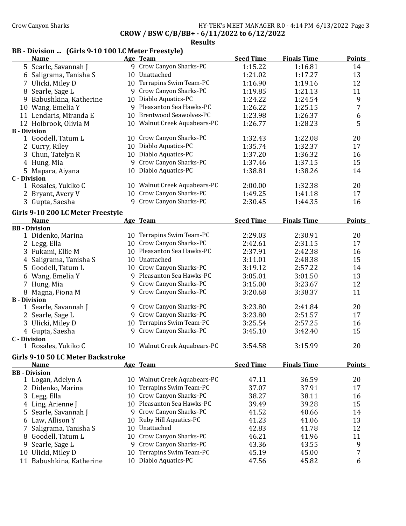# Crow Canyon Sharks **HY-TEK's MEET MANAGER 8.0 - 4:14 PM 6/13/2022** Page 3

CROW / BSW C/B/BB+ - 6/11/2022 to 6/12/2022

### Results

# BB - Division ... (Girls 9-10 100 LC Meter Freestyle)

|                     | <b>Name</b>                                      |    | Age Team                            | <b>Seed Time</b> | <b>Finals Time</b> | <b>Points</b>  |
|---------------------|--------------------------------------------------|----|-------------------------------------|------------------|--------------------|----------------|
|                     | 5 Searle, Savannah J                             |    | 9 Crow Canyon Sharks-PC             | 1:15.22          | 1:16.81            | 14             |
|                     | 6 Saligrama, Tanisha S                           |    | 10 Unattached                       | 1:21.02          | 1:17.27            | 13             |
|                     | Ulicki, Miley D                                  |    | 10 Terrapins Swim Team-PC           | 1:16.90          | 1:19.16            | 12             |
|                     | 8 Searle, Sage L                                 |    | 9 Crow Canyon Sharks-PC             | 1:19.85          | 1:21.13            | 11             |
| 9                   | Babushkina, Katherine                            |    | 10 Diablo Aquatics-PC               | 1:24.22          | 1:24.54            | 9              |
|                     | 10 Wang, Emelia Y                                |    | 9 Pleasanton Sea Hawks-PC           | 1:26.22          | 1:25.15            | $\overline{7}$ |
|                     | 11 Lendaris, Miranda E                           |    | 10 Brentwood Seawolves-PC           | 1:23.98          | 1:26.37            | 6              |
|                     | 12 Holbrook, Olivia M                            |    | 10 Walnut Creek Aquabears-PC        | 1:26.77          | 1:28.23            | 5              |
| <b>B</b> - Division |                                                  |    |                                     |                  |                    |                |
|                     | 1 Goodell, Tatum L                               |    | 10 Crow Canyon Sharks-PC            | 1:32.43          | 1:22.08            | 20             |
|                     | 2 Curry, Riley                                   |    | 10 Diablo Aquatics-PC               | 1:35.74          | 1:32.37            | 17             |
| 3 <sup>1</sup>      | Chun, Tatelyn R                                  |    | 10 Diablo Aquatics-PC               | 1:37.20          | 1:36.32            | 16             |
|                     | 4 Hung, Mia                                      |    | 9 Crow Canyon Sharks-PC             | 1:37.46          | 1:37.15            | 15             |
|                     | 5 Mapara, Aiyana                                 |    | 10 Diablo Aquatics-PC               | 1:38.81          | 1:38.26            | 14             |
| <b>C</b> - Division |                                                  |    |                                     |                  |                    |                |
|                     | 1 Rosales, Yukiko C                              |    | 10 Walnut Creek Aquabears-PC        | 2:00.00          | 1:32.38            | 20             |
|                     | 2 Bryant, Avery V                                |    | 10 Crow Canyon Sharks-PC            | 1:49.25          | 1:41.18            | 17             |
|                     | 3 Gupta, Saesha                                  |    | 9 Crow Canyon Sharks-PC             | 2:30.45          | 1:44.35            | 16             |
|                     |                                                  |    |                                     |                  |                    |                |
|                     | Girls 9-10 200 LC Meter Freestyle<br><b>Name</b> |    |                                     | <b>Seed Time</b> | <b>Finals Time</b> | <b>Points</b>  |
|                     | <b>BB</b> - Division                             |    | Age Team                            |                  |                    |                |
|                     | 1 Didenko, Marina                                |    | 10 Terrapins Swim Team-PC           | 2:29.03          | 2:30.91            | 20             |
|                     | 2 Legg, Ella                                     |    | 10 Crow Canyon Sharks-PC            | 2:42.61          | 2:31.15            | 17             |
|                     | 3 Fukami, Ellie M                                |    | 10 Pleasanton Sea Hawks-PC          | 2:37.91          | 2:42.38            | 16             |
|                     | 4 Saligrama, Tanisha S                           |    | 10 Unattached                       | 3:11.01          | 2:48.38            | 15             |
| 5                   | Goodell, Tatum L                                 |    | 10 Crow Canyon Sharks-PC            | 3:19.12          | 2:57.22            | 14             |
|                     | 6 Wang, Emelia Y                                 |    | 9 Pleasanton Sea Hawks-PC           | 3:05.01          | 3:01.50            | 13             |
|                     |                                                  |    | 9 Crow Canyon Sharks-PC             | 3:15.00          | 3:23.67            | 12             |
| 7                   | Hung, Mia                                        |    | 9 Crow Canyon Sharks-PC             |                  |                    | 11             |
| <b>B</b> - Division | 8 Magna, Fiona M                                 |    |                                     | 3:20.68          | 3:38.37            |                |
|                     | 1 Searle, Savannah J                             |    | 9 Crow Canyon Sharks-PC             | 3:23.80          | 2:41.84            | 20             |
|                     | 2 Searle, Sage L                                 |    | 9 Crow Canyon Sharks-PC             | 3:23.80          | 2:51.57            | 17             |
|                     | 3 Ulicki, Miley D                                |    | 10 Terrapins Swim Team-PC           | 3:25.54          | 2:57.25            | 16             |
|                     | 4 Gupta, Saesha                                  |    | 9 Crow Canyon Sharks-PC             | 3:45.10          | 3:42.40            | 15             |
| <b>C</b> - Division |                                                  |    |                                     |                  |                    |                |
|                     | 1 Rosales, Yukiko C                              |    | 10 Walnut Creek Aquabears-PC        | 3:54.58          | 3:15.99            | 20             |
|                     |                                                  |    |                                     |                  |                    |                |
|                     | Girls 9-10 50 LC Meter Backstroke                |    |                                     |                  | <b>Finals Time</b> | <b>Points</b>  |
|                     | <b>Name</b><br><b>BB</b> - Division              |    | Age Team                            | <b>Seed Time</b> |                    |                |
|                     | 1 Logan, Adelyn A                                |    | 10 Walnut Creek Aquabears-PC        | 47.11            | 36.59              | 20             |
|                     | 2 Didenko, Marina                                | 10 | Terrapins Swim Team-PC              | 37.07            | 37.91              | 17             |
|                     | Legg, Ella                                       | 10 | Crow Canyon Sharks-PC               | 38.27            | 38.11              | 16             |
| 3                   |                                                  |    | 10 Pleasanton Sea Hawks-PC          | 39.49            | 39.28              | 15             |
|                     | 4 Ling, Arienne J                                |    | 9 Crow Canyon Sharks-PC             |                  |                    |                |
| 5.                  | Searle, Savannah J                               |    |                                     | 41.52            | 40.66              | 14             |
|                     | 6 Law, Allison Y                                 | 10 | Ruby Hill Aquatics-PC<br>Unattached | 41.23            | 41.06              | 13             |
|                     | Saligrama, Tanisha S                             | 10 |                                     | 42.83            | 41.78              | 12             |
| 8                   | Goodell, Tatum L                                 | 10 | Crow Canyon Sharks-PC               | 46.21            | 41.96              | 11             |
| 9                   | Searle, Sage L                                   | 9. | Crow Canyon Sharks-PC               | 43.36            | 43.55              | 9              |
|                     | 10 Ulicki, Miley D                               | 10 | Terrapins Swim Team-PC              | 45.19            | 45.00              | 7              |
|                     | 11 Babushkina, Katherine                         |    | 10 Diablo Aquatics-PC               | 47.56            | 45.82              | 6              |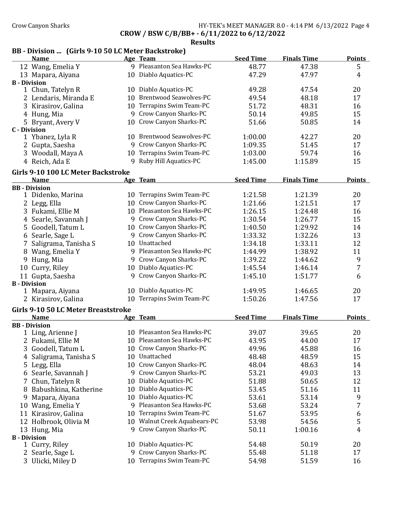CROW / BSW C/B/BB+ - 6/11/2022 to 6/12/2022

Results

# BB - Division ... (Girls 9-10 50 LC Meter Backstroke)

|   | <b>Name</b>                                        |    | Age Team                   | <b>Seed Time</b> | <b>Finals Time</b> | <b>Points</b> |
|---|----------------------------------------------------|----|----------------------------|------------------|--------------------|---------------|
|   | 12 Wang, Emelia Y                                  |    | 9 Pleasanton Sea Hawks-PC  | 48.77            | 47.38              | 5             |
|   | 13 Mapara, Aiyana                                  |    | 10 Diablo Aquatics-PC      | 47.29            | 47.97              | 4             |
|   | <b>B</b> - Division                                |    |                            |                  |                    |               |
|   | 1 Chun, Tatelyn R                                  |    | 10 Diablo Aquatics-PC      | 49.28            | 47.54              | 20            |
|   | 2 Lendaris, Miranda E                              |    | 10 Brentwood Seawolves-PC  | 49.54            | 48.18              | 17            |
|   | 3 Kirasirov, Galina                                |    | 10 Terrapins Swim Team-PC  | 51.72            | 48.31              | 16            |
|   | 4 Hung, Mia                                        |    | 9 Crow Canyon Sharks-PC    | 50.14            | 49.85              | 15            |
|   | 5 Bryant, Avery V                                  |    | 10 Crow Canyon Sharks-PC   | 51.66            | 50.85              | 14            |
|   | <b>C</b> - Division                                |    |                            |                  |                    |               |
|   | 1 Ybanez, Lyla R                                   |    | 10 Brentwood Seawolves-PC  | 1:00.00          | 42.27              | 20            |
|   | 2 Gupta, Saesha                                    |    | 9 Crow Canyon Sharks-PC    | 1:09.35          | 51.45              | 17            |
|   | 3 Woodall, Maya A                                  |    | 10 Terrapins Swim Team-PC  | 1:03.00          | 59.74              | 16            |
|   | 4 Reich, Ada E                                     | 9  | Ruby Hill Aquatics-PC      | 1:45.00          | 1:15.89            | 15            |
|   | Girls 9-10 100 LC Meter Backstroke                 |    |                            |                  |                    |               |
|   | <b>Name</b>                                        |    | Age Team                   | <b>Seed Time</b> | <b>Finals Time</b> | <b>Points</b> |
|   | <b>BB</b> - Division                               |    |                            |                  |                    |               |
|   | 1 Didenko, Marina                                  |    | 10 Terrapins Swim Team-PC  | 1:21.58          | 1:21.39            | 20            |
|   | 2 Legg, Ella                                       |    | 10 Crow Canyon Sharks-PC   | 1:21.66          | 1:21.51            | 17            |
|   | 3 Fukami, Ellie M                                  |    | 10 Pleasanton Sea Hawks-PC | 1:26.15          | 1:24.48            | 16            |
|   | 4 Searle, Savannah J                               |    | 9 Crow Canyon Sharks-PC    | 1:30.54          | 1:26.77            | 15            |
|   | 5 Goodell, Tatum L                                 |    | 10 Crow Canyon Sharks-PC   | 1:40.50          | 1:29.92            | 14            |
|   | 6 Searle, Sage L                                   |    | 9 Crow Canyon Sharks-PC    | 1:33.32          | 1:32.26            | 13            |
| 7 | Saligrama, Tanisha S                               |    | 10 Unattached              | 1:34.18          | 1:33.11            | 12            |
|   | 8 Wang, Emelia Y                                   |    | 9 Pleasanton Sea Hawks-PC  | 1:44.99          | 1:38.92            | 11            |
|   | 9 Hung, Mia                                        |    | 9 Crow Canyon Sharks-PC    | 1:39.22          | 1:44.62            | 9             |
|   | 10 Curry, Riley                                    |    | 10 Diablo Aquatics-PC      | 1:45.54          | 1:46.14            | 7             |
|   | 11 Gupta, Saesha                                   | 9  | Crow Canyon Sharks-PC      | 1:45.10          | 1:51.77            | 6             |
|   | <b>B</b> - Division                                |    |                            |                  |                    |               |
|   | 1 Mapara, Aiyana                                   |    | 10 Diablo Aquatics-PC      | 1:49.95          | 1:46.65            | 20            |
|   | 2 Kirasirov, Galina                                |    | 10 Terrapins Swim Team-PC  | 1:50.26          | 1:47.56            | 17            |
|   |                                                    |    |                            |                  |                    |               |
|   | Girls 9-10 50 LC Meter Breaststroke<br><b>Name</b> |    | Age Team                   | <b>Seed Time</b> | <b>Finals Time</b> | <b>Points</b> |
|   | <b>BB</b> - Division                               |    |                            |                  |                    |               |
|   | 1 Ling, Arienne J                                  |    | 10 Pleasanton Sea Hawks-PC | 39.07            | 39.65              | 20            |
|   | 2 Fukami, Ellie M                                  |    | 10 Pleasanton Sea Hawks-PC | 43.95            | 44.00              | 17            |
|   | 3 Goodell, Tatum L                                 |    | 10 Crow Canyon Sharks-PC   | 49.96            | 45.88              | 16            |
|   | 4 Saligrama, Tanisha S                             |    | 10 Unattached              | 48.48            | 48.59              | 15            |
|   | 5 Legg, Ella                                       | 10 | Crow Canyon Sharks-PC      | 48.04            | 48.63              | 14            |
| 6 | Searle, Savannah J                                 |    | 9 Crow Canyon Sharks-PC    | 53.21            | 49.03              | 13            |
|   | Chun, Tatelyn R                                    | 10 | Diablo Aquatics-PC         | 51.88            | 50.65              | 12            |
| 8 | Babushkina, Katherine                              | 10 | Diablo Aquatics-PC         | 53.45            | 51.16              | 11            |
| 9 | Mapara, Aiyana                                     | 10 | Diablo Aquatics-PC         | 53.61            | 53.14              | 9             |
|   | 10 Wang, Emelia Y                                  | 9  | Pleasanton Sea Hawks-PC    | 53.68            | 53.24              | 7             |
|   |                                                    | 10 | Terrapins Swim Team-PC     | 51.67            | 53.95              |               |
|   | 11 Kirasirov, Galina                               |    |                            |                  |                    | 6             |
|   | 12 Holbrook, Olivia M                              | 10 | Walnut Creek Aquabears-PC  | 53.98            | 54.56              | 5             |
|   | 13 Hung, Mia<br><b>B</b> - Division                | 9  | Crow Canyon Sharks-PC      | 50.11            | 1:00.16            | 4             |
|   | 1 Curry, Riley                                     |    | 10 Diablo Aquatics-PC      | 54.48            | 50.19              | 20            |
|   | 2 Searle, Sage L                                   |    | 9 Crow Canyon Sharks-PC    | 55.48            | 51.18              | 17            |
|   | 3 Ulicki, Miley D                                  |    | 10 Terrapins Swim Team-PC  | 54.98            | 51.59              | 16            |
|   |                                                    |    |                            |                  |                    |               |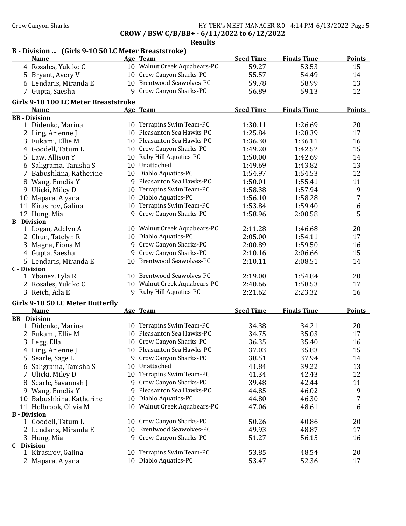### Crow Canyon Sharks **HY-TEK's MEET MANAGER 8.0 - 4:14 PM 6/13/2022** Page 5 CROW / BSW C/B/BB+ - 6/11/2022 to 6/12/2022

| B - Division  (Girls 9-10 50 LC Meter Breaststroke) |    |                              |                  |                    |               |
|-----------------------------------------------------|----|------------------------------|------------------|--------------------|---------------|
| <b>Name</b>                                         |    | Age Team                     | <b>Seed Time</b> | <b>Finals Time</b> | <b>Points</b> |
| 4 Rosales, Yukiko C                                 |    | 10 Walnut Creek Aquabears-PC | 59.27            | 53.53              | 15            |
| Bryant, Avery V<br>5                                |    | 10 Crow Canyon Sharks-PC     | 55.57            | 54.49              | 14            |
| 6 Lendaris, Miranda E                               |    | 10 Brentwood Seawolves-PC    | 59.78            | 58.99              | 13            |
| 7 Gupta, Saesha                                     | 9  | Crow Canyon Sharks-PC        | 56.89            | 59.13              | 12            |
| Girls 9-10 100 LC Meter Breaststroke<br><b>Name</b> |    | Age Team                     | <b>Seed Time</b> | <b>Finals Time</b> | <b>Points</b> |
| <b>BB</b> - Division                                |    |                              |                  |                    |               |
| 1 Didenko, Marina                                   |    | 10 Terrapins Swim Team-PC    | 1:30.11          | 1:26.69            | 20            |
| 2 Ling, Arienne J                                   |    | 10 Pleasanton Sea Hawks-PC   | 1:25.84          | 1:28.39            | 17            |
| 3 Fukami, Ellie M                                   |    | 10 Pleasanton Sea Hawks-PC   | 1:36.30          | 1:36.11            | 16            |
| Goodell, Tatum L<br>4                               |    | 10 Crow Canyon Sharks-PC     | 1:49.20          | 1:42.52            | 15            |
| Law, Allison Y<br>5                                 |    | 10 Ruby Hill Aquatics-PC     | 1:50.00          | 1:42.69            | 14            |
| Saligrama, Tanisha S<br>6                           |    | 10 Unattached                | 1:49.69          | 1:43.82            | 13            |
| 7<br>Babushkina, Katherine                          |    | 10 Diablo Aquatics-PC        | 1:54.97          | 1:54.53            | 12            |
| Wang, Emelia Y<br>8                                 | 9  | Pleasanton Sea Hawks-PC      | 1:50.01          | 1:55.41            | 11            |
| Ulicki, Miley D<br>9                                |    | 10 Terrapins Swim Team-PC    | 1:58.38          | 1:57.94            | 9             |
| Mapara, Aiyana<br>10                                |    | 10 Diablo Aquatics-PC        | 1:56.10          | 1:58.28            | 7             |
| 11 Kirasirov, Galina                                |    | 10 Terrapins Swim Team-PC    | 1:53.84          | 1:59.40            | 6             |
| 12 Hung, Mia                                        | 9  | Crow Canyon Sharks-PC        | 1:58.96          | 2:00.58            | 5             |
| <b>B</b> - Division                                 |    |                              |                  |                    |               |
| 1 Logan, Adelyn A                                   |    | 10 Walnut Creek Aquabears-PC | 2:11.28          | 1:46.68            | 20            |
| 2 Chun, Tatelyn R                                   |    | 10 Diablo Aquatics-PC        | 2:05.00          | 1:54.11            | 17            |
| Magna, Fiona M<br>3                                 | 9  | Crow Canyon Sharks-PC        | 2:00.89          | 1:59.50            | 16            |
| 4 Gupta, Saesha                                     | 9  | Crow Canyon Sharks-PC        | 2:10.16          | 2:06.66            | 15            |
| 5 Lendaris, Miranda E                               |    | 10 Brentwood Seawolves-PC    | 2:10.11          | 2:08.51            | 14            |
| <b>C</b> - Division                                 |    |                              |                  |                    |               |
| 1 Ybanez, Lyla R                                    |    | 10 Brentwood Seawolves-PC    | 2:19.00          | 1:54.84            | 20            |
| 2 Rosales, Yukiko C                                 |    | 10 Walnut Creek Aquabears-PC | 2:40.66          | 1:58.53            | 17            |
| 3 Reich, Ada E                                      | 9  | Ruby Hill Aquatics-PC        | 2:21.62          | 2:23.32            | 16            |
| Girls 9-10 50 LC Meter Butterfly                    |    |                              |                  |                    |               |
| <b>Name</b>                                         |    | Age Team                     | <b>Seed Time</b> | <b>Finals Time</b> | <b>Points</b> |
| <b>BB</b> - Division                                |    |                              |                  |                    |               |
| 1 Didenko, Marina                                   |    | 10 Terrapins Swim Team-PC    | 34.38            | 34.21              | 20            |
| 2 Fukami, Ellie M                                   |    | 10 Pleasanton Sea Hawks-PC   | 34.75            | 35.03              | 17            |
| 3 Legg, Ella                                        |    | 10 Crow Canyon Sharks-PC     | 36.35            | 35.40              | 16            |
| 4 Ling, Arienne J                                   |    | 10 Pleasanton Sea Hawks-PC   | 37.03            | 35.83              | 15            |
| 5 Searle, Sage L                                    |    | 9 Crow Canyon Sharks-PC      | 38.51            | 37.94              | 14            |
| 6 Saligrama, Tanisha S                              | 10 | Unattached                   | 41.84            | 39.22              | 13            |
| 7 Ulicki, Miley D                                   |    | 10 Terrapins Swim Team-PC    | 41.34            | 42.43              | 12            |
| Searle, Savannah J<br>8                             |    | 9 Crow Canyon Sharks-PC      | 39.48            | 42.44              | 11            |
| 9 Wang, Emelia Y                                    | 9  | Pleasanton Sea Hawks-PC      | 44.85            | 46.02              | 9             |
| 10 Babushkina, Katherine                            |    | 10 Diablo Aquatics-PC        | 44.80            | 46.30              | 7             |
| 11 Holbrook, Olivia M                               |    | 10 Walnut Creek Aquabears-PC | 47.06            | 48.61              | 6             |
| <b>B</b> - Division                                 |    |                              |                  |                    |               |
| 1 Goodell, Tatum L                                  |    | 10 Crow Canyon Sharks-PC     | 50.26            | 40.86              | 20            |
| 2 Lendaris, Miranda E                               |    | 10 Brentwood Seawolves-PC    | 49.93            | 48.87              | 17            |
| 3 Hung, Mia                                         | 9  | Crow Canyon Sharks-PC        | 51.27            | 56.15              | 16            |
| <b>C</b> - Division<br>1 Kirasirov, Galina          |    | 10 Terrapins Swim Team-PC    | 53.85            | 48.54              | 20            |
| 2 Mapara, Aiyana                                    |    | 10 Diablo Aquatics-PC        | 53.47            | 52.36              | 17            |
|                                                     |    |                              |                  |                    |               |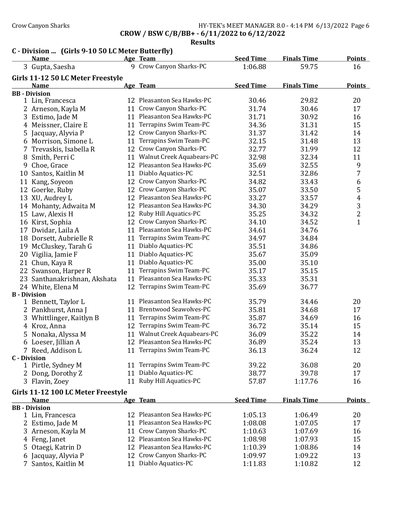### Crow Canyon Sharks **HY-TEK's MEET MANAGER 8.0 - 4:14 PM 6/13/2022** Page 6 CROW / BSW C/B/BB+ - 6/11/2022 to 6/12/2022

Results

# C - Division ... (Girls 9-10 50 LC Meter Butterfly)

|                      | <b>Name</b>                        |    | Age Team                     | <b>Seed Time</b> | <b>Finals Time</b> | Points         |
|----------------------|------------------------------------|----|------------------------------|------------------|--------------------|----------------|
|                      | 3 Gupta, Saesha                    |    | 9 Crow Canyon Sharks-PC      | 1:06.88          | 59.75              | 16             |
|                      | Girls 11-12 50 LC Meter Freestyle  |    |                              |                  |                    |                |
|                      | <b>Name</b>                        |    | Age Team                     | <b>Seed Time</b> | <b>Finals Time</b> | <b>Points</b>  |
| <b>BB</b> - Division |                                    |    |                              |                  |                    |                |
|                      | 1 Lin, Francesca                   |    | 12 Pleasanton Sea Hawks-PC   | 30.46            | 29.82              | 20             |
|                      | 2 Arneson, Kayla M                 |    | 11 Crow Canyon Sharks-PC     | 31.74            | 30.46              | 17             |
| 3                    | Estimo, Jade M                     |    | 11 Pleasanton Sea Hawks-PC   | 31.71            | 30.92              | 16             |
|                      | 4 Meissner, Claire E               |    | 11 Terrapins Swim Team-PC    | 34.36            | 31.31              | 15             |
|                      | 5 Jacquay, Alyvia P                |    | 12 Crow Canyon Sharks-PC     | 31.37            | 31.42              | 14             |
|                      | 6 Morrison, Simone L               |    | 11 Terrapins Swim Team-PC    | 32.15            | 31.48              | 13             |
|                      | 7 Trevaskis, Isabella R            |    | 12 Crow Canyon Sharks-PC     | 32.77            | 31.99              | 12             |
|                      | 8 Smith, Perri C                   |    | 11 Walnut Creek Aquabears-PC | 32.98            | 32.34              | 11             |
|                      | 9 Choe, Grace                      |    | 12 Pleasanton Sea Hawks-PC   | 35.69            | 32.55              | 9              |
|                      | 10 Santos, Kaitlin M               |    | 11 Diablo Aquatics-PC        | 32.51            | 32.86              | 7              |
|                      | 11 Kang, Soyeon                    |    | 12 Crow Canyon Sharks-PC     | 34.82            | 33.43              | 6              |
|                      | 12 Goerke, Ruby                    |    | 12 Crow Canyon Sharks-PC     | 35.07            | 33.50              | 5              |
|                      | 13 XU, Audrey L                    |    | 12 Pleasanton Sea Hawks-PC   | 33.27            | 33.57              | $\overline{4}$ |
|                      | 14 Mohanty, Adwaita M              |    | 12 Pleasanton Sea Hawks-PC   | 34.30            | 34.29              | 3              |
|                      | 15 Law, Alexis H                   |    | 12 Ruby Hill Aquatics-PC     | 35.25            | 34.32              | $\overline{c}$ |
|                      | 16 Kirst, Sophia                   |    | 12 Crow Canyon Sharks-PC     | 34.10            | 34.52              | $\mathbf{1}$   |
|                      | 17 Dwidar, Laila A                 |    | 11 Pleasanton Sea Hawks-PC   | 34.61            | 34.76              |                |
|                      | 18 Dorsett, Aubrielle R            |    | 11 Terrapins Swim Team-PC    | 34.97            | 34.84              |                |
|                      | 19 McCluskey, Tarah G              |    | 11 Diablo Aquatics-PC        | 35.51            | 34.86              |                |
|                      | 20 Vigilia, Jamie F                |    | 11 Diablo Aquatics-PC        | 35.67            | 35.09              |                |
|                      | 21 Chun, Kaya R                    |    | 11 Diablo Aquatics-PC        | 35.00            | 35.10              |                |
|                      | 22 Swanson, Harper R               |    | 11 Terrapins Swim Team-PC    | 35.17            | 35.15              |                |
|                      | 23 Santhanakrishnan, Akshata       |    | 11 Pleasanton Sea Hawks-PC   | 35.33            | 35.31              |                |
|                      | 24 White, Elena M                  |    | 12 Terrapins Swim Team-PC    | 35.69            | 36.77              |                |
| <b>B</b> - Division  |                                    |    |                              |                  |                    |                |
|                      | 1 Bennett, Taylor L                |    | 11 Pleasanton Sea Hawks-PC   | 35.79            | 34.46              | 20             |
|                      | 2 Pankhurst, Anna J                |    | 11 Brentwood Seawolves-PC    | 35.81            | 34.68              | 17             |
|                      | 3 Whittlinger, Kaitlyn B           |    | 11 Terrapins Swim Team-PC    | 35.87            | 34.69              | 16             |
|                      | 4 Kroz, Anna                       |    | 12 Terrapins Swim Team-PC    | 36.72            | 35.14              | 15             |
| 5                    | Nonaka, Alyssa M                   |    | 11 Walnut Creek Aquabears-PC | 36.09            | 35.22              | 14             |
|                      | 6 Loeser, Jillian A                |    | 12 Pleasanton Sea Hawks-PC   | 36.89            | 35.24              | 13             |
|                      | 7 Reed, Addison L                  |    | 11 Terrapins Swim Team-PC    | 36.13            | 36.24              | 12             |
| <b>C</b> - Division  |                                    |    |                              |                  |                    |                |
|                      | 1 Pirtle, Sydney M                 |    | 11 Terrapins Swim Team-PC    | 39.22            | 36.08              | 20             |
|                      | 2 Dong, Dorothy Z                  | 11 | Diablo Aquatics-PC           | 38.77            | 39.78              | 17             |
|                      | 3 Flavin, Zoey                     |    | 11 Ruby Hill Aquatics-PC     | 57.87            | 1:17.76            | 16             |
|                      | Girls 11-12 100 LC Meter Freestyle |    |                              |                  |                    |                |
|                      | <b>Name</b>                        |    | Age Team                     | <b>Seed Time</b> | <b>Finals Time</b> | <b>Points</b>  |
| <b>BB</b> - Division |                                    |    |                              |                  |                    |                |
|                      | 1 Lin, Francesca                   |    | 12 Pleasanton Sea Hawks-PC   | 1:05.13          | 1:06.49            | 20             |
|                      | 2 Estimo, Jade M                   | 11 | Pleasanton Sea Hawks-PC      | 1:08.08          | 1:07.05            | 17             |
|                      | 3 Arneson, Kayla M                 | 11 | Crow Canyon Sharks-PC        | 1:10.63          | 1:07.69            | 16             |
|                      | 4 Feng, Janet                      |    | 12 Pleasanton Sea Hawks-PC   | 1:08.98          | 1:07.93            | 15             |
| 5.                   | Otaegi, Katrin D                   |    | 12 Pleasanton Sea Hawks-PC   | 1:10.39          | 1:08.86            | 14             |
| 6                    | Jacquay, Alyvia P                  |    | 12 Crow Canyon Sharks-PC     | 1:09.97          | 1:09.22            | 13             |
|                      | 7 Santos, Kaitlin M                |    | 11 Diablo Aquatics-PC        | 1:11.83          | 1:10.82            | 12             |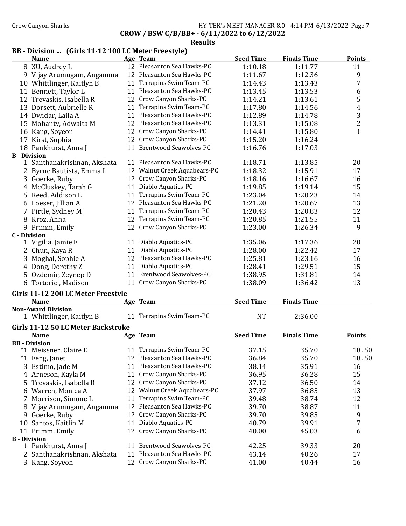# Crow Canyon Sharks **HY-TEK's MEET MANAGER 8.0 - 4:14 PM 6/13/2022** Page 7

CROW / BSW C/B/BB+ - 6/11/2022 to 6/12/2022

Results

# BB - Division ... (Girls 11-12 100 LC Meter Freestyle)

|                     | <b>Name</b>                                           |    | Age Team                     | <b>Seed Time</b> | <b>Finals Time</b> | Points                  |
|---------------------|-------------------------------------------------------|----|------------------------------|------------------|--------------------|-------------------------|
|                     | 8 XU, Audrey L                                        |    | 12 Pleasanton Sea Hawks-PC   | 1:10.18          | 1:11.77            | 11                      |
|                     | 9 Vijay Arumugam, Angammai                            |    | 12 Pleasanton Sea Hawks-PC   | 1:11.67          | 1:12.36            | 9                       |
|                     | 10 Whittlinger, Kaitlyn B                             |    | 11 Terrapins Swim Team-PC    | 1:14.43          | 1:13.43            | 7                       |
|                     | 11 Bennett, Taylor L                                  |    | 11 Pleasanton Sea Hawks-PC   | 1:13.45          | 1:13.53            | 6                       |
|                     | 12 Trevaskis, Isabella R                              |    | 12 Crow Canyon Sharks-PC     | 1:14.21          | 1:13.61            | 5                       |
|                     | 13 Dorsett, Aubrielle R                               |    | 11 Terrapins Swim Team-PC    | 1:17.80          | 1:14.56            | $\overline{\mathbf{4}}$ |
|                     | 14 Dwidar, Laila A                                    |    | 11 Pleasanton Sea Hawks-PC   | 1:12.89          | 1:14.78            | 3                       |
|                     | 15 Mohanty, Adwaita M                                 |    | 12 Pleasanton Sea Hawks-PC   | 1:13.31          | 1:15.08            | $\overline{\mathbf{c}}$ |
|                     | 16 Kang, Soyeon                                       |    | 12 Crow Canyon Sharks-PC     | 1:14.41          | 1:15.80            | $\mathbf{1}$            |
|                     | 17 Kirst, Sophia                                      |    | 12 Crow Canyon Sharks-PC     | 1:15.20          | 1:16.24            |                         |
|                     | 18 Pankhurst, Anna J                                  |    | 11 Brentwood Seawolves-PC    | 1:16.76          | 1:17.03            |                         |
| <b>B</b> - Division |                                                       |    |                              |                  |                    |                         |
|                     | 1 Santhanakrishnan, Akshata                           |    | 11 Pleasanton Sea Hawks-PC   | 1:18.71          | 1:13.85            | 20                      |
|                     | 2 Byrne Bautista, Emma L                              |    | 12 Walnut Creek Aquabears-PC | 1:18.32          | 1:15.91            | 17                      |
|                     | 3 Goerke, Ruby                                        |    | 12 Crow Canyon Sharks-PC     | 1:18.16          | 1:16.67            | 16                      |
|                     | 4 McCluskey, Tarah G                                  |    | 11 Diablo Aquatics-PC        | 1:19.85          | 1:19.14            | 15                      |
|                     | 5 Reed, Addison L                                     |    | 11 Terrapins Swim Team-PC    | 1:23.04          | 1:20.23            | 14                      |
|                     | 6 Loeser, Jillian A                                   |    | 12 Pleasanton Sea Hawks-PC   | 1:21.20          | 1:20.67            | 13                      |
|                     | 7 Pirtle, Sydney M                                    |    | 11 Terrapins Swim Team-PC    | 1:20.43          | 1:20.83            | 12                      |
|                     | 8 Kroz, Anna                                          |    | 12 Terrapins Swim Team-PC    | 1:20.85          | 1:21.55            | 11                      |
|                     | 9 Primm, Emily                                        |    | 12 Crow Canyon Sharks-PC     | 1:23.00          | 1:26.34            | 9                       |
| <b>C</b> - Division |                                                       |    |                              |                  |                    |                         |
|                     | 1 Vigilia, Jamie F                                    |    | 11 Diablo Aquatics-PC        | 1:35.06          | 1:17.36            | 20                      |
|                     | 2 Chun, Kaya R                                        |    | 11 Diablo Aquatics-PC        | 1:28.00          | 1:22.42            | 17                      |
| 3                   | Moghal, Sophie A                                      |    | 12 Pleasanton Sea Hawks-PC   | 1:25.81          | 1:23.16            | 16                      |
|                     | 4 Dong, Dorothy Z                                     |    | 11 Diablo Aquatics-PC        | 1:28.41          | 1:29.51            | 15                      |
|                     | 5 Ozdemir, Zeynep D                                   |    | 11 Brentwood Seawolves-PC    | 1:38.95          | 1:31.81            | 14                      |
|                     | 6 Tortorici, Madison                                  |    | 11 Crow Canyon Sharks-PC     | 1:38.09          | 1:36.42            | 13                      |
|                     |                                                       |    |                              |                  |                    |                         |
|                     | Girls 11-12 200 LC Meter Freestyle                    |    |                              |                  |                    |                         |
|                     | <b>Name</b>                                           |    | Age Team                     | <b>Seed Time</b> | <b>Finals Time</b> |                         |
|                     | <b>Non-Award Division</b><br>1 Whittlinger, Kaitlyn B |    | 11 Terrapins Swim Team-PC    | <b>NT</b>        | 2:36.00            |                         |
|                     |                                                       |    |                              |                  |                    |                         |
|                     | Girls 11-12 50 LC Meter Backstroke                    |    |                              |                  |                    |                         |
|                     | <b>Name</b>                                           |    | Age Team                     | <b>Seed Time</b> | <b>Finals Time</b> | <b>Points</b>           |
|                     | <b>BB</b> - Division                                  |    | 11 Terrapins Swim Team-PC    | 37.15            |                    |                         |
|                     | *1 Meissner, Claire E                                 |    |                              |                  | 35.70              | 18.50                   |
|                     | *1 Feng, Janet                                        |    | 12 Pleasanton Sea Hawks-PC   | 36.84            | 35.70              | 18.50                   |
|                     | 3 Estimo, Jade M                                      |    | 11 Pleasanton Sea Hawks-PC   | 38.14            | 35.91              | 16                      |
|                     | 4 Arneson, Kayla M                                    |    | 11 Crow Canyon Sharks-PC     | 36.95            | 36.28              | 15                      |
|                     | 5 Trevaskis, Isabella R                               |    | 12 Crow Canyon Sharks-PC     | 37.12            | 36.50              | 14                      |
|                     | 6 Warren, Monica A                                    |    | 12 Walnut Creek Aquabears-PC | 37.97            | 36.85              | 13                      |
|                     | Morrison, Simone L                                    |    | 11 Terrapins Swim Team-PC    | 39.48            | 38.74              | 12                      |
|                     | 8 Vijay Arumugam, Angammai                            |    | 12 Pleasanton Sea Hawks-PC   | 39.70            | 38.87              | 11                      |
|                     | 9 Goerke, Ruby                                        |    | 12 Crow Canyon Sharks-PC     | 39.70            | 39.85              | 9                       |
|                     | 10 Santos, Kaitlin M                                  |    | 11 Diablo Aquatics-PC        | 40.79            | 39.91              | 7                       |
|                     | 11 Primm, Emily                                       |    | 12 Crow Canyon Sharks-PC     | 40.00            | 45.03              | 6                       |
| <b>B</b> - Division |                                                       |    |                              |                  |                    |                         |
|                     | 1 Pankhurst, Anna J                                   |    | 11 Brentwood Seawolves-PC    | 42.25            | 39.33              | 20                      |
|                     | 2 Santhanakrishnan, Akshata                           | 11 | Pleasanton Sea Hawks-PC      | 43.14            | 40.26              | 17                      |
|                     | 3 Kang, Soyeon                                        |    | 12 Crow Canyon Sharks-PC     | 41.00            | 40.44              | 16                      |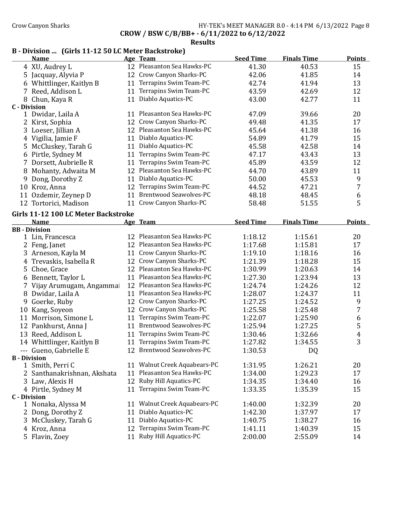# Crow Canyon Sharks **HY-TEK's MEET MANAGER 8.0 - 4:14 PM 6/13/2022** Page 8

CROW / BSW C/B/BB+ - 6/11/2022 to 6/12/2022

### Results

# B - Division ... (Girls 11-12 50 LC Meter Backstroke)

|                     | <b>Name</b>                         |    | Age Team                      | <b>Seed Time</b> | <b>Finals Time</b> | <b>Points</b>    |
|---------------------|-------------------------------------|----|-------------------------------|------------------|--------------------|------------------|
|                     | 4 XU, Audrey L                      |    | 12 Pleasanton Sea Hawks-PC    | 41.30            | 40.53              | 15               |
| 5                   | Jacquay, Alyvia P                   |    | 12 Crow Canyon Sharks-PC      | 42.06            | 41.85              | 14               |
|                     | 6 Whittlinger, Kaitlyn B            | 11 | Terrapins Swim Team-PC        | 42.74            | 41.94              | 13               |
|                     | 7 Reed, Addison L                   | 11 | Terrapins Swim Team-PC        | 43.59            | 42.69              | 12               |
|                     | 8 Chun, Kaya R                      | 11 | Diablo Aquatics-PC            | 43.00            | 42.77              | 11               |
| <b>C</b> - Division |                                     |    |                               |                  |                    |                  |
|                     | 1 Dwidar, Laila A                   |    | 11 Pleasanton Sea Hawks-PC    | 47.09            | 39.66              | 20               |
|                     | 2 Kirst, Sophia                     |    | 12 Crow Canyon Sharks-PC      | 49.48            | 41.35              | 17               |
|                     | 3 Loeser, Jillian A                 |    | 12 Pleasanton Sea Hawks-PC    | 45.64            | 41.38              | 16               |
| 4                   | Vigilia, Jamie F                    |    | 11 Diablo Aquatics-PC         | 54.89            | 41.79              | 15               |
| 5                   | McCluskey, Tarah G                  |    | 11 Diablo Aquatics-PC         | 45.58            | 42.58              | 14               |
|                     | 6 Pirtle, Sydney M                  | 11 | Terrapins Swim Team-PC        | 47.17            | 43.43              | 13               |
|                     | 7 Dorsett, Aubrielle R              | 11 | Terrapins Swim Team-PC        | 45.89            | 43.59              | 12               |
| 8                   | Mohanty, Adwaita M                  | 12 | Pleasanton Sea Hawks-PC       | 44.70            | 43.89              | 11               |
| 9                   | Dong, Dorothy Z                     | 11 | Diablo Aquatics-PC            | 50.00            | 45.53              | 9                |
|                     | 10 Kroz, Anna                       | 12 | Terrapins Swim Team-PC        | 44.52            | 47.21              | 7                |
|                     | 11 Ozdemir, Zeynep D                | 11 | <b>Brentwood Seawolves-PC</b> | 48.18            | 48.45              | 6                |
|                     | 12 Tortorici, Madison               |    | 11 Crow Canyon Sharks-PC      | 58.48            | 51.55              | 5                |
|                     | Girls 11-12 100 LC Meter Backstroke |    |                               |                  |                    |                  |
|                     | <b>Name</b>                         |    | Age Team                      | <b>Seed Time</b> | <b>Finals Time</b> | <b>Points</b>    |
|                     | <b>BB</b> - Division                |    |                               |                  |                    |                  |
|                     | 1 Lin, Francesca                    |    | 12 Pleasanton Sea Hawks-PC    | 1:18.12          | 1:15.61            | 20               |
|                     | 2 Feng, Janet                       |    | 12 Pleasanton Sea Hawks-PC    | 1:17.68          | 1:15.81            | 17               |
|                     | 3 Arneson, Kayla M                  |    | 11 Crow Canyon Sharks-PC      | 1:19.10          | 1:18.16            | 16               |
|                     | 4 Trevaskis, Isabella R             |    | 12 Crow Canyon Sharks-PC      | 1:21.39          | 1:18.28            | 15               |
| 5.                  | Choe, Grace                         |    | 12 Pleasanton Sea Hawks-PC    | 1:30.99          | 1:20.63            | 14               |
|                     | 6 Bennett, Taylor L                 |    | 11 Pleasanton Sea Hawks-PC    | 1:27.30          | 1:23.94            | 13               |
|                     | 7 Vijay Arumugam, Angammai          |    | 12 Pleasanton Sea Hawks-PC    | 1:24.74          | 1:24.26            | 12               |
|                     | 8 Dwidar, Laila A                   |    | 11 Pleasanton Sea Hawks-PC    | 1:28.07          | 1:24.37            | 11               |
|                     | 9 Goerke, Ruby                      |    | 12 Crow Canyon Sharks-PC      | 1:27.25          | 1:24.52            | 9                |
|                     | 10 Kang, Soyeon                     |    | 12 Crow Canyon Sharks-PC      | 1:25.58          | 1:25.48            | 7                |
|                     | 11 Morrison, Simone L               |    | 11 Terrapins Swim Team-PC     | 1:22.07          | 1:25.90            | $\boldsymbol{6}$ |
|                     | 12 Pankhurst, Anna J                |    | 11 Brentwood Seawolves-PC     | 1:25.94          | 1:27.25            | $\mathsf S$      |
|                     | 13 Reed, Addison L                  | 11 | Terrapins Swim Team-PC        | 1:30.46          | 1:32.66            | $\pmb{4}$        |
|                     | 14 Whittlinger, Kaitlyn B           | 11 | Terrapins Swim Team-PC        | 1:27.82          | 1:34.55            | 3                |
|                     | --- Gueno, Gabrielle E              |    | 12 Brentwood Seawolves-PC     | 1:30.53          | DQ                 |                  |
| <b>B</b> - Division |                                     |    |                               |                  |                    |                  |
|                     | 1 Smith, Perri C                    |    | 11 Walnut Creek Aquabears-PC  | 1:31.95          | 1:26.21            | 20               |
|                     | Santhanakrishnan, Akshata           |    | 11 Pleasanton Sea Hawks-PC    | 1:34.00          | 1:29.23            | 17               |
|                     | 3 Law, Alexis H                     |    | 12 Ruby Hill Aquatics-PC      | 1:34.35          | 1:34.40            | 16               |
|                     | 4 Pirtle, Sydney M                  |    | 11 Terrapins Swim Team-PC     | 1:33.35          | 1:35.39            | 15               |
| <b>C</b> - Division |                                     |    |                               |                  |                    |                  |
|                     | 1 Nonaka, Alyssa M                  |    | 11 Walnut Creek Aquabears-PC  | 1:40.00          | 1:32.39            | 20               |
| 2                   | Dong, Dorothy Z                     | 11 | Diablo Aquatics-PC            | 1:42.30          | 1:37.97            | 17               |
|                     | 3 McCluskey, Tarah G                | 11 | Diablo Aquatics-PC            | 1:40.75          | 1:38.27            | 16               |
|                     | 4 Kroz, Anna                        |    | 12 Terrapins Swim Team-PC     | 1:41.11          | 1:40.39            | 15               |
|                     | 5 Flavin, Zoey                      |    | 11 Ruby Hill Aquatics-PC      | 2:00.00          | 2:55.09            | 14               |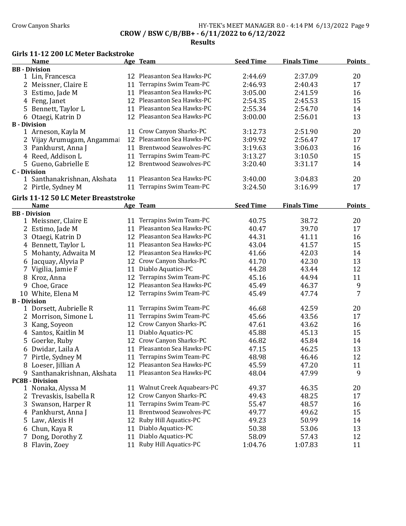## Crow Canyon Sharks **HY-TEK's MEET MANAGER 8.0 - 4:14 PM 6/13/2022** Page 9 CROW / BSW C/B/BB+ - 6/11/2022 to 6/12/2022

Results

### Girls 11-12 200 LC Meter Backstroke

|                     | <b>Name</b>                          |    | Age Team                      | <b>Seed Time</b> | <b>Finals Time</b> | <b>Points</b> |
|---------------------|--------------------------------------|----|-------------------------------|------------------|--------------------|---------------|
|                     | <b>BB</b> - Division                 |    |                               |                  |                    |               |
|                     | 1 Lin, Francesca                     |    | 12 Pleasanton Sea Hawks-PC    | 2:44.69          | 2:37.09            | 20            |
|                     | 2 Meissner, Claire E                 |    | 11 Terrapins Swim Team-PC     | 2:46.93          | 2:40.43            | 17            |
|                     | 3 Estimo, Jade M                     |    | 11 Pleasanton Sea Hawks-PC    | 3:05.00          | 2:41.59            | 16            |
|                     | 4 Feng, Janet                        |    | 12 Pleasanton Sea Hawks-PC    | 2:54.35          | 2:45.53            | 15            |
|                     | 5 Bennett, Taylor L                  |    | 11 Pleasanton Sea Hawks-PC    | 2:55.34          | 2:54.70            | 14            |
|                     | 6 Otaegi, Katrin D                   |    | 12 Pleasanton Sea Hawks-PC    | 3:00.00          | 2:56.01            | 13            |
| <b>B</b> - Division |                                      |    |                               |                  |                    |               |
|                     | 1 Arneson, Kayla M                   |    | 11 Crow Canyon Sharks-PC      | 3:12.73          | 2:51.90            | 20            |
|                     | 2 Vijay Arumugam, Angammai           |    | 12 Pleasanton Sea Hawks-PC    | 3:09.92          | 2:56.47            | 17            |
|                     | 3 Pankhurst, Anna J                  |    | 11 Brentwood Seawolves-PC     | 3:19.63          | 3:06.03            | 16            |
|                     | 4 Reed, Addison L                    |    | 11 Terrapins Swim Team-PC     | 3:13.27          | 3:10.50            | 15            |
|                     | 5 Gueno, Gabrielle E                 |    | 12 Brentwood Seawolves-PC     | 3:20.40          | 3:31.17            | 14            |
| <b>C</b> - Division |                                      |    |                               |                  |                    |               |
|                     | 1 Santhanakrishnan, Akshata          |    | 11 Pleasanton Sea Hawks-PC    | 3:40.00          | 3:04.83            | 20            |
|                     | 2 Pirtle, Sydney M                   |    | 11 Terrapins Swim Team-PC     | 3:24.50          | 3:16.99            | 17            |
|                     | Girls 11-12 50 LC Meter Breaststroke |    |                               |                  |                    |               |
|                     | <b>Name</b>                          |    | <u>Age Team</u>               | <b>Seed Time</b> | <b>Finals Time</b> | <b>Points</b> |
|                     | <b>BB</b> - Division                 |    |                               |                  |                    |               |
|                     | 1 Meissner, Claire E                 |    | 11 Terrapins Swim Team-PC     | 40.75            | 38.72              | 20            |
|                     | 2 Estimo, Jade M                     |    | 11 Pleasanton Sea Hawks-PC    | 40.47            | 39.70              | 17            |
|                     | 3 Otaegi, Katrin D                   |    | 12 Pleasanton Sea Hawks-PC    | 44.31            | 41.11              | 16            |
|                     | 4 Bennett, Taylor L                  |    | 11 Pleasanton Sea Hawks-PC    | 43.04            | 41.57              | 15            |
|                     | 5 Mohanty, Adwaita M                 |    | 12 Pleasanton Sea Hawks-PC    | 41.66            | 42.03              | 14            |
|                     | 6 Jacquay, Alyvia P                  |    | 12 Crow Canyon Sharks-PC      | 41.70            | 42.30              | 13            |
|                     | 7 Vigilia, Jamie F                   | 11 | Diablo Aquatics-PC            | 44.28            | 43.44              | 12            |
|                     | 8 Kroz, Anna                         |    | 12 Terrapins Swim Team-PC     | 45.16            | 44.94              | 11            |
|                     | 9 Choe, Grace                        |    | 12 Pleasanton Sea Hawks-PC    | 45.49            | 46.37              | 9             |
|                     | 10 White, Elena M                    |    | 12 Terrapins Swim Team-PC     | 45.49            | 47.74              | 7             |
| <b>B</b> - Division |                                      |    |                               |                  |                    |               |
|                     | 1 Dorsett, Aubrielle R               |    | 11 Terrapins Swim Team-PC     | 46.68            | 42.59              | 20            |
|                     | 2 Morrison, Simone L                 |    | 11 Terrapins Swim Team-PC     | 45.66            | 43.56              | 17            |
|                     | 3 Kang, Soyeon                       | 12 | Crow Canyon Sharks-PC         | 47.61            | 43.62              | 16            |
|                     | 4 Santos, Kaitlin M                  | 11 | Diablo Aquatics-PC            | 45.88            | 45.13              | 15            |
|                     | 5 Goerke, Ruby                       |    | 12 Crow Canyon Sharks-PC      | 46.82            | 45.84              | 14            |
|                     | 6 Dwidar, Laila A                    |    | 11 Pleasanton Sea Hawks-PC    | 47.15            | 46.25              | 13            |
|                     | 7 Pirtle, Sydney M                   |    | 11 Terrapins Swim Team-PC     | 48.98            | 46.46              | 12            |
|                     | 8 Loeser, Jillian A                  |    | 12 Pleasanton Sea Hawks-PC    | 45.59            | 47.20              | 11            |
|                     | 9 Santhanakrishnan, Akshata          |    | 11 Pleasanton Sea Hawks-PC    | 48.04            | 47.99              | 9             |
|                     | <b>PC8B - Division</b>               |    |                               |                  |                    |               |
|                     | 1 Nonaka, Alyssa M                   |    | 11 Walnut Creek Aquabears-PC  | 49.37            | 46.35              | 20            |
| 2                   | Trevaskis, Isabella R                |    | 12 Crow Canyon Sharks-PC      | 49.43            | 48.25              | 17            |
|                     | 3 Swanson, Harper R                  |    | 11 Terrapins Swim Team-PC     | 55.47            | 48.57              | 16            |
|                     | 4 Pankhurst, Anna J                  | 11 | <b>Brentwood Seawolves-PC</b> | 49.77            | 49.62              | 15            |
|                     | 5 Law, Alexis H                      |    | 12 Ruby Hill Aquatics-PC      | 49.23            | 50.99              | 14            |
|                     | 6 Chun, Kaya R                       | 11 | Diablo Aquatics-PC            | 50.38            | 53.06              | 13            |
|                     | 7 Dong, Dorothy Z                    | 11 | Diablo Aquatics-PC            | 58.09            | 57.43              | 12            |
|                     | 8 Flavin, Zoev                       | 11 | Ruby Hill Aquatics-PC         | 1:04.76          | 1:07.83            | 11            |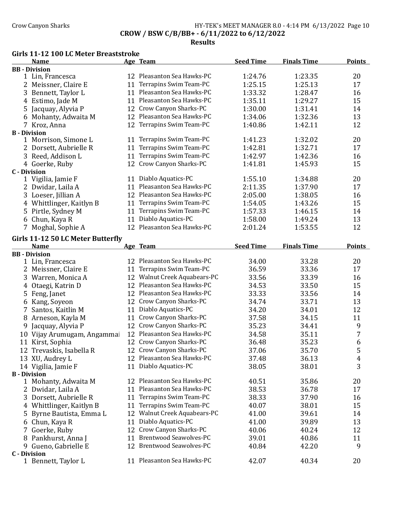## Crow Canyon Sharks **HY-TEK's MEET MANAGER 8.0 - 4:14 PM 6/13/2022** Page 10 CROW / BSW C/B/BB+ - 6/11/2022 to 6/12/2022

Results

#### Girls 11-12 100 LC Meter Breaststroke

|                     | Name                                             |    | Age Team                      | <b>Seed Time</b> | <b>Finals Time</b> | <b>Points</b> |
|---------------------|--------------------------------------------------|----|-------------------------------|------------------|--------------------|---------------|
|                     | <b>BB</b> - Division                             |    |                               |                  |                    |               |
|                     | 1 Lin, Francesca                                 |    | 12 Pleasanton Sea Hawks-PC    | 1:24.76          | 1:23.35            | 20            |
|                     | 2 Meissner, Claire E                             |    | 11 Terrapins Swim Team-PC     | 1:25.15          | 1:25.13            | 17            |
|                     | 3 Bennett, Taylor L                              |    | 11 Pleasanton Sea Hawks-PC    | 1:33.32          | 1:28.47            | 16            |
|                     | 4 Estimo, Jade M                                 |    | 11 Pleasanton Sea Hawks-PC    | 1:35.11          | 1:29.27            | 15            |
|                     | 5 Jacquay, Alyvia P                              |    | 12 Crow Canyon Sharks-PC      | 1:30.00          | 1:31.41            | 14            |
|                     | 6 Mohanty, Adwaita M                             |    | 12 Pleasanton Sea Hawks-PC    | 1:34.06          | 1:32.36            | 13            |
|                     | 7 Kroz, Anna                                     |    | 12 Terrapins Swim Team-PC     | 1:40.86          | 1:42.11            | 12            |
| <b>B</b> - Division |                                                  |    |                               |                  |                    |               |
|                     | 1 Morrison, Simone L                             |    | 11 Terrapins Swim Team-PC     | 1:41.23          | 1:32.02            | 20            |
|                     | 2 Dorsett, Aubrielle R                           | 11 | Terrapins Swim Team-PC        | 1:42.81          | 1:32.71            | 17            |
|                     | 3 Reed, Addison L                                | 11 | Terrapins Swim Team-PC        | 1:42.97          | 1:42.36            | 16            |
|                     | 4 Goerke, Ruby                                   |    | 12 Crow Canyon Sharks-PC      | 1:41.81          | 1:45.93            | 15            |
| <b>C</b> - Division |                                                  |    |                               |                  |                    |               |
|                     | 1 Vigilia, Jamie F                               |    | 11 Diablo Aquatics-PC         | 1:55.10          | 1:34.88            | 20            |
|                     | 2 Dwidar, Laila A                                |    | 11 Pleasanton Sea Hawks-PC    | 2:11.35          | 1:37.90            | 17            |
|                     | 3 Loeser, Jillian A                              |    | 12 Pleasanton Sea Hawks-PC    | 2:05.00          | 1:38.05            | 16            |
|                     | 4 Whittlinger, Kaitlyn B                         |    | 11 Terrapins Swim Team-PC     | 1:54.05          | 1:43.26            | 15            |
|                     | 5 Pirtle, Sydney M                               | 11 | Terrapins Swim Team-PC        | 1:57.33          | 1:46.15            | 14            |
|                     | 6 Chun, Kaya R                                   | 11 | Diablo Aquatics-PC            | 1:58.00          | 1:49.24            | 13            |
|                     | 7 Moghal, Sophie A                               |    | 12 Pleasanton Sea Hawks-PC    | 2:01.24          | 1:53.55            | 12            |
|                     |                                                  |    |                               |                  |                    |               |
|                     | Girls 11-12 50 LC Meter Butterfly<br><b>Name</b> |    | Age Team                      | <b>Seed Time</b> | <b>Finals Time</b> | <b>Points</b> |
|                     | <b>BB</b> - Division                             |    |                               |                  |                    |               |
|                     | 1 Lin, Francesca                                 |    | 12 Pleasanton Sea Hawks-PC    | 34.00            | 33.28              | 20            |
|                     | 2 Meissner, Claire E                             |    | 11 Terrapins Swim Team-PC     | 36.59            | 33.36              | 17            |
|                     | 3 Warren, Monica A                               |    | 12 Walnut Creek Aquabears-PC  | 33.56            | 33.39              | 16            |
| 4                   | Otaegi, Katrin D                                 |    | 12 Pleasanton Sea Hawks-PC    | 34.53            | 33.50              | 15            |
| 5                   | Feng, Janet                                      |    | 12 Pleasanton Sea Hawks-PC    | 33.33            | 33.56              | 14            |
|                     | 6 Kang, Soyeon                                   |    | 12 Crow Canyon Sharks-PC      | 34.74            | 33.71              | 13            |
| 7                   | Santos, Kaitlin M                                | 11 | Diablo Aquatics-PC            | 34.20            | 34.01              | 12            |
|                     | 8 Arneson, Kayla M                               | 11 | Crow Canyon Sharks-PC         | 37.58            | 34.15              | 11            |
| 9                   | Jacquay, Alyvia P                                | 12 | Crow Canyon Sharks-PC         | 35.23            | 34.41              | 9             |
|                     |                                                  | 12 | Pleasanton Sea Hawks-PC       |                  |                    | 7             |
|                     | 10 Vijay Arumugam, Angammai                      | 12 | Crow Canyon Sharks-PC         | 34.58            | 35.11              |               |
|                     | 11 Kirst, Sophia                                 |    | 12 Crow Canyon Sharks-PC      | 36.48            | 35.23              | 6<br>5        |
|                     | 12 Trevaskis, Isabella R                         |    |                               | 37.06            | 35.70              |               |
|                     | 13 XU, Audrey L                                  |    | 12 Pleasanton Sea Hawks-PC    | 37.48            | 36.13              | 4             |
|                     | 14 Vigilia, Jamie F                              |    | 11 Diablo Aquatics-PC         | 38.05            | 38.01              | 3             |
| <b>B</b> - Division | 1 Mohanty, Adwaita M                             |    | 12 Pleasanton Sea Hawks-PC    | 40.51            | 35.86              | 20            |
|                     | 2 Dwidar, Laila A                                |    | 11 Pleasanton Sea Hawks-PC    | 38.53            | 36.78              | 17            |
|                     | 3 Dorsett, Aubrielle R                           |    | 11 Terrapins Swim Team-PC     | 38.33            | 37.90              | 16            |
|                     |                                                  |    | 11 Terrapins Swim Team-PC     |                  | 38.01              | 15            |
|                     | 4 Whittlinger, Kaitlyn B                         |    | 12 Walnut Creek Aquabears-PC  | 40.07            | 39.61              |               |
| 5                   | Byrne Bautista, Emma L                           |    |                               | 41.00            |                    | 14            |
|                     | 6 Chun, Kaya R                                   | 11 | Diablo Aquatics-PC            | 41.00            | 39.89              | 13            |
|                     | 7 Goerke, Ruby                                   |    | 12 Crow Canyon Sharks-PC      | 40.06            | 40.24              | 12            |
|                     | 8 Pankhurst, Anna J                              | 11 | <b>Brentwood Seawolves-PC</b> | 39.01            | 40.86              | 11            |
|                     | 9 Gueno, Gabrielle E                             |    | 12 Brentwood Seawolves-PC     | 40.84            | 42.20              | 9             |
| <b>C</b> - Division | 1 Bennett, Taylor L                              |    | 11 Pleasanton Sea Hawks-PC    | 42.07            | 40.34              | 20            |
|                     |                                                  |    |                               |                  |                    |               |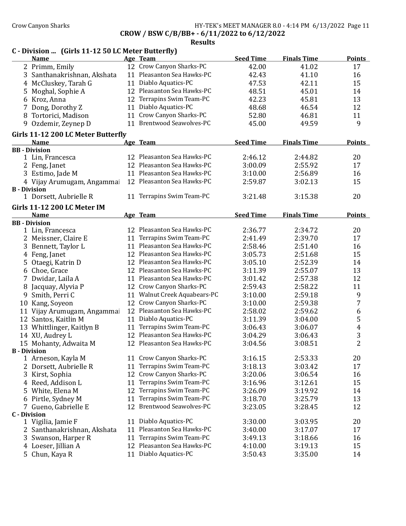Crow Canyon Sharks HY-TEK's MEET MANAGER 8.0 - 4:14 PM 6/13/2022 Page 11

CROW / BSW C/B/BB+ - 6/11/2022 to 6/12/2022

|                     | C - Division  (Girls 11-12 50 LC Meter Butterfly) |    |                              |                  |                    |                  |
|---------------------|---------------------------------------------------|----|------------------------------|------------------|--------------------|------------------|
|                     | <b>Name</b>                                       |    | Age Team                     | <b>Seed Time</b> | <b>Finals Time</b> | <b>Points</b>    |
|                     | 2 Primm, Emily                                    |    | 12 Crow Canyon Sharks-PC     | 42.00            | 41.02              | 17               |
|                     | 3 Santhanakrishnan, Akshata                       |    | 11 Pleasanton Sea Hawks-PC   | 42.43            | 41.10              | 16               |
|                     | 4 McCluskey, Tarah G                              |    | 11 Diablo Aquatics-PC        | 47.53            | 42.11              | 15               |
|                     | 5 Moghal, Sophie A                                |    | 12 Pleasanton Sea Hawks-PC   | 48.51            | 45.01              | 14               |
|                     | 6 Kroz, Anna                                      |    | 12 Terrapins Swim Team-PC    | 42.23            | 45.81              | 13               |
|                     | 7 Dong, Dorothy Z                                 |    | 11 Diablo Aquatics-PC        | 48.68            | 46.54              | 12               |
| 8                   | Tortorici, Madison                                |    | 11 Crow Canyon Sharks-PC     | 52.80            | 46.81              | 11               |
|                     | 9 Ozdemir, Zeynep D                               |    | 11 Brentwood Seawolves-PC    | 45.00            | 49.59              | 9                |
|                     | Girls 11-12 200 LC Meter Butterfly                |    |                              |                  |                    |                  |
|                     | <b>Name</b>                                       |    | Age Team                     | <b>Seed Time</b> | <b>Finals Time</b> | <b>Points</b>    |
|                     | <b>BB</b> - Division                              |    |                              |                  |                    |                  |
|                     | 1 Lin, Francesca                                  |    | 12 Pleasanton Sea Hawks-PC   | 2:46.12          | 2:44.82            | 20               |
|                     | 2 Feng, Janet                                     |    | 12 Pleasanton Sea Hawks-PC   | 3:00.09          | 2:55.92            | 17               |
|                     | 3 Estimo, Jade M                                  |    | 11 Pleasanton Sea Hawks-PC   | 3:10.00          | 2:56.89            | 16               |
|                     | 4 Vijay Arumugam, Angammai                        |    | 12 Pleasanton Sea Hawks-PC   | 2:59.87          | 3:02.13            | 15               |
| <b>B</b> - Division |                                                   |    |                              |                  |                    |                  |
|                     | 1 Dorsett, Aubrielle R                            |    | 11 Terrapins Swim Team-PC    | 3:21.48          | 3:15.38            | 20               |
|                     | <b>Girls 11-12 200 LC Meter IM</b>                |    |                              |                  |                    |                  |
|                     | <b>Name</b>                                       |    | Age Team                     | <b>Seed Time</b> | <b>Finals Time</b> | <b>Points</b>    |
|                     | <b>BB</b> - Division                              |    |                              |                  |                    |                  |
|                     | 1 Lin, Francesca                                  |    | 12 Pleasanton Sea Hawks-PC   | 2:36.77          | 2:34.72            | 20               |
|                     | 2 Meissner, Claire E                              |    | 11 Terrapins Swim Team-PC    | 2:41.49          | 2:39.70            | 17               |
| 3                   | Bennett, Taylor L                                 |    | 11 Pleasanton Sea Hawks-PC   | 2:58.46          | 2:51.40            | 16               |
|                     | 4 Feng, Janet                                     |    | 12 Pleasanton Sea Hawks-PC   | 3:05.73          | 2:51.68            | 15               |
|                     | 5 Otaegi, Katrin D                                |    | 12 Pleasanton Sea Hawks-PC   | 3:05.10          | 2:52.39            | 14               |
|                     | 6 Choe, Grace                                     |    | 12 Pleasanton Sea Hawks-PC   | 3:11.39          | 2:55.07            | 13               |
|                     | 7 Dwidar, Laila A                                 |    | 11 Pleasanton Sea Hawks-PC   | 3:01.42          | 2:57.38            | 12               |
|                     | Jacquay, Alyvia P                                 |    | 12 Crow Canyon Sharks-PC     | 2:59.43          | 2:58.22            | 11               |
|                     | 9 Smith, Perri C                                  |    | 11 Walnut Creek Aquabears-PC | 3:10.00          | 2:59.18            | 9                |
|                     | 10 Kang, Soyeon                                   |    | 12 Crow Canyon Sharks-PC     | 3:10.00          | 2:59.38            | 7                |
|                     | 11 Vijay Arumugam, Angammai                       |    | 12 Pleasanton Sea Hawks-PC   | 2:58.02          | 2:59.62            | $\boldsymbol{6}$ |
|                     | 12 Santos, Kaitlin M                              |    | 11 Diablo Aquatics-PC        | 3:11.39          | 3:04.00            | $\mathsf S$      |
|                     | 13 Whittlinger, Kaitlyn B                         |    | 11 Terrapins Swim Team-PC    | 3:06.43          | 3:06.07            | $\overline{4}$   |
|                     | 14 XU, Audrey L                                   |    | 12 Pleasanton Sea Hawks-PC   | 3:04.29          | 3:06.43            | 3                |
|                     | 15 Mohanty, Adwaita M                             |    | 12 Pleasanton Sea Hawks-PC   | 3:04.56          | 3:08.51            | $\boldsymbol{2}$ |
|                     | <b>B</b> - Division                               |    |                              |                  |                    |                  |
|                     | 1 Arneson, Kayla M                                |    | 11 Crow Canyon Sharks-PC     | 3:16.15          | 2:53.33            | 20               |
|                     | 2 Dorsett, Aubrielle R                            |    | 11 Terrapins Swim Team-PC    | 3:18.13          | 3:03.42            | 17               |
|                     | 3 Kirst, Sophia                                   |    | 12 Crow Canyon Sharks-PC     | 3:20.06          | 3:06.54            | 16               |
|                     | 4 Reed, Addison L                                 |    | 11 Terrapins Swim Team-PC    | 3:16.96          | 3:12.61            | 15               |
|                     | 5 White, Elena M                                  |    | 12 Terrapins Swim Team-PC    | 3:26.09          | 3:19.92            | 14               |
|                     | 6 Pirtle, Sydney M                                | 11 | Terrapins Swim Team-PC       | 3:18.70          | 3:25.79            | 13               |
|                     | 7 Gueno, Gabrielle E                              |    | 12 Brentwood Seawolves-PC    | 3:23.05          | 3:28.45            | 12               |
| <b>C</b> - Division |                                                   |    |                              |                  |                    |                  |
|                     | 1 Vigilia, Jamie F                                | 11 | Diablo Aquatics-PC           | 3:30.00          | 3:03.95            | 20               |
|                     | 2 Santhanakrishnan, Akshata                       | 11 | Pleasanton Sea Hawks-PC      | 3:40.00          | 3:17.07            | 17               |
|                     | 3 Swanson, Harper R                               | 11 | Terrapins Swim Team-PC       | 3:49.13          | 3:18.66            | 16               |
|                     | 4 Loeser, Jillian A                               |    | 12 Pleasanton Sea Hawks-PC   | 4:10.00          | 3:19.13            | 15               |
|                     | 5 Chun, Kaya R                                    |    | 11 Diablo Aquatics-PC        | 3:50.43          | 3:35.00            | 14               |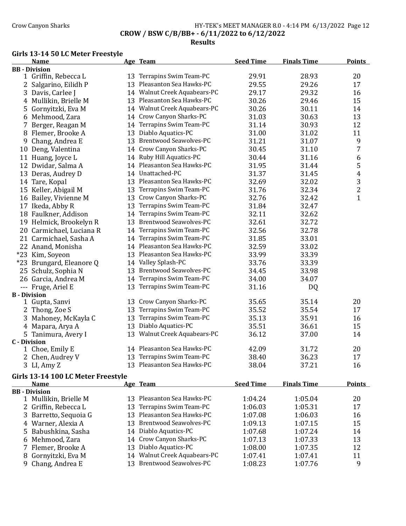## Crow Canyon Sharks **HY-TEK's MEET MANAGER 8.0 - 4:14 PM 6/13/2022** Page 12 CROW / BSW C/B/BB+ - 6/11/2022 to 6/12/2022

### Results

### Girls 13-14 50 LC Meter Freestyle

|                     | <b>Name</b>              |    | Age Team                      | <b>Seed Time</b> | <b>Finals Time</b> | <b>Points</b>  |
|---------------------|--------------------------|----|-------------------------------|------------------|--------------------|----------------|
|                     | <b>BB</b> - Division     |    |                               |                  |                    |                |
|                     | 1 Griffin, Rebecca L     |    | 13 Terrapins Swim Team-PC     | 29.91            | 28.93              | 20             |
|                     | 2 Salgarino, Eilidh P    |    | 13 Pleasanton Sea Hawks-PC    | 29.55            | 29.26              | 17             |
|                     | 3 Davis, Carlee J        |    | 14 Walnut Creek Aquabears-PC  | 29.17            | 29.32              | 16             |
|                     | 4 Mullikin, Brielle M    |    | 13 Pleasanton Sea Hawks-PC    | 30.26            | 29.46              | 15             |
|                     | 5 Gornyitzki, Eva M      |    | 14 Walnut Creek Aquabears-PC  | 30.26            | 30.11              | 14             |
|                     | 6 Mehmood, Zara          |    | 14 Crow Canyon Sharks-PC      | 31.03            | 30.63              | 13             |
|                     | 7 Berger, Reagan M       |    | 14 Terrapins Swim Team-PC     | 31.14            | 30.93              | 12             |
|                     | 8 Flemer, Brooke A       |    | 13 Diablo Aquatics-PC         | 31.00            | 31.02              | 11             |
|                     | 9 Chang, Andrea E        |    | 13 Brentwood Seawolves-PC     | 31.21            | 31.07              | 9              |
|                     | 10 Deng, Valentina       |    | 14 Crow Canyon Sharks-PC      | 30.45            | 31.10              | 7              |
|                     | 11 Huang, Joyce L        |    | 14 Ruby Hill Aquatics-PC      | 30.44            | 31.16              | 6              |
|                     | 12 Dwidar, Salma A       |    | 14 Pleasanton Sea Hawks-PC    | 31.95            | 31.44              | 5              |
|                     | 13 Deras, Audrey D       |    | 14 Unattached-PC              | 31.37            | 31.45              | 4              |
|                     | 14 Tare, Kopal           |    | 13 Pleasanton Sea Hawks-PC    | 32.69            | 32.02              | 3              |
|                     | 15 Keller, Abigail M     |    | 13 Terrapins Swim Team-PC     | 31.76            | 32.34              | $\overline{c}$ |
|                     | 16 Bailey, Vivienne M    |    | 13 Crow Canyon Sharks-PC      | 32.76            | 32.42              | $\mathbf{1}$   |
|                     | 17 Ikeda, Abby R         |    | 13 Terrapins Swim Team-PC     | 31.84            | 32.47              |                |
|                     | 18 Faulkner, Addison     | 14 | Terrapins Swim Team-PC        | 32.11            | 32.62              |                |
|                     | 19 Helmick, Brookelyn R  | 13 | <b>Brentwood Seawolves-PC</b> | 32.61            | 32.72              |                |
|                     | 20 Carmichael, Luciana R | 14 | Terrapins Swim Team-PC        | 32.56            | 32.78              |                |
|                     | 21 Carmichael, Sasha A   |    | 14 Terrapins Swim Team-PC     | 31.85            | 33.01              |                |
|                     | 22 Anand, Monisha        |    | 14 Pleasanton Sea Hawks-PC    | 32.59            | 33.02              |                |
|                     | *23 Kim, Soyeon          |    | 13 Pleasanton Sea Hawks-PC    | 33.99            | 33.39              |                |
|                     | *23 Brungard, Eleanore Q |    | 14 Valley Splash-PC           | 33.76            | 33.39              |                |
|                     | 25 Schulz, Sophia N      |    | 13 Brentwood Seawolves-PC     | 34.45            | 33.98              |                |
|                     | 26 Garcia, Andrea M      |    | 14 Terrapins Swim Team-PC     | 34.00            | 34.07              |                |
|                     | --- Fruge, Ariel E       | 13 | Terrapins Swim Team-PC        | 31.16            | <b>DQ</b>          |                |
| <b>B</b> - Division |                          |    |                               |                  |                    |                |
|                     | 1 Gupta, Sanvi           |    | 13 Crow Canyon Sharks-PC      | 35.65            | 35.14              | 20             |
|                     | 2 Thong, Zoe S           | 13 | Terrapins Swim Team-PC        | 35.52            | 35.54              | 17             |
|                     | 3 Mahoney, McKayla C     | 13 | Terrapins Swim Team-PC        | 35.13            | 35.91              | 16             |
|                     | 4 Mapara, Arya A         |    | 13 Diablo Aquatics-PC         | 35.51            | 36.61              | 15             |
|                     | 5 Tanimura, Avery I      |    | 13 Walnut Creek Aquabears-PC  | 36.12            | 37.00              | 14             |
| <b>C</b> - Division |                          |    |                               |                  |                    |                |
|                     | 1 Choe, Emily E          |    | 14 Pleasanton Sea Hawks-PC    | 42.09            | 31.72              | 20             |
|                     | 2 Chen, Audrey V         |    | 13 Terrapins Swim Team-PC     | 38.40            | 36.23              | 17             |
|                     | 3 LI, Amy Z              |    | 13 Pleasanton Sea Hawks-PC    | 38.04            | 37.21              | 16             |

#### Girls 13-14 100 LC Meter Freestyle

| ullis 15-14 100 LC Meter Preesivie |    |                               |                  |                    |               |
|------------------------------------|----|-------------------------------|------------------|--------------------|---------------|
| <b>Name</b>                        |    | Age Team                      | <b>Seed Time</b> | <b>Finals Time</b> | <b>Points</b> |
| <b>BB</b> - Division               |    |                               |                  |                    |               |
| 1 Mullikin, Brielle M              |    | 13 Pleasanton Sea Hawks-PC    | 1:04.24          | 1:05.04            | 20            |
| 2 Griffin, Rebecca L               |    | 13 Terrapins Swim Team-PC     | 1:06.03          | 1:05.31            | 17            |
| 3 Barretto, Sequoia G              |    | 13 Pleasanton Sea Hawks-PC    | 1:07.08          | 1:06.03            | 16            |
| 4 Warner, Alexia A                 |    | 13 Brentwood Seawolves-PC     | 1:09.13          | 1:07.15            | 15            |
| 5 Babushkina, Sasha                |    | 14 Diablo Aquatics-PC         | 1:07.68          | 1:07.24            | 14            |
| 6 Mehmood, Zara                    |    | 14 Crow Canyon Sharks-PC      | 1:07.13          | 1:07.33            | 13            |
| 7 Flemer, Brooke A                 | 13 | Diablo Aquatics-PC            | 1:08.00          | 1:07.35            | 12            |
| 8 Gornyitzki, Eva M                |    | 14 Walnut Creek Aquabears-PC  | 1:07.41          | 1:07.41            | 11            |
| 9 Chang, Andrea E                  |    | <b>Brentwood Seawolves-PC</b> | 1:08.23          | 1:07.76            | 9             |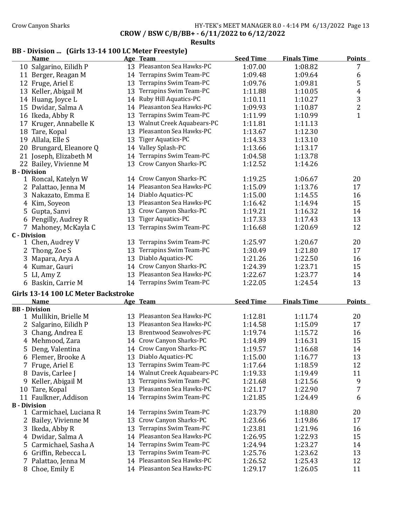# Crow Canyon Sharks **HY-TEK's MEET MANAGER 8.0 - 4:14 PM 6/13/2022** Page 13

CROW / BSW C/B/BB+ - 6/11/2022 to 6/12/2022

#### Results

# BB - Division ... (Girls 13-14 100 LC Meter Freestyle)

|                     | <b>Name</b>                         |    | Age Team                     | <b>Seed Time</b> | <b>Finals Time</b> | <b>Points</b> |
|---------------------|-------------------------------------|----|------------------------------|------------------|--------------------|---------------|
|                     | 10 Salgarino, Eilidh P              |    | 13 Pleasanton Sea Hawks-PC   | 1:07.00          | 1:08.82            | 7             |
|                     | 11 Berger, Reagan M                 |    | 14 Terrapins Swim Team-PC    | 1:09.48          | 1:09.64            | 6             |
|                     | 12 Fruge, Ariel E                   |    | 13 Terrapins Swim Team-PC    | 1:09.76          | 1:09.81            | 5             |
|                     | 13 Keller, Abigail M                |    | 13 Terrapins Swim Team-PC    | 1:11.88          | 1:10.05            | 4             |
|                     | 14 Huang, Joyce L                   |    | 14 Ruby Hill Aquatics-PC     | 1:10.11          | 1:10.27            |               |
|                     | 15 Dwidar, Salma A                  |    | 14 Pleasanton Sea Hawks-PC   | 1:09.93          | 1:10.87            | $\frac{3}{2}$ |
|                     | 16 Ikeda, Abby R                    |    | 13 Terrapins Swim Team-PC    | 1:11.99          | 1:10.99            | $\mathbf{1}$  |
|                     | 17 Kruger, Annabelle K              |    | 13 Walnut Creek Aquabears-PC | 1:11.81          | 1:11.13            |               |
|                     | 18 Tare, Kopal                      |    | 13 Pleasanton Sea Hawks-PC   | 1:13.67          | 1:12.30            |               |
|                     | 19 Allala, Elle S                   |    | 13 Tiger Aquatics-PC         | 1:14.33          | 1:13.10            |               |
|                     | 20 Brungard, Eleanore Q             |    | 14 Valley Splash-PC          | 1:13.66          | 1:13.17            |               |
|                     | 21 Joseph, Elizabeth M              |    | 14 Terrapins Swim Team-PC    | 1:04.58          | 1:13.78            |               |
|                     | 22 Bailey, Vivienne M               |    | 13 Crow Canyon Sharks-PC     | 1:12.52          | 1:14.26            |               |
| <b>B</b> - Division |                                     |    |                              |                  |                    |               |
|                     | 1 Roncal, Katelyn W                 |    | 14 Crow Canyon Sharks-PC     | 1:19.25          | 1:06.67            | 20            |
|                     | 2 Palattao, Jenna M                 |    | 14 Pleasanton Sea Hawks-PC   | 1:15.09          | 1:13.76            | 17            |
|                     | 3 Nakazato, Emma E                  |    | 14 Diablo Aquatics-PC        | 1:15.00          | 1:14.55            | 16            |
|                     | 4 Kim, Soyeon                       |    | 13 Pleasanton Sea Hawks-PC   | 1:16.42          | 1:14.94            | 15            |
|                     | 5 Gupta, Sanvi                      |    | 13 Crow Canyon Sharks-PC     | 1:19.21          | 1:16.32            | 14            |
|                     | 6 Pengilly, Audrey R                |    | 13 Tiger Aquatics-PC         | 1:17.33          | 1:17.43            | 13            |
|                     | 7 Mahoney, McKayla C                |    | 13 Terrapins Swim Team-PC    | 1:16.68          | 1:20.69            | 12            |
| <b>C</b> - Division |                                     |    |                              |                  |                    |               |
|                     | 1 Chen, Audrey V                    |    | 13 Terrapins Swim Team-PC    | 1:25.97          | 1:20.67            | 20            |
|                     | 2 Thong, Zoe S                      |    | 13 Terrapins Swim Team-PC    | 1:30.49          | 1:21.80            | 17            |
|                     | 3 Mapara, Arya A                    |    | 13 Diablo Aquatics-PC        | 1:21.26          | 1:22.50            | 16            |
|                     | 4 Kumar, Gauri                      |    | 14 Crow Canyon Sharks-PC     | 1:24.39          | 1:23.71            | 15            |
|                     | 5 LI, Amy Z                         |    | 13 Pleasanton Sea Hawks-PC   | 1:22.67          | 1:23.77            | 14            |
|                     | 6 Baskin, Carrie M                  |    | 14 Terrapins Swim Team-PC    | 1:22.05          | 1:24.54            | 13            |
|                     | Girls 13-14 100 LC Meter Backstroke |    |                              |                  |                    |               |
|                     | <b>Name</b>                         |    | Age Team                     | <b>Seed Time</b> | <b>Finals Time</b> | <b>Points</b> |
|                     | <b>BB</b> - Division                |    |                              |                  |                    |               |
|                     | 1 Mullikin, Brielle M               |    | 13 Pleasanton Sea Hawks-PC   | 1:12.81          | 1:11.74            | 20            |
|                     | 2 Salgarino, Eilidh P               |    | 13 Pleasanton Sea Hawks-PC   | 1:14.58          | 1:15.09            | 17            |
|                     | 3 Chang, Andrea E                   |    | 13 Brentwood Seawolves-PC    | 1:19.74          | 1:15.72            | 16            |
|                     | 4 Mehmood, Zara                     |    | 14 Crow Canyon Sharks-PC     | 1:14.89          | 1:16.31            | 15            |
|                     | 5 Deng, Valentina                   |    | 14 Crow Canyon Sharks-PC     | 1:19.57          | 1:16.68            | 14            |
|                     | 6 Flemer, Brooke A                  |    | 13 Diablo Aquatics-PC        | 1:15.00          | 1:16.77            | 13            |
|                     | Fruge, Ariel E                      | 13 | Terrapins Swim Team-PC       | 1:17.64          | 1:18.59            | 12            |
| 8                   | Davis, Carlee J                     |    | 14 Walnut Creek Aquabears-PC | 1:19.33          | 1:19.49            | 11            |
| 9.                  | Keller, Abigail M                   | 13 | Terrapins Swim Team-PC       | 1:21.68          | 1:21.56            | 9             |
| 10                  | Tare, Kopal                         | 13 | Pleasanton Sea Hawks-PC      | 1:21.17          | 1:22.90            | 7             |
|                     | 11 Faulkner, Addison                |    | 14 Terrapins Swim Team-PC    | 1:21.85          | 1:24.49            | 6             |
| <b>B</b> - Division |                                     |    |                              |                  |                    |               |
|                     | 1 Carmichael, Luciana R             |    | 14 Terrapins Swim Team-PC    | 1:23.79          | 1:18.80            | 20            |
|                     | Bailey, Vivienne M                  | 13 | Crow Canyon Sharks-PC        | 1:23.66          | 1:19.86            | 17            |
|                     | 3 Ikeda, Abby R                     | 13 | Terrapins Swim Team-PC       | 1:23.81          | 1:21.96            | 16            |
|                     | 4 Dwidar, Salma A                   | 14 | Pleasanton Sea Hawks-PC      | 1:26.95          | 1:22.93            | 15            |
|                     | 5 Carmichael, Sasha A               |    | 14 Terrapins Swim Team-PC    | 1:24.94          | 1:23.27            | 14            |
|                     | 6 Griffin, Rebecca L                | 13 | Terrapins Swim Team-PC       | 1:25.76          | 1:23.62            | 13            |
| 7                   | Palattao, Jenna M                   |    | 14 Pleasanton Sea Hawks-PC   | 1:26.52          | 1:25.43            | 12            |
|                     | 8 Choe, Emily E                     |    | 14 Pleasanton Sea Hawks-PC   | 1:29.17          | 1:26.05            | 11            |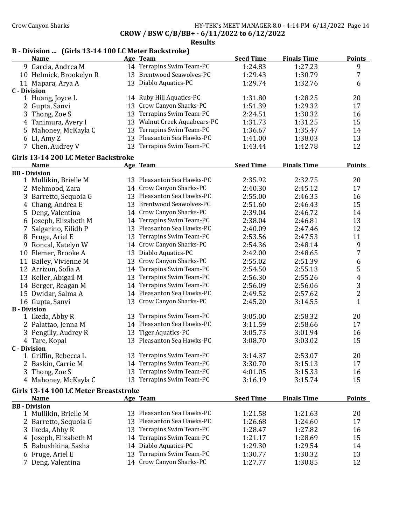### Crow Canyon Sharks HY-TEK's MEET MANAGER 8.0 - 4:14 PM 6/13/2022 Page 14 CROW / BSW C/B/BB+ - 6/11/2022 to 6/12/2022

Results

# B - Division ... (Girls 13-14 100 LC Meter Backstroke)

| on  Tunis 19 11 100 Bu Meter Baenströne J<br><u>Name</u> |    | Age Team                     | <b>Seed Time</b> | <b>Finals Time</b> | <b>Points</b>  |
|----------------------------------------------------------|----|------------------------------|------------------|--------------------|----------------|
| 9 Garcia, Andrea M                                       |    | 14 Terrapins Swim Team-PC    | 1:24.83          | 1:27.23            | 9              |
| 10 Helmick, Brookelyn R                                  |    | 13 Brentwood Seawolves-PC    | 1:29.43          | 1:30.79            | 7              |
| 11 Mapara, Arya A                                        |    | 13 Diablo Aquatics-PC        | 1:29.74          | 1:32.76            | 6              |
| <b>C</b> - Division                                      |    |                              |                  |                    |                |
| 1 Huang, Joyce L                                         |    | 14 Ruby Hill Aquatics-PC     | 1:31.80          | 1:28.25            | 20             |
| 2 Gupta, Sanvi                                           |    | 13 Crow Canyon Sharks-PC     | 1:51.39          | 1:29.32            | 17             |
| 3 Thong, Zoe S                                           |    | 13 Terrapins Swim Team-PC    | 2:24.51          | 1:30.32            | 16             |
| 4 Tanimura, Avery I                                      |    | 13 Walnut Creek Aquabears-PC | 1:31.73          | 1:31.25            | 15             |
| 5 Mahoney, McKayla C                                     |    | 13 Terrapins Swim Team-PC    | 1:36.67          | 1:35.47            | 14             |
| 6 LI, Amy Z                                              |    | 13 Pleasanton Sea Hawks-PC   | 1:41.00          | 1:38.03            | 13             |
| 7 Chen, Audrey V                                         |    | 13 Terrapins Swim Team-PC    | 1:43.44          | 1:42.78            | 12             |
| Girls 13-14 200 LC Meter Backstroke                      |    |                              |                  |                    |                |
| <b>Name</b>                                              |    | Age Team                     | <b>Seed Time</b> | <b>Finals Time</b> | <b>Points</b>  |
| <b>BB</b> - Division                                     |    |                              |                  |                    |                |
| 1 Mullikin, Brielle M                                    |    | 13 Pleasanton Sea Hawks-PC   | 2:35.92          | 2:32.75            | 20             |
| 2 Mehmood, Zara                                          |    | 14 Crow Canyon Sharks-PC     | 2:40.30          | 2:45.12            | 17             |
| 3 Barretto, Sequoia G                                    |    | 13 Pleasanton Sea Hawks-PC   | 2:55.00          | 2:46.35            | 16             |
| Chang, Andrea E<br>4                                     |    | 13 Brentwood Seawolves-PC    | 2:51.60          | 2:46.43            | 15             |
| 5 Deng, Valentina                                        |    | 14 Crow Canyon Sharks-PC     | 2:39.04          | 2:46.72            | 14             |
| 6 Joseph, Elizabeth M                                    |    | 14 Terrapins Swim Team-PC    | 2:38.04          | 2:46.81            | 13             |
| 7 Salgarino, Eilidh P                                    |    | 13 Pleasanton Sea Hawks-PC   | 2:40.09          | 2:47.46            | 12             |
| 8 Fruge, Ariel E                                         |    | 13 Terrapins Swim Team-PC    | 2:53.56          | 2:47.53            | 11             |
| Roncal, Katelyn W<br>9                                   |    | 14 Crow Canyon Sharks-PC     | 2:54.36          | 2:48.14            | 9              |
| 10 Flemer, Brooke A                                      |    | 13 Diablo Aquatics-PC        | 2:42.00          | 2:48.65            | 7              |
| 11 Bailey, Vivienne M                                    |    | 13 Crow Canyon Sharks-PC     | 2:55.02          | 2:51.39            | 6              |
| 12 Arrizon, Sofia A                                      |    | 14 Terrapins Swim Team-PC    | 2:54.50          | 2:55.13            | 5              |
| 13 Keller, Abigail M                                     |    | 13 Terrapins Swim Team-PC    | 2:56.30          | 2:55.26            | 4              |
| 14 Berger, Reagan M                                      |    | 14 Terrapins Swim Team-PC    | 2:56.09          | 2:56.06            | 3              |
| 15 Dwidar, Salma A                                       |    | 14 Pleasanton Sea Hawks-PC   | 2:49.52          | 2:57.62            | $\overline{2}$ |
| 16 Gupta, Sanvi                                          |    | 13 Crow Canyon Sharks-PC     | 2:45.20          | 3:14.55            | $\mathbf{1}$   |
| <b>B</b> - Division                                      |    |                              |                  |                    |                |
| 1 Ikeda, Abby R                                          |    | 13 Terrapins Swim Team-PC    | 3:05.00          | 2:58.32            | 20             |
| 2 Palattao, Jenna M                                      |    | 14 Pleasanton Sea Hawks-PC   | 3:11.59          | 2:58.66            | 17             |
| 3 Pengilly, Audrey R                                     |    | 13 Tiger Aquatics-PC         | 3:05.73          | 3:01.94            | 16             |
| 4 Tare, Kopal                                            |    | 13 Pleasanton Sea Hawks-PC   | 3:08.70          | 3:03.02            | 15             |
| <b>C</b> - Division                                      |    |                              |                  |                    |                |
| 1 Griffin, Rebecca L                                     |    | 13 Terrapins Swim Team-PC    | 3:14.37          | 2:53.07            | 20             |
| Baskin, Carrie M                                         | 14 | Terrapins Swim Team-PC       | 3:30.70          | 3:15.13            | 17             |
| Thong, Zoe S<br>3                                        | 13 | Terrapins Swim Team-PC       | 4:01.05          | 3:15.33            | 16             |
| 4 Mahoney, McKayla C                                     |    | 13 Terrapins Swim Team-PC    | 3:16.19          | 3:15.74            | 15             |
| Girls 13-14 100 LC Meter Breaststroke                    |    |                              |                  |                    |                |
| <b>Name</b>                                              |    | Age Team                     | <b>Seed Time</b> | <b>Finals Time</b> | <b>Points</b>  |
| <b>BB</b> - Division                                     |    |                              |                  |                    |                |
| 1 Mullikin, Brielle M                                    |    | 13 Pleasanton Sea Hawks-PC   | 1:21.58          | 1:21.63            | 20             |
| Barretto, Sequoia G<br>2                                 | 13 | Pleasanton Sea Hawks-PC      | 1:26.68          | 1:24.60            | 17             |
| 3 Ikeda, Abby R                                          | 13 | Terrapins Swim Team-PC       | 1:28.47          | 1:27.82            | 16             |
| 4 Joseph, Elizabeth M                                    |    | 14 Terrapins Swim Team-PC    | 1:21.17          | 1:28.69            | 15             |
| Babushkina, Sasha<br>5.                                  | 14 | Diablo Aquatics-PC           | 1:29.30          | 1:29.54            | 14             |
| Fruge, Ariel E<br>6                                      | 13 | Terrapins Swim Team-PC       | 1:30.77          | 1:30.32            | 13             |
| 7 Deng, Valentina                                        |    | 14 Crow Canyon Sharks-PC     | 1:27.77          | 1:30.85            | 12             |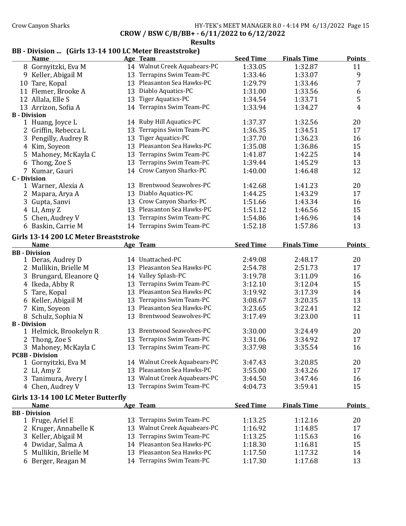### Crow Canyon Sharks **HY-TEK's MEET MANAGER 8.0 - 4:14 PM 6/13/2022** Page 15 CROW / BSW C/B/BB+ - 6/11/2022 to 6/12/2022

# Results

# BB - Division ... (Girls 13-14 100 LC Meter Breaststroke)

| 14 Walnut Creek Aquabears-PC<br>1:33.05<br>1:32.87<br>11<br>8 Gornyitzki, Eva M<br>13 Terrapins Swim Team-PC<br>9<br>9 Keller, Abigail M<br>1:33.46<br>1:33.07<br>13 Pleasanton Sea Hawks-PC<br>7<br>10 Tare, Kopal<br>1:29.79<br>1:33.46<br>Diablo Aquatics-PC<br>6<br>11 Flemer, Brooke A<br>13<br>1:31.00<br>1:33.56<br>5<br>13 Tiger Aquatics-PC<br>12 Allala, Elle S<br>1:34.54<br>1:33.71<br>14 Terrapins Swim Team-PC<br>4<br>1:33.94<br>1:34.27<br>13 Arrizon, Sofia A<br><b>B</b> - Division<br>20<br>1 Huang, Joyce L<br>14 Ruby Hill Aquatics-PC<br>1:32.56<br>1:37.37<br>Terrapins Swim Team-PC<br>17<br>2 Griffin, Rebecca L<br>1:36.35<br>1:34.51<br>13<br>Tiger Aquatics-PC<br>16<br>3 Pengilly, Audrey R<br>13<br>1:37.70<br>1:36.23<br>Pleasanton Sea Hawks-PC<br>15<br>4 Kim, Soyeon<br>13<br>1:35.08<br>1:36.86<br>Terrapins Swim Team-PC<br>5 Mahoney, McKayla C<br>14<br>13<br>1:41.87<br>1:42.25<br>Terrapins Swim Team-PC<br>13<br>6 Thong, Zoe S<br>13<br>1:39.44<br>1:45.29<br>14 Crow Canyon Sharks-PC<br>12<br>7 Kumar, Gauri<br>1:40.00<br>1:46.48<br><b>C</b> - Division<br>13 Brentwood Seawolves-PC<br>20<br>1 Warner, Alexia A<br>1:42.68<br>1:41.23<br>13 Diablo Aquatics-PC<br>2 Mapara, Arya A<br>1:44.25<br>1:43.29<br>17<br>13 Crow Canyon Sharks-PC<br>3 Gupta, Sanvi<br>1:51.66<br>16<br>1:43.34<br>13 Pleasanton Sea Hawks-PC<br>15<br>4 LI, Amy Z<br>1:51.12<br>1:46.56<br>Terrapins Swim Team-PC<br>14<br>5 Chen, Audrey V<br>13<br>1:54.86<br>1:46.96<br>14 Terrapins Swim Team-PC<br>13<br>6 Baskin, Carrie M<br>1:52.18<br>1:57.86<br>Girls 13-14 200 LC Meter Breaststroke<br><b>Name</b><br><b>Seed Time</b><br><b>Finals Time</b><br><b>Points</b><br>Age Team<br><b>BB</b> - Division<br>1 Deras, Audrey D<br>14 Unattached-PC<br>2:49.08<br>2:48.17<br>20<br>13 Pleasanton Sea Hawks-PC<br>17<br>2 Mullikin, Brielle M<br>2:54.78<br>2:51.73<br>14 Valley Splash-PC<br>3 Brungard, Eleanore Q<br>3:19.78<br>3:11.09<br>16<br>13 Terrapins Swim Team-PC<br>15<br>4 Ikeda, Abby R<br>3:12.10<br>3:12.04<br>13 Pleasanton Sea Hawks-PC<br>5 Tare, Kopal<br>3:19.92<br>3:17.39<br>14<br>6 Keller, Abigail M<br>13 Terrapins Swim Team-PC<br>13<br>3:08.67<br>3:20.35<br>13 Pleasanton Sea Hawks-PC<br>12<br>7 Kim, Soyeon<br>3:23.65<br>3:22.41<br>13 Brentwood Seawolves-PC<br>11<br>8 Schulz, Sophia N<br>3:17.49<br>3:23.00<br><b>B</b> - Division<br>13 Brentwood Seawolves-PC<br>1 Helmick, Brookelyn R<br>3:30.00<br>20<br>3:24.49<br>Terrapins Swim Team-PC<br>2 Thong, Zoe S<br>17<br>13<br>3:31.06<br>3:34.92<br>13 Terrapins Swim Team-PC<br>3:37.98<br>3:35.54<br>16<br>3 Mahoney, McKayla C<br><b>PC8B - Division</b><br>14 Walnut Creek Aquabears-PC<br>3:20.85<br>20<br>1 Gornyitzki, Eva M<br>3:47.43<br>13 Pleasanton Sea Hawks-PC<br>3:55.00<br>3:43.26<br>17<br>2 LI, Amy Z<br>Walnut Creek Aquabears-PC<br>3 Tanimura, Avery I<br>13<br>3:44.50<br>3:47.46<br>16<br>13 Terrapins Swim Team-PC<br>4 Chen, Audrey V<br>15<br>4:04.73<br>3:59.41<br>Girls 13-14 100 LC Meter Butterfly<br><b>Seed Time</b><br><b>Finals Time</b><br><b>Points</b><br><b>Name</b><br>Age Team<br><b>BB</b> - Division<br>Terrapins Swim Team-PC<br>1 Fruge, Ariel E<br>1:13.25<br>1:12.16<br>20<br>13<br>Walnut Creek Aquabears-PC<br>2 Kruger, Annabelle K<br>1:16.92<br>1:14.85<br>13<br>17<br>Terrapins Swim Team-PC<br>3 Keller, Abigail M<br>1:13.25<br>1:15.63<br>16<br>13<br>Pleasanton Sea Hawks-PC<br>4 Dwidar, Salma A<br>1:18.30<br>1:16.81<br>15<br>14<br>Pleasanton Sea Hawks-PC<br>Mullikin, Brielle M<br>1:17.50<br>1:17.32<br>14<br>13<br>5.<br>14 Terrapins Swim Team-PC<br>6 Berger, Reagan M<br>1:17.30<br>13<br>1:17.68 | <b>Name</b> | Age Team | <b>Seed Time</b> | <b>Finals Time</b> | <b>Points</b> |
|------------------------------------------------------------------------------------------------------------------------------------------------------------------------------------------------------------------------------------------------------------------------------------------------------------------------------------------------------------------------------------------------------------------------------------------------------------------------------------------------------------------------------------------------------------------------------------------------------------------------------------------------------------------------------------------------------------------------------------------------------------------------------------------------------------------------------------------------------------------------------------------------------------------------------------------------------------------------------------------------------------------------------------------------------------------------------------------------------------------------------------------------------------------------------------------------------------------------------------------------------------------------------------------------------------------------------------------------------------------------------------------------------------------------------------------------------------------------------------------------------------------------------------------------------------------------------------------------------------------------------------------------------------------------------------------------------------------------------------------------------------------------------------------------------------------------------------------------------------------------------------------------------------------------------------------------------------------------------------------------------------------------------------------------------------------------------------------------------------------------------------------------------------------------------------------------------------------------------------------------------------------------------------------------------------------------------------------------------------------------------------------------------------------------------------------------------------------------------------------------------------------------------------------------------------------------------------------------------------------------------------------------------------------------------------------------------------------------------------------------------------------------------------------------------------------------------------------------------------------------------------------------------------------------------------------------------------------------------------------------------------------------------------------------------------------------------------------------------------------------------------------------------------------------------------------------------------------------------------------------------------------------------------------------------------------------------------------------------------------------------------------------------------------------------------------------------------------------------------------------------------------------------------------------------------------------------------------------------------------------------------------------------------------------------------------|-------------|----------|------------------|--------------------|---------------|
|                                                                                                                                                                                                                                                                                                                                                                                                                                                                                                                                                                                                                                                                                                                                                                                                                                                                                                                                                                                                                                                                                                                                                                                                                                                                                                                                                                                                                                                                                                                                                                                                                                                                                                                                                                                                                                                                                                                                                                                                                                                                                                                                                                                                                                                                                                                                                                                                                                                                                                                                                                                                                                                                                                                                                                                                                                                                                                                                                                                                                                                                                                                                                                                                                                                                                                                                                                                                                                                                                                                                                                                                                                                                                          |             |          |                  |                    |               |
|                                                                                                                                                                                                                                                                                                                                                                                                                                                                                                                                                                                                                                                                                                                                                                                                                                                                                                                                                                                                                                                                                                                                                                                                                                                                                                                                                                                                                                                                                                                                                                                                                                                                                                                                                                                                                                                                                                                                                                                                                                                                                                                                                                                                                                                                                                                                                                                                                                                                                                                                                                                                                                                                                                                                                                                                                                                                                                                                                                                                                                                                                                                                                                                                                                                                                                                                                                                                                                                                                                                                                                                                                                                                                          |             |          |                  |                    |               |
|                                                                                                                                                                                                                                                                                                                                                                                                                                                                                                                                                                                                                                                                                                                                                                                                                                                                                                                                                                                                                                                                                                                                                                                                                                                                                                                                                                                                                                                                                                                                                                                                                                                                                                                                                                                                                                                                                                                                                                                                                                                                                                                                                                                                                                                                                                                                                                                                                                                                                                                                                                                                                                                                                                                                                                                                                                                                                                                                                                                                                                                                                                                                                                                                                                                                                                                                                                                                                                                                                                                                                                                                                                                                                          |             |          |                  |                    |               |
|                                                                                                                                                                                                                                                                                                                                                                                                                                                                                                                                                                                                                                                                                                                                                                                                                                                                                                                                                                                                                                                                                                                                                                                                                                                                                                                                                                                                                                                                                                                                                                                                                                                                                                                                                                                                                                                                                                                                                                                                                                                                                                                                                                                                                                                                                                                                                                                                                                                                                                                                                                                                                                                                                                                                                                                                                                                                                                                                                                                                                                                                                                                                                                                                                                                                                                                                                                                                                                                                                                                                                                                                                                                                                          |             |          |                  |                    |               |
|                                                                                                                                                                                                                                                                                                                                                                                                                                                                                                                                                                                                                                                                                                                                                                                                                                                                                                                                                                                                                                                                                                                                                                                                                                                                                                                                                                                                                                                                                                                                                                                                                                                                                                                                                                                                                                                                                                                                                                                                                                                                                                                                                                                                                                                                                                                                                                                                                                                                                                                                                                                                                                                                                                                                                                                                                                                                                                                                                                                                                                                                                                                                                                                                                                                                                                                                                                                                                                                                                                                                                                                                                                                                                          |             |          |                  |                    |               |
|                                                                                                                                                                                                                                                                                                                                                                                                                                                                                                                                                                                                                                                                                                                                                                                                                                                                                                                                                                                                                                                                                                                                                                                                                                                                                                                                                                                                                                                                                                                                                                                                                                                                                                                                                                                                                                                                                                                                                                                                                                                                                                                                                                                                                                                                                                                                                                                                                                                                                                                                                                                                                                                                                                                                                                                                                                                                                                                                                                                                                                                                                                                                                                                                                                                                                                                                                                                                                                                                                                                                                                                                                                                                                          |             |          |                  |                    |               |
|                                                                                                                                                                                                                                                                                                                                                                                                                                                                                                                                                                                                                                                                                                                                                                                                                                                                                                                                                                                                                                                                                                                                                                                                                                                                                                                                                                                                                                                                                                                                                                                                                                                                                                                                                                                                                                                                                                                                                                                                                                                                                                                                                                                                                                                                                                                                                                                                                                                                                                                                                                                                                                                                                                                                                                                                                                                                                                                                                                                                                                                                                                                                                                                                                                                                                                                                                                                                                                                                                                                                                                                                                                                                                          |             |          |                  |                    |               |
|                                                                                                                                                                                                                                                                                                                                                                                                                                                                                                                                                                                                                                                                                                                                                                                                                                                                                                                                                                                                                                                                                                                                                                                                                                                                                                                                                                                                                                                                                                                                                                                                                                                                                                                                                                                                                                                                                                                                                                                                                                                                                                                                                                                                                                                                                                                                                                                                                                                                                                                                                                                                                                                                                                                                                                                                                                                                                                                                                                                                                                                                                                                                                                                                                                                                                                                                                                                                                                                                                                                                                                                                                                                                                          |             |          |                  |                    |               |
|                                                                                                                                                                                                                                                                                                                                                                                                                                                                                                                                                                                                                                                                                                                                                                                                                                                                                                                                                                                                                                                                                                                                                                                                                                                                                                                                                                                                                                                                                                                                                                                                                                                                                                                                                                                                                                                                                                                                                                                                                                                                                                                                                                                                                                                                                                                                                                                                                                                                                                                                                                                                                                                                                                                                                                                                                                                                                                                                                                                                                                                                                                                                                                                                                                                                                                                                                                                                                                                                                                                                                                                                                                                                                          |             |          |                  |                    |               |
|                                                                                                                                                                                                                                                                                                                                                                                                                                                                                                                                                                                                                                                                                                                                                                                                                                                                                                                                                                                                                                                                                                                                                                                                                                                                                                                                                                                                                                                                                                                                                                                                                                                                                                                                                                                                                                                                                                                                                                                                                                                                                                                                                                                                                                                                                                                                                                                                                                                                                                                                                                                                                                                                                                                                                                                                                                                                                                                                                                                                                                                                                                                                                                                                                                                                                                                                                                                                                                                                                                                                                                                                                                                                                          |             |          |                  |                    |               |
|                                                                                                                                                                                                                                                                                                                                                                                                                                                                                                                                                                                                                                                                                                                                                                                                                                                                                                                                                                                                                                                                                                                                                                                                                                                                                                                                                                                                                                                                                                                                                                                                                                                                                                                                                                                                                                                                                                                                                                                                                                                                                                                                                                                                                                                                                                                                                                                                                                                                                                                                                                                                                                                                                                                                                                                                                                                                                                                                                                                                                                                                                                                                                                                                                                                                                                                                                                                                                                                                                                                                                                                                                                                                                          |             |          |                  |                    |               |
|                                                                                                                                                                                                                                                                                                                                                                                                                                                                                                                                                                                                                                                                                                                                                                                                                                                                                                                                                                                                                                                                                                                                                                                                                                                                                                                                                                                                                                                                                                                                                                                                                                                                                                                                                                                                                                                                                                                                                                                                                                                                                                                                                                                                                                                                                                                                                                                                                                                                                                                                                                                                                                                                                                                                                                                                                                                                                                                                                                                                                                                                                                                                                                                                                                                                                                                                                                                                                                                                                                                                                                                                                                                                                          |             |          |                  |                    |               |
|                                                                                                                                                                                                                                                                                                                                                                                                                                                                                                                                                                                                                                                                                                                                                                                                                                                                                                                                                                                                                                                                                                                                                                                                                                                                                                                                                                                                                                                                                                                                                                                                                                                                                                                                                                                                                                                                                                                                                                                                                                                                                                                                                                                                                                                                                                                                                                                                                                                                                                                                                                                                                                                                                                                                                                                                                                                                                                                                                                                                                                                                                                                                                                                                                                                                                                                                                                                                                                                                                                                                                                                                                                                                                          |             |          |                  |                    |               |
|                                                                                                                                                                                                                                                                                                                                                                                                                                                                                                                                                                                                                                                                                                                                                                                                                                                                                                                                                                                                                                                                                                                                                                                                                                                                                                                                                                                                                                                                                                                                                                                                                                                                                                                                                                                                                                                                                                                                                                                                                                                                                                                                                                                                                                                                                                                                                                                                                                                                                                                                                                                                                                                                                                                                                                                                                                                                                                                                                                                                                                                                                                                                                                                                                                                                                                                                                                                                                                                                                                                                                                                                                                                                                          |             |          |                  |                    |               |
|                                                                                                                                                                                                                                                                                                                                                                                                                                                                                                                                                                                                                                                                                                                                                                                                                                                                                                                                                                                                                                                                                                                                                                                                                                                                                                                                                                                                                                                                                                                                                                                                                                                                                                                                                                                                                                                                                                                                                                                                                                                                                                                                                                                                                                                                                                                                                                                                                                                                                                                                                                                                                                                                                                                                                                                                                                                                                                                                                                                                                                                                                                                                                                                                                                                                                                                                                                                                                                                                                                                                                                                                                                                                                          |             |          |                  |                    |               |
|                                                                                                                                                                                                                                                                                                                                                                                                                                                                                                                                                                                                                                                                                                                                                                                                                                                                                                                                                                                                                                                                                                                                                                                                                                                                                                                                                                                                                                                                                                                                                                                                                                                                                                                                                                                                                                                                                                                                                                                                                                                                                                                                                                                                                                                                                                                                                                                                                                                                                                                                                                                                                                                                                                                                                                                                                                                                                                                                                                                                                                                                                                                                                                                                                                                                                                                                                                                                                                                                                                                                                                                                                                                                                          |             |          |                  |                    |               |
|                                                                                                                                                                                                                                                                                                                                                                                                                                                                                                                                                                                                                                                                                                                                                                                                                                                                                                                                                                                                                                                                                                                                                                                                                                                                                                                                                                                                                                                                                                                                                                                                                                                                                                                                                                                                                                                                                                                                                                                                                                                                                                                                                                                                                                                                                                                                                                                                                                                                                                                                                                                                                                                                                                                                                                                                                                                                                                                                                                                                                                                                                                                                                                                                                                                                                                                                                                                                                                                                                                                                                                                                                                                                                          |             |          |                  |                    |               |
|                                                                                                                                                                                                                                                                                                                                                                                                                                                                                                                                                                                                                                                                                                                                                                                                                                                                                                                                                                                                                                                                                                                                                                                                                                                                                                                                                                                                                                                                                                                                                                                                                                                                                                                                                                                                                                                                                                                                                                                                                                                                                                                                                                                                                                                                                                                                                                                                                                                                                                                                                                                                                                                                                                                                                                                                                                                                                                                                                                                                                                                                                                                                                                                                                                                                                                                                                                                                                                                                                                                                                                                                                                                                                          |             |          |                  |                    |               |
|                                                                                                                                                                                                                                                                                                                                                                                                                                                                                                                                                                                                                                                                                                                                                                                                                                                                                                                                                                                                                                                                                                                                                                                                                                                                                                                                                                                                                                                                                                                                                                                                                                                                                                                                                                                                                                                                                                                                                                                                                                                                                                                                                                                                                                                                                                                                                                                                                                                                                                                                                                                                                                                                                                                                                                                                                                                                                                                                                                                                                                                                                                                                                                                                                                                                                                                                                                                                                                                                                                                                                                                                                                                                                          |             |          |                  |                    |               |
|                                                                                                                                                                                                                                                                                                                                                                                                                                                                                                                                                                                                                                                                                                                                                                                                                                                                                                                                                                                                                                                                                                                                                                                                                                                                                                                                                                                                                                                                                                                                                                                                                                                                                                                                                                                                                                                                                                                                                                                                                                                                                                                                                                                                                                                                                                                                                                                                                                                                                                                                                                                                                                                                                                                                                                                                                                                                                                                                                                                                                                                                                                                                                                                                                                                                                                                                                                                                                                                                                                                                                                                                                                                                                          |             |          |                  |                    |               |
|                                                                                                                                                                                                                                                                                                                                                                                                                                                                                                                                                                                                                                                                                                                                                                                                                                                                                                                                                                                                                                                                                                                                                                                                                                                                                                                                                                                                                                                                                                                                                                                                                                                                                                                                                                                                                                                                                                                                                                                                                                                                                                                                                                                                                                                                                                                                                                                                                                                                                                                                                                                                                                                                                                                                                                                                                                                                                                                                                                                                                                                                                                                                                                                                                                                                                                                                                                                                                                                                                                                                                                                                                                                                                          |             |          |                  |                    |               |
|                                                                                                                                                                                                                                                                                                                                                                                                                                                                                                                                                                                                                                                                                                                                                                                                                                                                                                                                                                                                                                                                                                                                                                                                                                                                                                                                                                                                                                                                                                                                                                                                                                                                                                                                                                                                                                                                                                                                                                                                                                                                                                                                                                                                                                                                                                                                                                                                                                                                                                                                                                                                                                                                                                                                                                                                                                                                                                                                                                                                                                                                                                                                                                                                                                                                                                                                                                                                                                                                                                                                                                                                                                                                                          |             |          |                  |                    |               |
|                                                                                                                                                                                                                                                                                                                                                                                                                                                                                                                                                                                                                                                                                                                                                                                                                                                                                                                                                                                                                                                                                                                                                                                                                                                                                                                                                                                                                                                                                                                                                                                                                                                                                                                                                                                                                                                                                                                                                                                                                                                                                                                                                                                                                                                                                                                                                                                                                                                                                                                                                                                                                                                                                                                                                                                                                                                                                                                                                                                                                                                                                                                                                                                                                                                                                                                                                                                                                                                                                                                                                                                                                                                                                          |             |          |                  |                    |               |
|                                                                                                                                                                                                                                                                                                                                                                                                                                                                                                                                                                                                                                                                                                                                                                                                                                                                                                                                                                                                                                                                                                                                                                                                                                                                                                                                                                                                                                                                                                                                                                                                                                                                                                                                                                                                                                                                                                                                                                                                                                                                                                                                                                                                                                                                                                                                                                                                                                                                                                                                                                                                                                                                                                                                                                                                                                                                                                                                                                                                                                                                                                                                                                                                                                                                                                                                                                                                                                                                                                                                                                                                                                                                                          |             |          |                  |                    |               |
|                                                                                                                                                                                                                                                                                                                                                                                                                                                                                                                                                                                                                                                                                                                                                                                                                                                                                                                                                                                                                                                                                                                                                                                                                                                                                                                                                                                                                                                                                                                                                                                                                                                                                                                                                                                                                                                                                                                                                                                                                                                                                                                                                                                                                                                                                                                                                                                                                                                                                                                                                                                                                                                                                                                                                                                                                                                                                                                                                                                                                                                                                                                                                                                                                                                                                                                                                                                                                                                                                                                                                                                                                                                                                          |             |          |                  |                    |               |
|                                                                                                                                                                                                                                                                                                                                                                                                                                                                                                                                                                                                                                                                                                                                                                                                                                                                                                                                                                                                                                                                                                                                                                                                                                                                                                                                                                                                                                                                                                                                                                                                                                                                                                                                                                                                                                                                                                                                                                                                                                                                                                                                                                                                                                                                                                                                                                                                                                                                                                                                                                                                                                                                                                                                                                                                                                                                                                                                                                                                                                                                                                                                                                                                                                                                                                                                                                                                                                                                                                                                                                                                                                                                                          |             |          |                  |                    |               |
|                                                                                                                                                                                                                                                                                                                                                                                                                                                                                                                                                                                                                                                                                                                                                                                                                                                                                                                                                                                                                                                                                                                                                                                                                                                                                                                                                                                                                                                                                                                                                                                                                                                                                                                                                                                                                                                                                                                                                                                                                                                                                                                                                                                                                                                                                                                                                                                                                                                                                                                                                                                                                                                                                                                                                                                                                                                                                                                                                                                                                                                                                                                                                                                                                                                                                                                                                                                                                                                                                                                                                                                                                                                                                          |             |          |                  |                    |               |
|                                                                                                                                                                                                                                                                                                                                                                                                                                                                                                                                                                                                                                                                                                                                                                                                                                                                                                                                                                                                                                                                                                                                                                                                                                                                                                                                                                                                                                                                                                                                                                                                                                                                                                                                                                                                                                                                                                                                                                                                                                                                                                                                                                                                                                                                                                                                                                                                                                                                                                                                                                                                                                                                                                                                                                                                                                                                                                                                                                                                                                                                                                                                                                                                                                                                                                                                                                                                                                                                                                                                                                                                                                                                                          |             |          |                  |                    |               |
|                                                                                                                                                                                                                                                                                                                                                                                                                                                                                                                                                                                                                                                                                                                                                                                                                                                                                                                                                                                                                                                                                                                                                                                                                                                                                                                                                                                                                                                                                                                                                                                                                                                                                                                                                                                                                                                                                                                                                                                                                                                                                                                                                                                                                                                                                                                                                                                                                                                                                                                                                                                                                                                                                                                                                                                                                                                                                                                                                                                                                                                                                                                                                                                                                                                                                                                                                                                                                                                                                                                                                                                                                                                                                          |             |          |                  |                    |               |
|                                                                                                                                                                                                                                                                                                                                                                                                                                                                                                                                                                                                                                                                                                                                                                                                                                                                                                                                                                                                                                                                                                                                                                                                                                                                                                                                                                                                                                                                                                                                                                                                                                                                                                                                                                                                                                                                                                                                                                                                                                                                                                                                                                                                                                                                                                                                                                                                                                                                                                                                                                                                                                                                                                                                                                                                                                                                                                                                                                                                                                                                                                                                                                                                                                                                                                                                                                                                                                                                                                                                                                                                                                                                                          |             |          |                  |                    |               |
|                                                                                                                                                                                                                                                                                                                                                                                                                                                                                                                                                                                                                                                                                                                                                                                                                                                                                                                                                                                                                                                                                                                                                                                                                                                                                                                                                                                                                                                                                                                                                                                                                                                                                                                                                                                                                                                                                                                                                                                                                                                                                                                                                                                                                                                                                                                                                                                                                                                                                                                                                                                                                                                                                                                                                                                                                                                                                                                                                                                                                                                                                                                                                                                                                                                                                                                                                                                                                                                                                                                                                                                                                                                                                          |             |          |                  |                    |               |
|                                                                                                                                                                                                                                                                                                                                                                                                                                                                                                                                                                                                                                                                                                                                                                                                                                                                                                                                                                                                                                                                                                                                                                                                                                                                                                                                                                                                                                                                                                                                                                                                                                                                                                                                                                                                                                                                                                                                                                                                                                                                                                                                                                                                                                                                                                                                                                                                                                                                                                                                                                                                                                                                                                                                                                                                                                                                                                                                                                                                                                                                                                                                                                                                                                                                                                                                                                                                                                                                                                                                                                                                                                                                                          |             |          |                  |                    |               |
|                                                                                                                                                                                                                                                                                                                                                                                                                                                                                                                                                                                                                                                                                                                                                                                                                                                                                                                                                                                                                                                                                                                                                                                                                                                                                                                                                                                                                                                                                                                                                                                                                                                                                                                                                                                                                                                                                                                                                                                                                                                                                                                                                                                                                                                                                                                                                                                                                                                                                                                                                                                                                                                                                                                                                                                                                                                                                                                                                                                                                                                                                                                                                                                                                                                                                                                                                                                                                                                                                                                                                                                                                                                                                          |             |          |                  |                    |               |
|                                                                                                                                                                                                                                                                                                                                                                                                                                                                                                                                                                                                                                                                                                                                                                                                                                                                                                                                                                                                                                                                                                                                                                                                                                                                                                                                                                                                                                                                                                                                                                                                                                                                                                                                                                                                                                                                                                                                                                                                                                                                                                                                                                                                                                                                                                                                                                                                                                                                                                                                                                                                                                                                                                                                                                                                                                                                                                                                                                                                                                                                                                                                                                                                                                                                                                                                                                                                                                                                                                                                                                                                                                                                                          |             |          |                  |                    |               |
|                                                                                                                                                                                                                                                                                                                                                                                                                                                                                                                                                                                                                                                                                                                                                                                                                                                                                                                                                                                                                                                                                                                                                                                                                                                                                                                                                                                                                                                                                                                                                                                                                                                                                                                                                                                                                                                                                                                                                                                                                                                                                                                                                                                                                                                                                                                                                                                                                                                                                                                                                                                                                                                                                                                                                                                                                                                                                                                                                                                                                                                                                                                                                                                                                                                                                                                                                                                                                                                                                                                                                                                                                                                                                          |             |          |                  |                    |               |
|                                                                                                                                                                                                                                                                                                                                                                                                                                                                                                                                                                                                                                                                                                                                                                                                                                                                                                                                                                                                                                                                                                                                                                                                                                                                                                                                                                                                                                                                                                                                                                                                                                                                                                                                                                                                                                                                                                                                                                                                                                                                                                                                                                                                                                                                                                                                                                                                                                                                                                                                                                                                                                                                                                                                                                                                                                                                                                                                                                                                                                                                                                                                                                                                                                                                                                                                                                                                                                                                                                                                                                                                                                                                                          |             |          |                  |                    |               |
|                                                                                                                                                                                                                                                                                                                                                                                                                                                                                                                                                                                                                                                                                                                                                                                                                                                                                                                                                                                                                                                                                                                                                                                                                                                                                                                                                                                                                                                                                                                                                                                                                                                                                                                                                                                                                                                                                                                                                                                                                                                                                                                                                                                                                                                                                                                                                                                                                                                                                                                                                                                                                                                                                                                                                                                                                                                                                                                                                                                                                                                                                                                                                                                                                                                                                                                                                                                                                                                                                                                                                                                                                                                                                          |             |          |                  |                    |               |
|                                                                                                                                                                                                                                                                                                                                                                                                                                                                                                                                                                                                                                                                                                                                                                                                                                                                                                                                                                                                                                                                                                                                                                                                                                                                                                                                                                                                                                                                                                                                                                                                                                                                                                                                                                                                                                                                                                                                                                                                                                                                                                                                                                                                                                                                                                                                                                                                                                                                                                                                                                                                                                                                                                                                                                                                                                                                                                                                                                                                                                                                                                                                                                                                                                                                                                                                                                                                                                                                                                                                                                                                                                                                                          |             |          |                  |                    |               |
|                                                                                                                                                                                                                                                                                                                                                                                                                                                                                                                                                                                                                                                                                                                                                                                                                                                                                                                                                                                                                                                                                                                                                                                                                                                                                                                                                                                                                                                                                                                                                                                                                                                                                                                                                                                                                                                                                                                                                                                                                                                                                                                                                                                                                                                                                                                                                                                                                                                                                                                                                                                                                                                                                                                                                                                                                                                                                                                                                                                                                                                                                                                                                                                                                                                                                                                                                                                                                                                                                                                                                                                                                                                                                          |             |          |                  |                    |               |
|                                                                                                                                                                                                                                                                                                                                                                                                                                                                                                                                                                                                                                                                                                                                                                                                                                                                                                                                                                                                                                                                                                                                                                                                                                                                                                                                                                                                                                                                                                                                                                                                                                                                                                                                                                                                                                                                                                                                                                                                                                                                                                                                                                                                                                                                                                                                                                                                                                                                                                                                                                                                                                                                                                                                                                                                                                                                                                                                                                                                                                                                                                                                                                                                                                                                                                                                                                                                                                                                                                                                                                                                                                                                                          |             |          |                  |                    |               |
|                                                                                                                                                                                                                                                                                                                                                                                                                                                                                                                                                                                                                                                                                                                                                                                                                                                                                                                                                                                                                                                                                                                                                                                                                                                                                                                                                                                                                                                                                                                                                                                                                                                                                                                                                                                                                                                                                                                                                                                                                                                                                                                                                                                                                                                                                                                                                                                                                                                                                                                                                                                                                                                                                                                                                                                                                                                                                                                                                                                                                                                                                                                                                                                                                                                                                                                                                                                                                                                                                                                                                                                                                                                                                          |             |          |                  |                    |               |
|                                                                                                                                                                                                                                                                                                                                                                                                                                                                                                                                                                                                                                                                                                                                                                                                                                                                                                                                                                                                                                                                                                                                                                                                                                                                                                                                                                                                                                                                                                                                                                                                                                                                                                                                                                                                                                                                                                                                                                                                                                                                                                                                                                                                                                                                                                                                                                                                                                                                                                                                                                                                                                                                                                                                                                                                                                                                                                                                                                                                                                                                                                                                                                                                                                                                                                                                                                                                                                                                                                                                                                                                                                                                                          |             |          |                  |                    |               |
|                                                                                                                                                                                                                                                                                                                                                                                                                                                                                                                                                                                                                                                                                                                                                                                                                                                                                                                                                                                                                                                                                                                                                                                                                                                                                                                                                                                                                                                                                                                                                                                                                                                                                                                                                                                                                                                                                                                                                                                                                                                                                                                                                                                                                                                                                                                                                                                                                                                                                                                                                                                                                                                                                                                                                                                                                                                                                                                                                                                                                                                                                                                                                                                                                                                                                                                                                                                                                                                                                                                                                                                                                                                                                          |             |          |                  |                    |               |
|                                                                                                                                                                                                                                                                                                                                                                                                                                                                                                                                                                                                                                                                                                                                                                                                                                                                                                                                                                                                                                                                                                                                                                                                                                                                                                                                                                                                                                                                                                                                                                                                                                                                                                                                                                                                                                                                                                                                                                                                                                                                                                                                                                                                                                                                                                                                                                                                                                                                                                                                                                                                                                                                                                                                                                                                                                                                                                                                                                                                                                                                                                                                                                                                                                                                                                                                                                                                                                                                                                                                                                                                                                                                                          |             |          |                  |                    |               |
|                                                                                                                                                                                                                                                                                                                                                                                                                                                                                                                                                                                                                                                                                                                                                                                                                                                                                                                                                                                                                                                                                                                                                                                                                                                                                                                                                                                                                                                                                                                                                                                                                                                                                                                                                                                                                                                                                                                                                                                                                                                                                                                                                                                                                                                                                                                                                                                                                                                                                                                                                                                                                                                                                                                                                                                                                                                                                                                                                                                                                                                                                                                                                                                                                                                                                                                                                                                                                                                                                                                                                                                                                                                                                          |             |          |                  |                    |               |
|                                                                                                                                                                                                                                                                                                                                                                                                                                                                                                                                                                                                                                                                                                                                                                                                                                                                                                                                                                                                                                                                                                                                                                                                                                                                                                                                                                                                                                                                                                                                                                                                                                                                                                                                                                                                                                                                                                                                                                                                                                                                                                                                                                                                                                                                                                                                                                                                                                                                                                                                                                                                                                                                                                                                                                                                                                                                                                                                                                                                                                                                                                                                                                                                                                                                                                                                                                                                                                                                                                                                                                                                                                                                                          |             |          |                  |                    |               |
|                                                                                                                                                                                                                                                                                                                                                                                                                                                                                                                                                                                                                                                                                                                                                                                                                                                                                                                                                                                                                                                                                                                                                                                                                                                                                                                                                                                                                                                                                                                                                                                                                                                                                                                                                                                                                                                                                                                                                                                                                                                                                                                                                                                                                                                                                                                                                                                                                                                                                                                                                                                                                                                                                                                                                                                                                                                                                                                                                                                                                                                                                                                                                                                                                                                                                                                                                                                                                                                                                                                                                                                                                                                                                          |             |          |                  |                    |               |
|                                                                                                                                                                                                                                                                                                                                                                                                                                                                                                                                                                                                                                                                                                                                                                                                                                                                                                                                                                                                                                                                                                                                                                                                                                                                                                                                                                                                                                                                                                                                                                                                                                                                                                                                                                                                                                                                                                                                                                                                                                                                                                                                                                                                                                                                                                                                                                                                                                                                                                                                                                                                                                                                                                                                                                                                                                                                                                                                                                                                                                                                                                                                                                                                                                                                                                                                                                                                                                                                                                                                                                                                                                                                                          |             |          |                  |                    |               |
|                                                                                                                                                                                                                                                                                                                                                                                                                                                                                                                                                                                                                                                                                                                                                                                                                                                                                                                                                                                                                                                                                                                                                                                                                                                                                                                                                                                                                                                                                                                                                                                                                                                                                                                                                                                                                                                                                                                                                                                                                                                                                                                                                                                                                                                                                                                                                                                                                                                                                                                                                                                                                                                                                                                                                                                                                                                                                                                                                                                                                                                                                                                                                                                                                                                                                                                                                                                                                                                                                                                                                                                                                                                                                          |             |          |                  |                    |               |
|                                                                                                                                                                                                                                                                                                                                                                                                                                                                                                                                                                                                                                                                                                                                                                                                                                                                                                                                                                                                                                                                                                                                                                                                                                                                                                                                                                                                                                                                                                                                                                                                                                                                                                                                                                                                                                                                                                                                                                                                                                                                                                                                                                                                                                                                                                                                                                                                                                                                                                                                                                                                                                                                                                                                                                                                                                                                                                                                                                                                                                                                                                                                                                                                                                                                                                                                                                                                                                                                                                                                                                                                                                                                                          |             |          |                  |                    |               |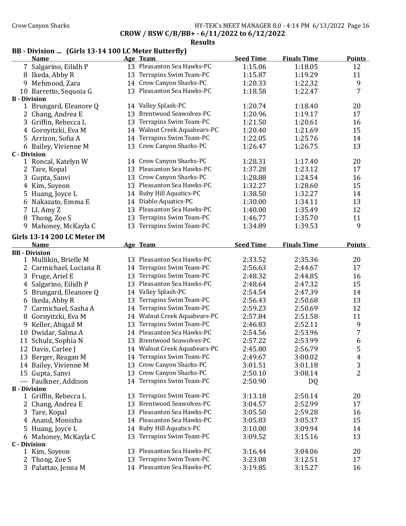### Crow Canyon Sharks **HY-TEK's MEET MANAGER 8.0 - 4:14 PM 6/13/2022** Page 16 CROW / BSW C/B/BB+ - 6/11/2022 to 6/12/2022

Results

# BB - Division ... (Girls 13-14 100 LC Meter Butterfly)

| <b>Name</b>                 |    | Age Team                      | <b>Seed Time</b> | <b>Finals Time</b> | <b>Points</b> |
|-----------------------------|----|-------------------------------|------------------|--------------------|---------------|
| 7 Salgarino, Eilidh P       |    | 13 Pleasanton Sea Hawks-PC    | 1:15.06          | 1:18.05            | 12            |
| 8 Ikeda, Abby R             |    | 13 Terrapins Swim Team-PC     | 1:15.87          | 1:19.29            | 11            |
| 9 Mehmood, Zara             |    | 14 Crow Canyon Sharks-PC      | 1:20.33          | 1:22.32            | 9             |
| 10 Barretto, Sequoia G      |    | 13 Pleasanton Sea Hawks-PC    | 1:18.58          | 1:22.47            | 7             |
| <b>B</b> - Division         |    |                               |                  |                    |               |
| 1 Brungard, Eleanore Q      |    | 14 Valley Splash-PC           | 1:20.74          | 1:18.40            | 20            |
| 2 Chang, Andrea E           |    | 13 Brentwood Seawolves-PC     | 1:20.96          | 1:19.17            | 17            |
| 3 Griffin, Rebecca L        |    | 13 Terrapins Swim Team-PC     | 1:21.50          | 1:20.61            | 16            |
| 4 Gornyitzki, Eva M         |    | 14 Walnut Creek Aquabears-PC  | 1:20.40          | 1:21.69            | 15            |
| 5 Arrizon, Sofia A          | 14 | Terrapins Swim Team-PC        | 1:22.05          | 1:25.76            | 14            |
| 6 Bailey, Vivienne M        |    | 13 Crow Canyon Sharks-PC      | 1:26.47          | 1:26.75            | 13            |
| <b>C</b> - Division         |    |                               |                  |                    |               |
| 1 Roncal, Katelyn W         |    | 14 Crow Canyon Sharks-PC      | 1:28.31          | 1:17.40            | 20            |
| 2 Tare, Kopal               |    | 13 Pleasanton Sea Hawks-PC    | 1:37.28          | 1:23.12            | 17            |
| 3 Gupta, Sanvi              |    | 13 Crow Canyon Sharks-PC      | 1:28.88          | 1:24.54            | 16            |
| 4 Kim, Soyeon               |    | 13 Pleasanton Sea Hawks-PC    | 1:32.27          | 1:28.60            | 15            |
| 5 Huang, Joyce L            |    | 14 Ruby Hill Aquatics-PC      | 1:38.50          | 1:32.27            | 14            |
| 6 Nakazato, Emma E          |    | 14 Diablo Aquatics-PC         | 1:30.00          | 1:34.11            | 13            |
| 7 LI, Amy Z                 |    | 13 Pleasanton Sea Hawks-PC    | 1:40.00          | 1:35.49            | 12            |
| 8 Thong, Zoe S              | 13 | Terrapins Swim Team-PC        | 1:46.77          | 1:35.70            | 11            |
| 9 Mahoney, McKayla C        | 13 | Terrapins Swim Team-PC        | 1:34.89          | 1:39.53            | 9             |
| Girls 13-14 200 LC Meter IM |    |                               |                  |                    |               |
| <b>Name</b>                 |    | Age Team                      | <b>Seed Time</b> | <b>Finals Time</b> | <b>Points</b> |
| <b>BB</b> - Division        |    |                               |                  |                    |               |
| 1 Mullikin, Brielle M       |    | 13 Pleasanton Sea Hawks-PC    | 2:33.52          | 2:35.36            | 20            |
| 2 Carmichael, Luciana R     |    | 14 Terrapins Swim Team-PC     | 2:56.63          | 2:44.67            | 17            |
| 3 Fruge, Ariel E            |    | 13 Terrapins Swim Team-PC     | 2:48.32          | 2:44.85            | 16            |
| 4 Salgarino, Eilidh P       |    | 13 Pleasanton Sea Hawks-PC    | 2:48.64          | 2:47.32            | 15            |
| 5 Brungard, Eleanore Q      |    | 14 Valley Splash-PC           | 2:54.54          | 2:47.39            | 14            |
| 6 Ikeda, Abby R             |    | 13 Terrapins Swim Team-PC     | 2:56.43          | 2:50.68            | 13            |
| Carmichael, Sasha A<br>7    |    | 14 Terrapins Swim Team-PC     | 2:59.23          | 2:50.69            | 12            |
| 8 Gornyitzki, Eva M         |    | 14 Walnut Creek Aquabears-PC  | 2:57.84          | 2:51.58            | 11            |
| 9 Keller, Abigail M         |    | 13 Terrapins Swim Team-PC     | 2:46.83          | 2:52.11            | 9             |
| 10 Dwidar, Salma A          |    | 14 Pleasanton Sea Hawks-PC    | 2:54.56          | 2:53.96            | 7             |
| 11 Schulz, Sophia N         |    | 13 Brentwood Seawolves-PC     | 2:57.22          | 2:53.99            | 6             |
| 12 Davis, Carlee J          |    | 14 Walnut Creek Aquabears-PC  | 2:45.80          | 2:56.79            | 5             |
| 13 Berger, Reagan M         |    | 14 Terrapins Swim Team-PC     | 2:49.67          | 3:00.02            | 4             |
| 14 Bailey, Vivienne M       |    | 13 Crow Canyon Sharks-PC      | 3:01.51          | 3:01.18            | 3             |
| 15 Gupta, Sanvi             | 13 | Crow Canyon Sharks-PC         | 2:50.10          | 3:08.14            | 2             |
| --- Faulkner, Addison       | 14 | Terrapins Swim Team-PC        | 2:50.90          | DQ                 |               |
| <b>B</b> - Division         |    |                               |                  |                    |               |
| 1 Griffin, Rebecca L        | 13 | Terrapins Swim Team-PC        | 3:13.18          | 2:50.14            | 20            |
| 2 Chang, Andrea E           | 13 | <b>Brentwood Seawolves-PC</b> | 3:04.57          | 2:52.99            | 17            |
| 3 Tare, Kopal               | 13 | Pleasanton Sea Hawks-PC       | 3:05.50          | 2:59.28            | 16            |
| 4 Anand, Monisha            | 14 | Pleasanton Sea Hawks-PC       | 3:05.83          | 3:05.37            | 15            |
| 5 Huang, Joyce L            | 14 | Ruby Hill Aquatics-PC         | 3:10.00          | 3:09.94            | 14            |
| 6 Mahoney, McKayla C        | 13 | Terrapins Swim Team-PC        | 3:09.52          | 3:15.16            | 13            |
| <b>C</b> - Division         |    |                               |                  |                    |               |
| 1 Kim, Soyeon               |    | 13 Pleasanton Sea Hawks-PC    | 3:16.44          | 3:04.06            | 20            |
| 2 Thong, Zoe S              | 13 | Terrapins Swim Team-PC        | 3:23.08          | 3:12.51            | 17            |
| 3 Palattao, Jenna M         |    | 14 Pleasanton Sea Hawks-PC    | 3:19.85          | 3:15.27            | 16            |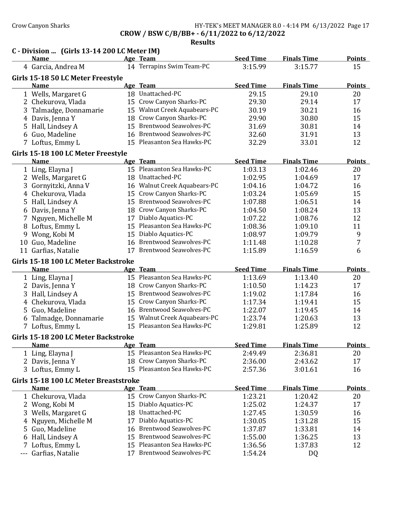#### Crow Canyon Sharks HY-TEK's MEET MANAGER 8.0 - 4:14 PM 6/13/2022 Page 17 CROW / BSW C/B/BB+ - 6/11/2022 to 6/12/2022

|       | C - Division  (Girls 13-14 200 LC Meter IM)          |    |                               |                  |                    |               |
|-------|------------------------------------------------------|----|-------------------------------|------------------|--------------------|---------------|
|       | <b>Name</b>                                          |    | Age Team                      | <b>Seed Time</b> | <b>Finals Time</b> | <b>Points</b> |
|       | 4 Garcia, Andrea M                                   |    | 14 Terrapins Swim Team-PC     | 3:15.99          | 3:15.77            | 15            |
|       | Girls 15-18 50 LC Meter Freestyle                    |    |                               |                  |                    |               |
|       | <b>Name</b>                                          |    | Age Team                      | <b>Seed Time</b> | <b>Finals Time</b> | <b>Points</b> |
|       | 1 Wells, Margaret G                                  |    | 18 Unattached-PC              | 29.15            | 29.10              | 20            |
|       | 2 Chekurova, Vlada                                   |    | 15 Crow Canyon Sharks-PC      | 29.30            | 29.14              | 17            |
|       | 3 Talmadge, Donnamarie                               |    | 15 Walnut Creek Aquabears-PC  | 30.19            | 30.21              | 16            |
|       | 4 Davis, Jenna Y                                     |    | 18 Crow Canyon Sharks-PC      | 29.90            | 30.80              | 15            |
|       | 5 Hall, Lindsey A                                    |    | 15 Brentwood Seawolves-PC     | 31.69            | 30.81              | 14            |
|       | 6 Guo, Madeline                                      |    | 16 Brentwood Seawolves-PC     | 32.60            | 31.91              | 13            |
|       | 7 Loftus, Emmy L                                     |    | 15 Pleasanton Sea Hawks-PC    | 32.29            | 33.01              | 12            |
|       | Girls 15-18 100 LC Meter Freestyle                   |    |                               |                  |                    |               |
|       | <b>Name</b>                                          |    | Age Team                      | <b>Seed Time</b> | <b>Finals Time</b> | <b>Points</b> |
|       | 1 Ling, Elayna J                                     |    | 15 Pleasanton Sea Hawks-PC    | 1:03.13          | 1:02.46            | 20            |
|       | 2 Wells, Margaret G                                  |    | 18 Unattached-PC              | 1:02.95          | 1:04.69            | 17            |
|       | 3 Gornyitzki, Anna V                                 |    | 16 Walnut Creek Aquabears-PC  | 1:04.16          | 1:04.72            | 16            |
|       | 4 Chekurova, Vlada                                   | 15 | Crow Canyon Sharks-PC         | 1:03.24          | 1:05.69            | 15            |
|       | 5 Hall, Lindsey A                                    |    | 15 Brentwood Seawolves-PC     | 1:07.88          | 1:06.51            | 14            |
|       | 6 Davis, Jenna Y                                     |    | 18 Crow Canyon Sharks-PC      | 1:04.50          | 1:08.24            | 13            |
|       | 7 Nguyen, Michelle M                                 |    | 17 Diablo Aquatics-PC         | 1:07.22          | 1:08.76            | 12            |
|       | 8 Loftus, Emmy L                                     |    | 15 Pleasanton Sea Hawks-PC    | 1:08.36          | 1:09.10            | 11            |
|       | 9 Wong, Kobi M                                       |    | 15 Diablo Aquatics-PC         | 1:08.97          | 1:09.79            | 9             |
|       | 10 Guo, Madeline                                     |    | 16 Brentwood Seawolves-PC     | 1:11.48          | 1:10.28            | 7             |
|       | 11 Garfias, Natalie                                  |    | 17 Brentwood Seawolves-PC     | 1:15.89          | 1:16.59            | 6             |
|       | Girls 15-18 100 LC Meter Backstroke                  |    |                               |                  |                    |               |
|       | <b>Name</b>                                          |    | Age Team                      | <b>Seed Time</b> | <b>Finals Time</b> | <b>Points</b> |
|       | 1 Ling, Elayna J                                     |    | 15 Pleasanton Sea Hawks-PC    | 1:13.69          | 1:13.40            | 20            |
|       | 2 Davis, Jenna Y                                     |    | 18 Crow Canyon Sharks-PC      | 1:10.50          | 1:14.23            | 17            |
|       | 3 Hall, Lindsey A                                    |    | 15 Brentwood Seawolves-PC     | 1:19.02          | 1:17.84            | 16            |
|       | 4 Chekurova, Vlada                                   |    | 15 Crow Canyon Sharks-PC      | 1:17.34          | 1:19.41            | 15            |
|       | 5 Guo, Madeline                                      |    | 16 Brentwood Seawolves-PC     | 1:22.07          | 1:19.45            | 14            |
|       | 6 Talmadge, Donnamarie                               |    | 15 Walnut Creek Aquabears-PC  | 1:23.74          | 1:20.63            | 13            |
|       | 7 Loftus, Emmy L                                     |    | 15 Pleasanton Sea Hawks-PC    | 1:29.81          | 1:25.89            | 12            |
|       | Girls 15-18 200 LC Meter Backstroke                  |    |                               |                  |                    |               |
|       | <u>Name</u>                                          |    | Age Team                      | <b>Seed Time</b> | <b>Finals Time</b> | <b>Points</b> |
|       | 1 Ling, Elayna J                                     |    | 15 Pleasanton Sea Hawks-PC    | 2:49.49          | 2:36.81            | 20            |
|       | 2 Davis, Jenna Y                                     |    | 18 Crow Canyon Sharks-PC      | 2:36.00          | 2:43.62            | 17            |
|       | 3 Loftus, Emmy L                                     |    | 15 Pleasanton Sea Hawks-PC    | 2:57.36          | 3:01.61            | 16            |
|       |                                                      |    |                               |                  |                    |               |
|       | Girls 15-18 100 LC Meter Breaststroke<br><b>Name</b> |    | Age Team                      | <b>Seed Time</b> | <b>Finals Time</b> | <b>Points</b> |
|       | 1 Chekurova, Vlada                                   |    | 15 Crow Canyon Sharks-PC      | 1:23.21          | 1:20.42            | 20            |
|       | 2 Wong, Kobi M                                       | 15 | Diablo Aquatics-PC            | 1:25.02          | 1:24.37            | 17            |
|       | 3 Wells, Margaret G                                  | 18 | Unattached-PC                 | 1:27.45          | 1:30.59            | 16            |
|       | 4 Nguyen, Michelle M                                 | 17 | Diablo Aquatics-PC            | 1:30.05          | 1:31.28            | 15            |
| 5.    | Guo, Madeline                                        | 16 | <b>Brentwood Seawolves-PC</b> | 1:37.87          | 1:33.81            | 14            |
|       |                                                      | 15 | <b>Brentwood Seawolves-PC</b> |                  |                    | 13            |
|       | 6 Hall, Lindsey A                                    | 15 | Pleasanton Sea Hawks-PC       | 1:55.00          | 1:36.25            |               |
|       | 7 Loftus, Emmy L                                     | 17 | <b>Brentwood Seawolves-PC</b> | 1:36.56          | 1:37.83            | 12            |
| $---$ | Garfias, Natalie                                     |    |                               | 1:54.24          | DQ                 |               |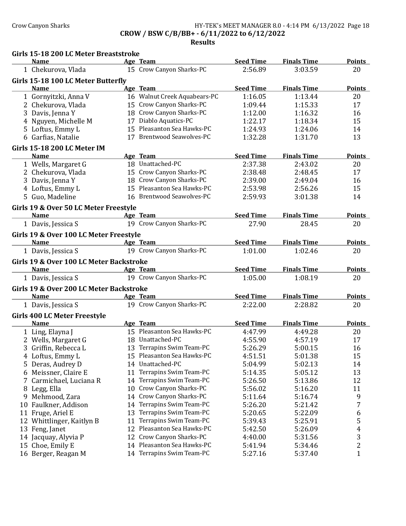# Crow Canyon Sharks HY-TEK's MEET MANAGER 8.0 - 4:14 PM 6/13/2022 Page 18 CROW / BSW C/B/BB+ - 6/11/2022 to 6/12/2022

|    | Girls 15-18 200 LC Meter Breaststroke   |    |                              |                  |                    |               |
|----|-----------------------------------------|----|------------------------------|------------------|--------------------|---------------|
|    | <b>Name</b>                             |    | Age Team                     | <b>Seed Time</b> | <b>Finals Time</b> | <b>Points</b> |
|    | 1 Chekurova, Vlada                      |    | 15 Crow Canyon Sharks-PC     | 2:56.89          | 3:03.59            | 20            |
|    | Girls 15-18 100 LC Meter Butterfly      |    |                              |                  |                    |               |
|    | <b>Name</b>                             |    | Age Team                     | <b>Seed Time</b> | <b>Finals Time</b> | <b>Points</b> |
|    | 1 Gornyitzki, Anna V                    |    | 16 Walnut Creek Aquabears-PC | 1:16.05          | 1:13.44            | 20            |
|    | 2 Chekurova, Vlada                      |    | 15 Crow Canyon Sharks-PC     | 1:09.44          | 1:15.33            | 17            |
|    | 3 Davis, Jenna Y                        |    | 18 Crow Canyon Sharks-PC     | 1:12.00          | 1:16.32            | 16            |
|    | 4 Nguyen, Michelle M                    |    | 17 Diablo Aquatics-PC        | 1:22.17          | 1:18.34            | 15            |
|    | 5 Loftus, Emmy L                        |    | 15 Pleasanton Sea Hawks-PC   | 1:24.93          | 1:24.06            | 14            |
|    | 6 Garfias, Natalie                      |    | 17 Brentwood Seawolves-PC    | 1:32.28          | 1:31.70            | 13            |
|    | Girls 15-18 200 LC Meter IM             |    |                              |                  |                    |               |
|    | <b>Name</b>                             |    | Age Team                     | <b>Seed Time</b> | <b>Finals Time</b> | <b>Points</b> |
|    | 1 Wells, Margaret G                     |    | 18 Unattached-PC             | 2:37.38          | 2:43.02            | 20            |
|    | 2 Chekurova, Vlada                      |    | 15 Crow Canyon Sharks-PC     | 2:38.48          | 2:48.45            | 17            |
|    | 3 Davis, Jenna Y                        |    | 18 Crow Canyon Sharks-PC     | 2:39.00          | 2:49.04            | 16            |
|    | 4 Loftus, Emmy L                        |    | 15 Pleasanton Sea Hawks-PC   | 2:53.98          | 2:56.26            | 15            |
|    | 5 Guo, Madeline                         |    | 16 Brentwood Seawolves-PC    | 2:59.93          | 3:01.38            | 14            |
|    | Girls 19 & Over 50 LC Meter Freestyle   |    |                              |                  |                    |               |
|    | <b>Name</b>                             |    | Age Team                     | <b>Seed Time</b> | <b>Finals Time</b> | <b>Points</b> |
|    | 1 Davis, Jessica S                      |    | 19 Crow Canyon Sharks-PC     | 27.90            | 28.45              | 20            |
|    | Girls 19 & Over 100 LC Meter Freestyle  |    |                              |                  |                    |               |
|    | <b>Name</b>                             |    | Age Team                     | <b>Seed Time</b> | <b>Finals Time</b> | <b>Points</b> |
|    | 1 Davis, Jessica S                      |    | 19 Crow Canyon Sharks-PC     | 1:01.00          | 1:02.46            | 20            |
|    | Girls 19 & Over 100 LC Meter Backstroke |    |                              |                  |                    |               |
|    | <b>Name</b>                             |    | Age Team                     | <b>Seed Time</b> | <b>Finals Time</b> | <b>Points</b> |
|    | 1 Davis, Jessica S                      |    | 19 Crow Canyon Sharks-PC     | 1:05.00          | 1:08.19            | 20            |
|    | Girls 19 & Over 200 LC Meter Backstroke |    |                              |                  |                    |               |
|    | <b>Name</b>                             |    | Age Team                     | <b>Seed Time</b> | <b>Finals Time</b> | <b>Points</b> |
|    | 1 Davis, Jessica S                      |    | 19 Crow Canyon Sharks-PC     | 2:22.00          | 2:28.82            | 20            |
|    | <b>Girls 400 LC Meter Freestyle</b>     |    |                              |                  |                    |               |
|    | <b>Name</b>                             |    | Age Team                     | <b>Seed Time</b> | <b>Finals Time</b> | <b>Points</b> |
|    | 1 Ling, Elayna J                        |    | 15 Pleasanton Sea Hawks-PC   | 4:47.99          | 4:49.28            | 20            |
|    | 2 Wells, Margaret G                     |    | 18 Unattached-PC             | 4:55.90          | 4:57.19            | 17            |
| 3  | Griffin, Rebecca L                      |    | 13 Terrapins Swim Team-PC    | 5:26.29          | 5:00.15            | 16            |
|    | 4 Loftus, Emmy L                        |    | 15 Pleasanton Sea Hawks-PC   | 4:51.51          | 5:01.38            | 15            |
| 5  | Deras, Audrey D                         |    | 14 Unattached-PC             | 5:04.99          | 5:02.13            | 14            |
| 6  | Meissner, Claire E                      | 11 | Terrapins Swim Team-PC       | 5:14.35          | 5:05.12            | 13            |
| 7  | Carmichael, Luciana R                   | 14 | Terrapins Swim Team-PC       | 5:26.50          | 5:13.86            | 12            |
| 8  | Legg, Ella                              | 10 | Crow Canyon Sharks-PC        | 5:56.02          | 5:16.20            | 11            |
| 9  | Mehmood, Zara                           | 14 | Crow Canyon Sharks-PC        | 5:11.64          | 5:16.74            | 9             |
| 10 | Faulkner, Addison                       | 14 | Terrapins Swim Team-PC       | 5:26.20          | 5:21.42            | 7             |
|    | 11 Fruge, Ariel E                       | 13 | Terrapins Swim Team-PC       | 5:20.65          | 5:22.09            | 6             |
|    | 12 Whittlinger, Kaitlyn B               | 11 | Terrapins Swim Team-PC       | 5:39.43          | 5:25.91            | 5             |
|    | 13 Feng, Janet                          | 12 | Pleasanton Sea Hawks-PC      | 5:42.50          | 5:26.09            | 4             |
|    | 14 Jacquay, Alyvia P                    | 12 | Crow Canyon Sharks-PC        | 4:40.00          | 5:31.56            | 3             |
|    | 15 Choe, Emily E                        | 14 | Pleasanton Sea Hawks-PC      | 5:41.94          | 5:34.46            | $\sqrt{2}$    |
|    | 16 Berger, Reagan M                     |    | 14 Terrapins Swim Team-PC    | 5:27.16          | 5:37.40            | $\mathbf{1}$  |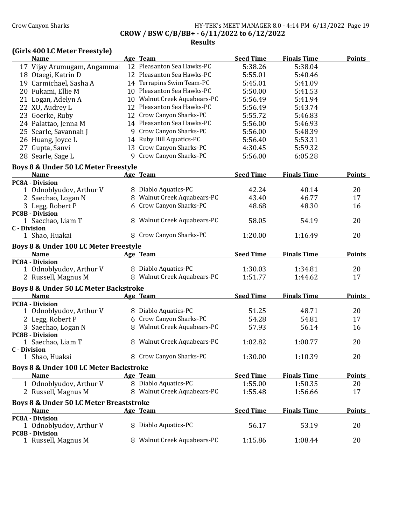# Crow Canyon Sharks **HY-TEK's MEET MANAGER 8.0 - 4:14 PM 6/13/2022** Page 19 CROW / BSW C/B/BB+ - 6/11/2022 to 6/12/2022

Results

### (Girls 400 LC Meter Freestyle)

| <b>Name</b>                                        |    | Age Team                     | <b>Seed Time</b> | <b>Finals Time</b> | <b>Points</b> |
|----------------------------------------------------|----|------------------------------|------------------|--------------------|---------------|
| 17 Vijay Arumugam, Angammai                        |    | 12 Pleasanton Sea Hawks-PC   | 5:38.26          | 5:38.04            |               |
| 18 Otaegi, Katrin D                                |    | 12 Pleasanton Sea Hawks-PC   | 5:55.01          | 5:40.46            |               |
| 19 Carmichael, Sasha A                             |    | 14 Terrapins Swim Team-PC    | 5:45.01          | 5:41.09            |               |
| 20 Fukami, Ellie M                                 |    | 10 Pleasanton Sea Hawks-PC   | 5:50.00          | 5:41.53            |               |
| 21 Logan, Adelyn A                                 |    | 10 Walnut Creek Aquabears-PC | 5:56.49          | 5:41.94            |               |
| 22 XU, Audrey L                                    |    | 12 Pleasanton Sea Hawks-PC   | 5:56.49          | 5:43.74            |               |
| 23 Goerke, Ruby                                    |    | 12 Crow Canyon Sharks-PC     | 5:55.72          | 5:46.83            |               |
| 24 Palattao, Jenna M                               |    | 14 Pleasanton Sea Hawks-PC   | 5:56.00          | 5:46.93            |               |
| 25 Searle, Savannah J                              |    | 9 Crow Canyon Sharks-PC      | 5:56.00          | 5:48.39            |               |
| 26 Huang, Joyce L                                  |    | 14 Ruby Hill Aquatics-PC     | 5:56.40          | 5:53.31            |               |
| 27 Gupta, Sanvi                                    |    | 13 Crow Canyon Sharks-PC     | 4:30.45          | 5:59.32            |               |
| 28 Searle, Sage L                                  |    | 9 Crow Canyon Sharks-PC      | 5:56.00          | 6:05.28            |               |
|                                                    |    |                              |                  |                    |               |
| Boys 8 & Under 50 LC Meter Freestyle               |    |                              |                  |                    |               |
| <b>Name</b>                                        |    | Age Team                     | <b>Seed Time</b> | <b>Finals Time</b> | <b>Points</b> |
| <b>PC8A - Division</b><br>1 Odnoblyudov, Arthur V  |    | 8 Diablo Aquatics-PC         | 42.24            | 40.14              | 20            |
|                                                    |    | 8 Walnut Creek Aquabears-PC  | 43.40            | 46.77              | 17            |
| 2 Saechao, Logan N                                 |    | 6 Crow Canyon Sharks-PC      |                  |                    |               |
| 3 Legg, Robert P<br><b>PC8B - Division</b>         |    |                              | 48.68            | 48.30              | 16            |
| 1 Saechao, Liam T                                  |    | 8 Walnut Creek Aquabears-PC  | 58.05            | 54.19              | 20            |
| <b>C</b> - Division                                |    |                              |                  |                    |               |
| 1 Shao, Huakai                                     |    | 8 Crow Canyon Sharks-PC      | 1:20.00          | 1:16.49            | 20            |
| Boys 8 & Under 100 LC Meter Freestyle              |    |                              |                  |                    |               |
| <b>Name</b>                                        |    | Age Team                     | <b>Seed Time</b> | <b>Finals Time</b> | <b>Points</b> |
| <b>PC8A - Division</b>                             |    |                              |                  |                    |               |
|                                                    |    |                              |                  | 1:34.81            | 20            |
|                                                    |    |                              |                  |                    |               |
| 1 Odnoblyudov, Arthur V                            |    | 8 Diablo Aquatics-PC         | 1:30.03          |                    |               |
| 2 Russell, Magnus M                                |    | 8 Walnut Creek Aquabears-PC  | 1:51.77          | 1:44.62            | 17            |
| Boys 8 & Under 50 LC Meter Backstroke              |    |                              |                  |                    |               |
| <b>Name</b>                                        |    | Age Team                     | <b>Seed Time</b> | <b>Finals Time</b> | <b>Points</b> |
| <b>PC8A - Division</b>                             |    |                              |                  |                    |               |
| 1 Odnoblyudov, Arthur V                            |    | Diablo Aquatics-PC           | 51.25            | 48.71              | 20            |
| 2 Legg, Robert P                                   |    | 6 Crow Canyon Sharks-PC      | 54.28            | 54.81              | 17            |
| 3 Saechao, Logan N                                 |    | 8 Walnut Creek Aquabears-PC  | 57.93            | 56.14              | 16            |
| <b>PC8B - Division</b>                             |    |                              |                  |                    |               |
| 1 Saechao, Liam T                                  | 8. | Walnut Creek Aquabears-PC    | 1:02.82          | 1:00.77            | 20            |
| <b>C</b> - Division                                |    |                              |                  |                    |               |
| 1 Shao, Huakai                                     |    | 8 Crow Canyon Sharks-PC      | 1:30.00          | 1:10.39            | 20            |
| Boys 8 & Under 100 LC Meter Backstroke             |    |                              |                  |                    |               |
| <b>Name</b>                                        |    | Age Team                     | <b>Seed Time</b> | <b>Finals Time</b> | <b>Points</b> |
| 1 Odnoblyudov, Arthur V                            |    | 8 Diablo Aquatics-PC         | 1:55.00          | 1:50.35            | 20            |
| 2 Russell, Magnus M                                |    | 8 Walnut Creek Aquabears-PC  | 1:55.48          | 1:56.66            | 17            |
| <b>Boys 8 &amp; Under 50 LC Meter Breaststroke</b> |    |                              |                  |                    |               |
| <b>Name</b>                                        |    | Age Team                     | <b>Seed Time</b> | <b>Finals Time</b> | <b>Points</b> |
| <b>PC8A - Division</b>                             |    |                              |                  |                    |               |
| 1 Odnoblyudov, Arthur V                            |    | 8 Diablo Aquatics-PC         | 56.17            | 53.19              | 20            |
| <b>PC8B - Division</b><br>1 Russell, Magnus M      |    | 8 Walnut Creek Aquabears-PC  | 1:15.86          | 1:08.44            | 20            |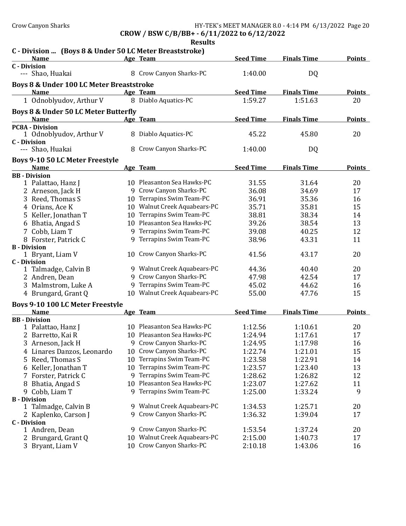CROW / BSW C/B/BB+ - 6/11/2022 to 6/12/2022

|                                                         |    | <b>Results</b>               |                  |                    |               |
|---------------------------------------------------------|----|------------------------------|------------------|--------------------|---------------|
| C - Division  (Boys 8 & Under 50 LC Meter Breaststroke) |    |                              |                  |                    |               |
| <b>Name</b><br><b>C</b> - Division                      |    | Age Team                     | <b>Seed Time</b> | <b>Finals Time</b> | <b>Points</b> |
| --- Shao, Huakai                                        |    | 8 Crow Canyon Sharks-PC      | 1:40.00          | DQ                 |               |
| Boys 8 & Under 100 LC Meter Breaststroke                |    |                              |                  |                    |               |
| <b>Name</b>                                             |    | Age Team                     | <b>Seed Time</b> | <b>Finals Time</b> | <b>Points</b> |
| 1 Odnoblyudov, Arthur V                                 |    | 8 Diablo Aquatics-PC         | 1:59.27          | 1:51.63            | 20            |
| Boys 8 & Under 50 LC Meter Butterfly<br><b>Name</b>     |    | Age Team                     | <b>Seed Time</b> | <b>Finals Time</b> | <b>Points</b> |
| <b>PC8A - Division</b>                                  |    |                              |                  |                    |               |
| 1 Odnoblyudov, Arthur V                                 |    | 8 Diablo Aquatics-PC         | 45.22            | 45.80              | 20            |
| <b>C</b> - Division                                     |    |                              |                  |                    |               |
| --- Shao, Huakai                                        |    | 8 Crow Canyon Sharks-PC      | 1:40.00          | DQ                 |               |
| <b>Boys 9-10 50 LC Meter Freestyle</b>                  |    |                              |                  |                    |               |
| <b>Name</b>                                             |    | Age Team                     | <b>Seed Time</b> | <b>Finals Time</b> | <b>Points</b> |
| <b>BB</b> - Division                                    |    |                              |                  |                    |               |
| 1 Palattao, Hanz J                                      |    | 10 Pleasanton Sea Hawks-PC   | 31.55            | 31.64              | 20            |
| 2 Arneson, Jack H                                       |    | 9 Crow Canyon Sharks-PC      | 36.08            | 34.69              | 17            |
| 3 Reed, Thomas S                                        |    | 10 Terrapins Swim Team-PC    | 36.91            | 35.36              | 16            |
| 4 Orians, Ace K                                         |    | 10 Walnut Creek Aquabears-PC | 35.71            | 35.81              | 15            |
| 5 Keller, Jonathan T                                    |    | 10 Terrapins Swim Team-PC    | 38.81            | 38.34              | 14            |
| 6 Bhatia, Angad S                                       |    | 10 Pleasanton Sea Hawks-PC   | 39.26            | 38.54              | 13            |
| 7 Cobb, Liam T                                          |    | 9 Terrapins Swim Team-PC     | 39.08            | 40.25              | 12            |
| 8 Forster, Patrick C                                    |    | 9 Terrapins Swim Team-PC     | 38.96            | 43.31              | 11            |
| <b>B</b> - Division                                     |    |                              |                  |                    |               |
| 1 Bryant, Liam V                                        |    | 10 Crow Canyon Sharks-PC     | 41.56            | 43.17              | 20            |
| <b>C</b> - Division                                     |    |                              |                  |                    |               |
| 1 Talmadge, Calvin B                                    |    | 9 Walnut Creek Aquabears-PC  | 44.36            | 40.40              | 20            |
| 2 Andren, Dean                                          |    | 9 Crow Canyon Sharks-PC      | 47.98            | 42.54              | 17            |
| 3 Malmstrom, Luke A                                     |    | 9 Terrapins Swim Team-PC     | 45.02            | 44.62              | 16            |
| 4 Brungard, Grant Q                                     |    | 10 Walnut Creek Aquabears-PC | 55.00            | 47.76              | 15            |
| Boys 9-10 100 LC Meter Freestyle                        |    |                              |                  |                    |               |
| <b>Name</b>                                             |    | Age Team                     | <b>Seed Time</b> | <b>Finals Time</b> | <b>Points</b> |
| <b>BB</b> - Division                                    |    |                              |                  |                    |               |
| 1 Palattao, Hanz J                                      |    | 10 Pleasanton Sea Hawks-PC   | 1:12.56          | 1:10.61            | 20            |
| 2 Barretto, Kai R                                       |    | 10 Pleasanton Sea Hawks-PC   | 1:24.94          | 1:17.61            | 17            |
| 3 Arneson, Jack H                                       |    | 9 Crow Canyon Sharks-PC      | 1:24.95          | 1:17.98            | 16            |
| 4 Linares Danzos, Leonardo                              | 10 | Crow Canyon Sharks-PC        | 1:22.74          | 1:21.01            | 15            |
| 5 Reed, Thomas S                                        |    | 10 Terrapins Swim Team-PC    | 1:23.58          | 1:22.91            | 14            |
| 6 Keller, Jonathan T                                    |    | 10 Terrapins Swim Team-PC    | 1:23.57          | 1:23.40            | 13            |
| Forster, Patrick C                                      |    | 9 Terrapins Swim Team-PC     | 1:28.62          | 1:26.82            | 12            |
| 8 Bhatia, Angad S                                       |    | 10 Pleasanton Sea Hawks-PC   | 1:23.07          | 1:27.62            | 11            |
| 9 Cobb, Liam T                                          |    | 9 Terrapins Swim Team-PC     | 1:25.00          | 1:33.24            | 9             |
| <b>B</b> - Division                                     |    |                              |                  |                    |               |
| 1 Talmadge, Calvin B                                    |    | 9 Walnut Creek Aquabears-PC  | 1:34.53          | 1:25.71            | 20            |
| 2 Kaplenko, Carson J                                    |    | 9 Crow Canyon Sharks-PC      | 1:36.32          | 1:39.04            | 17            |
| <b>C</b> - Division                                     |    | 9 Crow Canyon Sharks-PC      |                  |                    |               |
| 1 Andren, Dean                                          |    | 10 Walnut Creek Aquabears-PC | 1:53.54          | 1:37.24            | 20            |
| 2 Brungard, Grant Q                                     |    |                              | 2:15.00          | 1:40.73            | 17            |
| 3 Bryant, Liam V                                        |    | 10 Crow Canyon Sharks-PC     | 2:10.18          | 1:43.06            | 16            |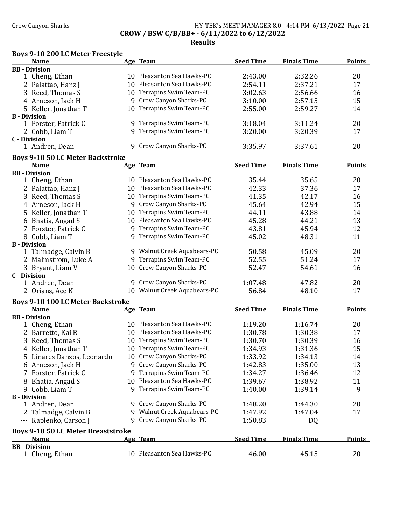## Crow Canyon Sharks **HY-TEK's MEET MANAGER 8.0 - 4:14 PM 6/13/2022** Page 21 CROW / BSW C/B/BB+ - 6/11/2022 to 6/12/2022

Results

# Boys 9-10 200 LC Meter Freestyle

| <b>Name</b>                               |    | Age Team                     | <b>Seed Time</b> | <b>Finals Time</b> | <b>Points</b> |
|-------------------------------------------|----|------------------------------|------------------|--------------------|---------------|
| <b>BB</b> - Division                      |    |                              |                  |                    |               |
| 1 Cheng, Ethan                            |    | 10 Pleasanton Sea Hawks-PC   | 2:43.00          | 2:32.26            | 20            |
| 2 Palattao, Hanz J                        |    | 10 Pleasanton Sea Hawks-PC   | 2:54.11          | 2:37.21            | 17            |
| 3 Reed, Thomas S                          |    | 10 Terrapins Swim Team-PC    | 3:02.63          | 2:56.66            | 16            |
| 4 Arneson, Jack H                         | 9  | Crow Canyon Sharks-PC        | 3:10.00          | 2:57.15            | 15            |
| 5 Keller, Jonathan T                      | 10 | Terrapins Swim Team-PC       | 2:55.00          | 2:59.27            | 14            |
| <b>B</b> - Division                       |    |                              |                  |                    |               |
| 1 Forster, Patrick C                      |    | 9 Terrapins Swim Team-PC     | 3:18.04          | 3:11.24            | 20            |
| 2 Cobb, Liam T                            |    | 9 Terrapins Swim Team-PC     | 3:20.00          | 3:20.39            | 17            |
| <b>C</b> - Division                       |    |                              |                  |                    |               |
| 1 Andren, Dean                            | 9  | Crow Canyon Sharks-PC        | 3:35.97          | 3:37.61            | 20            |
| <b>Boys 9-10 50 LC Meter Backstroke</b>   |    |                              |                  |                    |               |
| <b>Name</b>                               |    | Age Team                     | <b>Seed Time</b> | <b>Finals Time</b> | <b>Points</b> |
| <b>BB</b> - Division                      |    |                              |                  |                    |               |
| 1 Cheng, Ethan                            |    | 10 Pleasanton Sea Hawks-PC   | 35.44            | 35.65              | 20            |
| 2 Palattao, Hanz J                        |    | 10 Pleasanton Sea Hawks-PC   | 42.33            | 37.36              | 17            |
| 3 Reed, Thomas S                          |    | 10 Terrapins Swim Team-PC    | 41.35            | 42.17              | 16            |
| 4 Arneson, Jack H                         |    | 9 Crow Canyon Sharks-PC      | 45.64            | 42.94              | 15            |
| 5 Keller, Jonathan T                      | 10 | Terrapins Swim Team-PC       | 44.11            | 43.88              | 14            |
| 6 Bhatia, Angad S                         |    | 10 Pleasanton Sea Hawks-PC   | 45.28            | 44.21              | 13            |
| 7 Forster, Patrick C                      | 9  | Terrapins Swim Team-PC       | 43.81            | 45.94              | 12            |
| 8 Cobb, Liam T                            |    | 9 Terrapins Swim Team-PC     | 45.02            | 48.31              | 11            |
| <b>B</b> - Division                       |    |                              |                  |                    |               |
| 1 Talmadge, Calvin B                      |    | 9 Walnut Creek Aquabears-PC  | 50.58            | 45.09              | 20            |
| 2 Malmstrom, Luke A                       | 9  | Terrapins Swim Team-PC       | 52.55            | 51.24              | 17            |
| 3 Bryant, Liam V                          | 10 | Crow Canyon Sharks-PC        | 52.47            | 54.61              | 16            |
| <b>C</b> - Division                       |    |                              |                  |                    |               |
| 1 Andren, Dean                            |    | 9 Crow Canyon Sharks-PC      | 1:07.48          | 47.82              | 20            |
| 2 Orians, Ace K                           |    | 10 Walnut Creek Aquabears-PC | 56.84            | 48.10              | 17            |
| <b>Boys 9-10 100 LC Meter Backstroke</b>  |    |                              |                  |                    |               |
| <b>Name</b>                               |    | Age Team                     | <b>Seed Time</b> | <b>Finals Time</b> | <b>Points</b> |
| <b>BB</b> - Division                      |    |                              |                  |                    |               |
| 1 Cheng, Ethan                            |    | 10 Pleasanton Sea Hawks-PC   | 1:19.20          | 1:16.74            | 20            |
| 2 Barretto, Kai R                         |    | 10 Pleasanton Sea Hawks-PC   | 1:30.78          | 1:30.38            | 17            |
| 3 Reed, Thomas S                          |    | 10 Terrapins Swim Team-PC    | 1:30.70          | 1:30.39            | 16            |
| 4 Keller, Jonathan T                      |    | 10 Terrapins Swim Team-PC    | 1:34.93          | 1:31.36            | 15            |
| 5 Linares Danzos, Leonardo                |    | 10 Crow Canyon Sharks-PC     | 1:33.92          | 1:34.13            | 14            |
|                                           |    | 9 Crow Canyon Sharks-PC      |                  |                    |               |
| 6 Arneson, Jack H                         |    |                              | 1:42.83          | 1:35.00            | 13            |
| 7 Forster, Patrick C                      |    | 9 Terrapins Swim Team-PC     | 1:34.27          | 1:36.46            | 12            |
| Bhatia, Angad S<br>8                      |    | 10 Pleasanton Sea Hawks-PC   | 1:39.67          | 1:38.92            | 11            |
| 9 Cobb, Liam T                            | 9. | Terrapins Swim Team-PC       | 1:40.00          | 1:39.14            | 9             |
| <b>B</b> - Division                       |    | Crow Canyon Sharks-PC        | 1:48.20          |                    | 20            |
| 1 Andren, Dean                            | 9  | Walnut Creek Aquabears-PC    |                  | 1:44.30            |               |
| 2 Talmadge, Calvin B                      | 9  |                              | 1:47.92          | 1:47.04            | 17            |
| --- Kaplenko, Carson J                    | 9  | Crow Canyon Sharks-PC        | 1:50.83          | DQ                 |               |
| <b>Boys 9-10 50 LC Meter Breaststroke</b> |    |                              |                  |                    |               |
| <b>Name</b>                               |    | Age Team                     | <b>Seed Time</b> | <b>Finals Time</b> | <b>Points</b> |
| <b>BB</b> - Division                      |    |                              |                  |                    |               |
| 1 Cheng, Ethan                            |    | 10 Pleasanton Sea Hawks-PC   | 46.00            | 45.15              | 20            |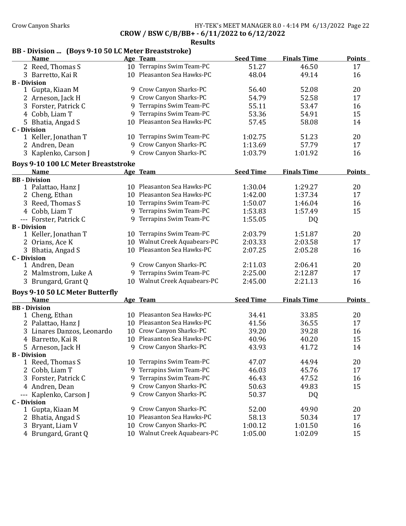### Crow Canyon Sharks **HY-TEK's MEET MANAGER 8.0 - 4:14 PM 6/13/2022** Page 22 CROW / BSW C/B/BB+ - 6/11/2022 to 6/12/2022

Results

## BB - Division ... (Boys 9-10 50 LC Meter Breaststroke)

|                     | <b>Name</b>                                |   | Age Team                     | <b>Seed Time</b> | <b>Finals Time</b> | <b>Points</b> |
|---------------------|--------------------------------------------|---|------------------------------|------------------|--------------------|---------------|
|                     | 2 Reed, Thomas S                           |   | 10 Terrapins Swim Team-PC    | 51.27            | 46.50              | 17            |
|                     | 3 Barretto, Kai R                          |   | 10 Pleasanton Sea Hawks-PC   | 48.04            | 49.14              | 16            |
| <b>B</b> - Division |                                            |   |                              |                  |                    |               |
|                     | 1 Gupta, Kiaan M                           |   | 9 Crow Canyon Sharks-PC      | 56.40            | 52.08              | 20            |
|                     | 2 Arneson, Jack H                          |   | 9 Crow Canyon Sharks-PC      | 54.79            | 52.58              | 17            |
|                     | 3 Forster, Patrick C                       |   | 9 Terrapins Swim Team-PC     | 55.11            | 53.47              | 16            |
|                     | 4 Cobb, Liam T                             |   | 9 Terrapins Swim Team-PC     | 53.36            | 54.91              | 15            |
|                     | 5 Bhatia, Angad S                          |   | 10 Pleasanton Sea Hawks-PC   | 57.45            | 58.08              | 14            |
| <b>C</b> - Division |                                            |   |                              |                  |                    |               |
|                     | 1 Keller, Jonathan T                       |   | 10 Terrapins Swim Team-PC    | 1:02.75          | 51.23              | 20            |
|                     | 2 Andren, Dean                             |   | 9 Crow Canyon Sharks-PC      | 1:13.69          | 57.79              | 17            |
|                     | 3 Kaplenko, Carson J                       |   | 9 Crow Canyon Sharks-PC      | 1:03.79          | 1:01.92            | 16            |
|                     | <b>Boys 9-10 100 LC Meter Breaststroke</b> |   |                              |                  |                    |               |
|                     | <b>Name</b>                                |   | Age Team                     | <b>Seed Time</b> | <b>Finals Time</b> | <b>Points</b> |
|                     | <b>BB</b> - Division                       |   |                              |                  |                    |               |
|                     | 1 Palattao, Hanz J                         |   | 10 Pleasanton Sea Hawks-PC   | 1:30.04          | 1:29.27            | 20            |
|                     | 2 Cheng, Ethan                             |   | 10 Pleasanton Sea Hawks-PC   | 1:42.00          | 1:37.34            | 17            |
|                     | 3 Reed, Thomas S                           |   | 10 Terrapins Swim Team-PC    | 1:50.07          | 1:46.04            | 16            |
|                     | 4 Cobb, Liam T                             |   | 9 Terrapins Swim Team-PC     | 1:53.83          | 1:57.49            | 15            |
|                     | --- Forster, Patrick C                     |   | 9 Terrapins Swim Team-PC     | 1:55.05          | DQ                 |               |
| <b>B</b> - Division |                                            |   |                              |                  |                    |               |
|                     | 1 Keller, Jonathan T                       |   | 10 Terrapins Swim Team-PC    | 2:03.79          | 1:51.87            | 20            |
|                     | 2 Orians, Ace K                            |   | 10 Walnut Creek Aquabears-PC | 2:03.33          | 2:03.58            | 17            |
|                     | 3 Bhatia, Angad S                          |   | 10 Pleasanton Sea Hawks-PC   | 2:07.25          | 2:05.28            | 16            |
| <b>C</b> - Division |                                            |   |                              |                  |                    |               |
|                     | 1 Andren, Dean                             |   | 9 Crow Canyon Sharks-PC      | 2:11.03          | 2:06.41            | 20            |
|                     | 2 Malmstrom, Luke A                        |   | 9 Terrapins Swim Team-PC     | 2:25.00          | 2:12.87            | 17            |
|                     | 3 Brungard, Grant Q                        |   | 10 Walnut Creek Aquabears-PC | 2:45.00          | 2:21.13            | 16            |
|                     | <b>Boys 9-10 50 LC Meter Butterfly</b>     |   |                              |                  |                    |               |
|                     | <b>Name</b>                                |   | Age Team                     | <b>Seed Time</b> | <b>Finals Time</b> | <b>Points</b> |
|                     | <b>BB</b> - Division                       |   |                              |                  |                    |               |
|                     | 1 Cheng, Ethan                             |   | 10 Pleasanton Sea Hawks-PC   | 34.41            | 33.85              | 20            |
|                     | 2 Palattao, Hanz J                         |   | 10 Pleasanton Sea Hawks-PC   | 41.56            | 36.55              | 17            |
|                     | 3 Linares Danzos, Leonardo                 |   | 10 Crow Canyon Sharks-PC     | 39.20            | 39.28              | 16            |
|                     | 4 Barretto, Kai R                          |   | 10 Pleasanton Sea Hawks-PC   | 40.96            | 40.20              | 15            |
|                     | 5 Arneson, Jack H                          |   | 9 Crow Canyon Sharks-PC      | 43.93            | 41.72              | 14            |
| <b>B</b> - Division |                                            |   |                              |                  |                    |               |
|                     | 1 Reed, Thomas S                           |   | 10 Terrapins Swim Team-PC    | 47.07            | 44.94              | 20            |
|                     | 2 Cobb, Liam T                             | 9 | Terrapins Swim Team-PC       | 46.03            | 45.76              | 17            |
|                     | 3 Forster, Patrick C                       | 9 | Terrapins Swim Team-PC       | 46.43            | 47.52              | 16            |
|                     | 4 Andren, Dean                             |   | 9 Crow Canyon Sharks-PC      | 50.63            | 49.83              | 15            |
|                     | --- Kaplenko, Carson J                     |   | 9 Crow Canyon Sharks-PC      | 50.37            | DQ                 |               |
| <b>C</b> - Division |                                            |   |                              |                  |                    |               |
|                     | 1 Gupta, Kiaan M                           |   | 9 Crow Canyon Sharks-PC      | 52.00            | 49.90              | 20            |
|                     | 2 Bhatia, Angad S                          |   | 10 Pleasanton Sea Hawks-PC   | 58.13            | 50.34              | 17            |
|                     | 3 Bryant, Liam V                           |   | 10 Crow Canyon Sharks-PC     | 1:00.12          | 1:01.50            | 16            |
|                     | 4 Brungard, Grant Q                        |   | 10 Walnut Creek Aquabears-PC | 1:05.00          | 1:02.09            | 15            |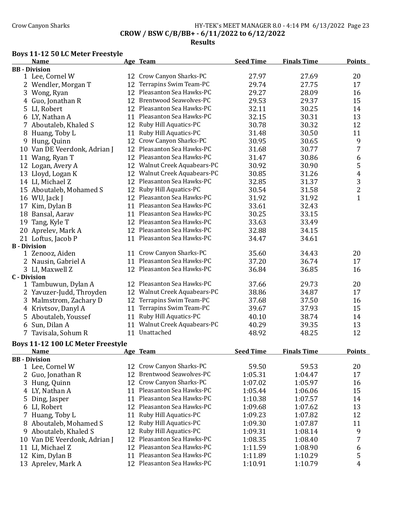# Crow Canyon Sharks **HY-TEK's MEET MANAGER 8.0 - 4:14 PM 6/13/2022** Page 23 CROW / BSW C/B/BB+ - 6/11/2022 to 6/12/2022

## Results

# Boys 11-12 50 LC Meter Freestyle

|                     | Name                              |    | Age Team                      | <b>Seed Time</b> | <b>Finals Time</b> | <b>Points</b>           |
|---------------------|-----------------------------------|----|-------------------------------|------------------|--------------------|-------------------------|
|                     | <b>BB</b> - Division              |    |                               |                  |                    |                         |
|                     | 1 Lee, Cornel W                   |    | 12 Crow Canyon Sharks-PC      | 27.97            | 27.69              | 20                      |
|                     | 2 Wendler, Morgan T               | 12 | Terrapins Swim Team-PC        | 29.74            | 27.75              | 17                      |
|                     | 3 Wong, Ryan                      |    | 12 Pleasanton Sea Hawks-PC    | 29.27            | 28.09              | 16                      |
|                     | 4 Guo, Jonathan R                 |    | 12 Brentwood Seawolves-PC     | 29.53            | 29.37              | 15                      |
|                     | 5 LI, Robert                      |    | 12 Pleasanton Sea Hawks-PC    | 32.11            | 30.25              | 14                      |
|                     | 6 LY, Nathan A                    |    | 11 Pleasanton Sea Hawks-PC    | 32.15            | 30.31              | 13                      |
|                     | 7 Aboutaleb, Khaled S             |    | 12 Ruby Hill Aquatics-PC      | 30.78            | 30.32              | 12                      |
|                     | 8 Huang, Toby L                   | 11 | Ruby Hill Aquatics-PC         | 31.48            | 30.50              | 11                      |
|                     | 9 Hung, Quinn                     | 12 | Crow Canyon Sharks-PC         | 30.95            | 30.65              | 9                       |
|                     | 10 Van DE Veerdonk, Adrian J      | 12 | Pleasanton Sea Hawks-PC       | 31.68            | 30.77              | 7                       |
|                     | 11 Wang, Ryan T                   |    | 12 Pleasanton Sea Hawks-PC    | 31.47            | 30.86              | 6                       |
|                     | 12 Logan, Avery A                 |    | 12 Walnut Creek Aquabears-PC  | 30.92            | 30.90              | 5                       |
|                     | 13 Lloyd, Logan K                 |    | 12 Walnut Creek Aquabears-PC  | 30.85            | 31.26              | 4                       |
|                     | 14 LI, Michael Z                  | 12 | Pleasanton Sea Hawks-PC       | 32.85            | 31.37              | 3                       |
|                     | 15 Aboutaleb, Mohamed S           |    | 12 Ruby Hill Aquatics-PC      | 30.54            | 31.58              | $\overline{\mathbf{c}}$ |
|                     | 16 WU, Jack J                     |    | 12 Pleasanton Sea Hawks-PC    | 31.92            | 31.92              | $\mathbf{1}$            |
|                     | 17 Kim, Dylan B                   |    | 11 Pleasanton Sea Hawks-PC    | 33.61            | 32.43              |                         |
|                     |                                   |    | 11 Pleasanton Sea Hawks-PC    |                  |                    |                         |
|                     | 18 Bansal, Aarav                  |    | 12 Pleasanton Sea Hawks-PC    | 30.25            | 33.15              |                         |
|                     | 19 Tang, Kyle T                   |    |                               | 33.63            | 33.49              |                         |
|                     | 20 Aprelev, Mark A                |    | 12 Pleasanton Sea Hawks-PC    | 32.88            | 34.15              |                         |
|                     | 21 Loftus, Jacob P                |    | 11 Pleasanton Sea Hawks-PC    | 34.47            | 34.61              |                         |
| <b>B</b> - Division | 1 Zenooz, Aiden                   | 11 | Crow Canyon Sharks-PC         | 35.60            | 34.43              | 20                      |
|                     | 2 Nausin, Gabriel A               |    | 11 Pleasanton Sea Hawks-PC    | 37.20            | 36.74              | 17                      |
|                     |                                   |    | 12 Pleasanton Sea Hawks-PC    |                  | 36.85              |                         |
| <b>C</b> - Division | 3 LI, Maxwell Z                   |    |                               | 36.84            |                    | 16                      |
|                     | 1 Tambuwun, Dylan A               |    | 12 Pleasanton Sea Hawks-PC    | 37.66            | 29.73              | 20                      |
|                     | 2 Yavuzer-Judd, Throyden          |    | 12 Walnut Creek Aquabears-PC  | 38.86            | 34.87              | 17                      |
|                     | 3 Malmstrom, Zachary D            | 12 | Terrapins Swim Team-PC        | 37.68            | 37.50              | 16                      |
|                     | 4 Krivtsov, Danyl A               | 11 | Terrapins Swim Team-PC        | 39.67            | 37.93              | 15                      |
|                     | 5 Aboutaleb, Youssef              | 11 | Ruby Hill Aquatics-PC         | 40.10            | 38.74              | 14                      |
|                     | 6 Sun, Dilan A                    | 11 | Walnut Creek Aquabears-PC     | 40.29            | 39.35              | 13                      |
|                     | 7 Tavisala, Sohum R               |    | 11 Unattached                 | 48.92            | 48.25              | 12                      |
|                     |                                   |    |                               |                  |                    |                         |
|                     | Boys 11-12 100 LC Meter Freestyle |    |                               |                  |                    |                         |
|                     | <b>Name</b>                       |    | Age Team                      | <b>Seed Time</b> | <b>Finals Time</b> | <b>Points</b>           |
|                     | <b>BB</b> - Division              |    | 12 Crow Canyon Sharks-PC      |                  |                    |                         |
|                     | 1 Lee, Cornel W                   |    |                               | 59.50            | 59.53              | 20                      |
| 2                   | Guo, Jonathan R                   | 12 | <b>Brentwood Seawolves-PC</b> | 1:05.31          | 1:04.47            | 17                      |
|                     | 3 Hung, Quinn                     | 12 | Crow Canyon Sharks-PC         | 1:07.02          | 1:05.97            | 16                      |
|                     | 4 LY, Nathan A                    |    | 11 Pleasanton Sea Hawks-PC    | 1:05.44          | 1:06.06            | 15                      |
| 5.                  | Ding, Jasper                      | 11 | Pleasanton Sea Hawks-PC       | 1:10.38          | 1:07.57            | 14                      |
|                     | 6 LI, Robert                      |    | 12 Pleasanton Sea Hawks-PC    | 1:09.68          | 1:07.62            | 13                      |
|                     | 7 Huang, Toby L                   | 11 | Ruby Hill Aquatics-PC         | 1:09.23          | 1:07.82            | 12                      |
|                     | 8 Aboutaleb, Mohamed S            | 12 | Ruby Hill Aquatics-PC         | 1:09.30          | 1:07.87            | 11                      |
| 9.                  | Aboutaleb, Khaled S               | 12 | Ruby Hill Aquatics-PC         | 1:09.31          | 1:08.14            | 9                       |
|                     | 10 Van DE Veerdonk, Adrian J      |    | 12 Pleasanton Sea Hawks-PC    | 1:08.35          | 1:08.40            | 7                       |
| 11                  | LI, Michael Z                     |    | 12 Pleasanton Sea Hawks-PC    | 1:11.59          | 1:08.90            | 6                       |
|                     | 12 Kim, Dylan B                   |    | 11 Pleasanton Sea Hawks-PC    | 1:11.89          | 1:10.29            | 5                       |
|                     | 13 Aprelev, Mark A                |    | 12 Pleasanton Sea Hawks-PC    | 1:10.91          | 1:10.79            | 4                       |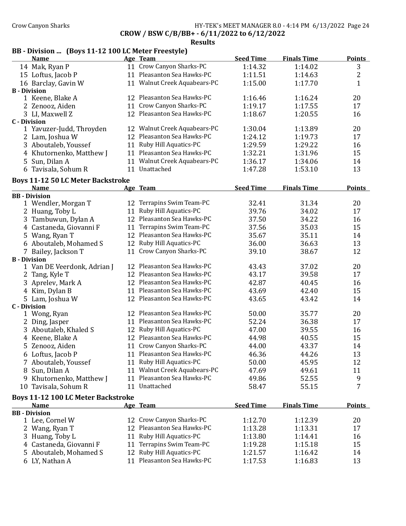### Crow Canyon Sharks HY-TEK's MEET MANAGER 8.0 - 4:14 PM 6/13/2022 Page 24 CROW / BSW C/B/BB+ - 6/11/2022 to 6/12/2022

Results

# BB - Division ... (Boys 11-12 100 LC Meter Freestyle)

| <b>Name</b>                               |    | Age Team                     | <b>Seed Time</b> | <b>Finals Time</b> | <b>Points</b> |
|-------------------------------------------|----|------------------------------|------------------|--------------------|---------------|
| 14 Mak, Ryan P                            |    | 11 Crow Canyon Sharks-PC     | 1:14.32          | 1:14.02            | 3             |
| 15 Loftus, Jacob P                        |    | 11 Pleasanton Sea Hawks-PC   | 1:11.51          | 1:14.63            | 2             |
| 16 Barclay, Gavin W                       |    | 11 Walnut Creek Aquabears-PC | 1:15.00          | 1:17.70            | 1             |
| <b>B</b> - Division                       |    |                              |                  |                    |               |
| 1 Keene, Blake A                          |    | 12 Pleasanton Sea Hawks-PC   | 1:16.46          | 1:16.24            | 20            |
| 2 Zenooz, Aiden                           |    | 11 Crow Canyon Sharks-PC     | 1:19.17          | 1:17.55            | 17            |
| 3 LI, Maxwell Z                           |    | 12 Pleasanton Sea Hawks-PC   | 1:18.67          | 1:20.55            | 16            |
| <b>C</b> - Division                       |    |                              |                  |                    |               |
| 1 Yavuzer-Judd, Throyden                  |    | 12 Walnut Creek Aquabears-PC | 1:30.04          | 1:13.89            | 20            |
| 2 Lam, Joshua W                           |    | 12 Pleasanton Sea Hawks-PC   | 1:24.12          | 1:19.73            | 17            |
| 3 Aboutaleb, Youssef                      |    | 11 Ruby Hill Aquatics-PC     | 1:29.59          | 1:29.22            | 16            |
| 4 Khutornenko, Matthew J                  |    | 11 Pleasanton Sea Hawks-PC   | 1:32.21          | 1:31.96            | 15            |
| 5 Sun, Dilan A                            |    | 11 Walnut Creek Aquabears-PC | 1:36.17          | 1:34.06            | 14            |
| 6 Tavisala, Sohum R                       |    | 11 Unattached                | 1:47.28          | 1:53.10            | 13            |
| <b>Boys 11-12 50 LC Meter Backstroke</b>  |    |                              |                  |                    |               |
| <b>Name</b>                               |    | Age Team                     | <b>Seed Time</b> | <b>Finals Time</b> | <b>Points</b> |
| <b>BB</b> - Division                      |    |                              |                  |                    |               |
| 1 Wendler, Morgan T                       |    | 12 Terrapins Swim Team-PC    | 32.41            | 31.34              | 20            |
| 2 Huang, Toby L                           | 11 | Ruby Hill Aquatics-PC        | 39.76            | 34.02              | 17            |
| 3 Tambuwun, Dylan A                       |    | 12 Pleasanton Sea Hawks-PC   | 37.50            | 34.22              | 16            |
| 4 Castaneda, Giovanni F                   |    | 11 Terrapins Swim Team-PC    | 37.56            | 35.03              | 15            |
| 5 Wang, Ryan T                            |    | 12 Pleasanton Sea Hawks-PC   | 35.67            | 35.11              | 14            |
| 6 Aboutaleb, Mohamed S                    |    | 12 Ruby Hill Aquatics-PC     | 36.00            | 36.63              | 13            |
| 7 Bailey, Jackson T                       |    | 11 Crow Canyon Sharks-PC     | 39.10            | 38.67              | 12            |
| <b>B</b> - Division                       |    |                              |                  |                    |               |
| 1 Van DE Veerdonk, Adrian J               |    | 12 Pleasanton Sea Hawks-PC   | 43.43            | 37.02              | 20            |
| 2 Tang, Kyle T                            |    | 12 Pleasanton Sea Hawks-PC   | 43.17            | 39.58              | 17            |
| 3 Aprelev, Mark A                         |    | 12 Pleasanton Sea Hawks-PC   | 42.87            | 40.45              | 16            |
| 4 Kim, Dylan B                            |    | 11 Pleasanton Sea Hawks-PC   | 43.69            | 42.40              | 15            |
| 5 Lam, Joshua W                           |    | 12 Pleasanton Sea Hawks-PC   | 43.65            | 43.42              | 14            |
| <b>C</b> - Division                       |    |                              |                  |                    |               |
| 1 Wong, Ryan                              |    | 12 Pleasanton Sea Hawks-PC   | 50.00            | 35.77              | 20            |
| 2 Ding, Jasper                            |    | 11 Pleasanton Sea Hawks-PC   | 52.24            | 36.38              | 17            |
| 3 Aboutaleb, Khaled S                     |    | 12 Ruby Hill Aquatics-PC     | 47.00            | 39.55              | 16            |
| 4 Keene, Blake A                          |    | 12 Pleasanton Sea Hawks-PC   | 44.98            | 40.55              | 15            |
| 5 Zenooz, Aiden                           |    | 11 Crow Canyon Sharks-PC     | 44.00            | 43.37              | 14            |
| 6 Loftus, Jacob P                         |    | 11 Pleasanton Sea Hawks-PC   | 46.36            | 44.26              | 13            |
| 7 Aboutaleb, Youssef                      |    | 11 Ruby Hill Aquatics-PC     | 50.00            | 45.95              | 12            |
| 8 Sun, Dilan A                            |    | 11 Walnut Creek Aquabears-PC | 47.69            | 49.61              | 11            |
| 9 Khutornenko, Matthew J                  |    | 11 Pleasanton Sea Hawks-PC   | 49.86            | 52.55              | 9             |
| 10 Tavisala, Sohum R                      |    | 11 Unattached                | 58.47            | 55.15              | 7             |
|                                           |    |                              |                  |                    |               |
| <b>Boys 11-12 100 LC Meter Backstroke</b> |    |                              |                  |                    |               |
| <b>Name</b><br><b>BB</b> - Division       |    | Age Team                     | <b>Seed Time</b> | <b>Finals Time</b> | <b>Points</b> |
| 1 Lee, Cornel W                           |    | 12 Crow Canyon Sharks-PC     | 1:12.70          | 1:12.39            | 20            |
| 2 Wang, Ryan T                            | 12 | Pleasanton Sea Hawks-PC      | 1:13.28          | 1:13.31            | 17            |
|                                           | 11 | Ruby Hill Aquatics-PC        |                  | 1:14.41            | 16            |
| 3 Huang, Toby L                           | 11 | Terrapins Swim Team-PC       | 1:13.80          |                    | 15            |
| 4 Castaneda, Giovanni F                   |    | Ruby Hill Aquatics-PC        | 1:19.28          | 1:15.18            |               |
| 5 Aboutaleb, Mohamed S                    | 12 | 11 Pleasanton Sea Hawks-PC   | 1:21.57          | 1:16.42            | 14            |
| 6 LY, Nathan A                            |    |                              | 1:17.53          | 1:16.83            | 13            |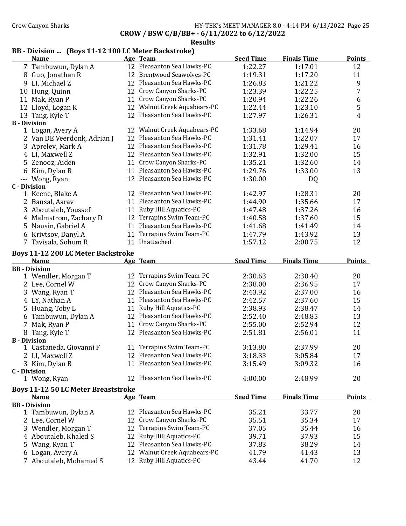### Crow Canyon Sharks **HY-TEK's MEET MANAGER 8.0 - 4:14 PM 6/13/2022** Page 25 CROW / BSW C/B/BB+ - 6/11/2022 to 6/12/2022

#### Results

# BB - Division ... (Boys 11-12 100 LC Meter Backstroke)

|   | <b>Name</b>                                |    | Age Team                      | <b>Seed Time</b> | <b>Finals Time</b> | <b>Points</b>  |
|---|--------------------------------------------|----|-------------------------------|------------------|--------------------|----------------|
|   | 7 Tambuwun, Dylan A                        |    | 12 Pleasanton Sea Hawks-PC    | 1:22.27          | 1:17.01            | 12             |
|   | 8 Guo, Jonathan R                          | 12 | <b>Brentwood Seawolves-PC</b> | 1:19.31          | 1:17.20            | 11             |
|   | 9 LI, Michael Z                            | 12 | Pleasanton Sea Hawks-PC       | 1:26.83          | 1:21.22            | 9              |
|   | 10 Hung, Quinn                             | 12 | Crow Canyon Sharks-PC         | 1:23.39          | 1:22.25            | 7              |
|   | 11 Mak, Ryan P                             | 11 | Crow Canyon Sharks-PC         | 1:20.94          | 1:22.26            | 6              |
|   | 12 Lloyd, Logan K                          | 12 | Walnut Creek Aquabears-PC     | 1:22.44          | 1:23.10            | 5              |
|   | 13 Tang, Kyle T                            | 12 | Pleasanton Sea Hawks-PC       | 1:27.97          | 1:26.31            | $\overline{4}$ |
|   | <b>B</b> - Division                        |    |                               |                  |                    |                |
|   | 1 Logan, Avery A                           |    | 12 Walnut Creek Aquabears-PC  | 1:33.68          | 1:14.94            | 20             |
|   | 2 Van DE Veerdonk, Adrian J                |    | 12 Pleasanton Sea Hawks-PC    | 1:31.41          | 1:22.07            | 17             |
|   | 3 Aprelev, Mark A                          |    | 12 Pleasanton Sea Hawks-PC    | 1:31.78          | 1:29.41            | 16             |
|   | 4 LI, Maxwell Z                            |    | 12 Pleasanton Sea Hawks-PC    | 1:32.91          | 1:32.00            | 15             |
|   | 5 Zenooz, Aiden                            |    | 11 Crow Canyon Sharks-PC      | 1:35.21          | 1:32.60            | 14             |
|   | 6 Kim, Dylan B                             | 11 | Pleasanton Sea Hawks-PC       | 1:29.76          | 1:33.00            | 13             |
|   | --- Wong, Ryan                             |    | 12 Pleasanton Sea Hawks-PC    | 1:30.00          | DQ                 |                |
|   | <b>C</b> - Division                        |    |                               |                  |                    |                |
|   | 1 Keene, Blake A                           |    | 12 Pleasanton Sea Hawks-PC    | 1:42.97          | 1:28.31            | 20             |
|   | 2 Bansal, Aarav                            |    | 11 Pleasanton Sea Hawks-PC    | 1:44.90          | 1:35.66            | 17             |
|   | 3 Aboutaleb, Youssef                       |    | 11 Ruby Hill Aquatics-PC      | 1:47.48          | 1:37.26            | 16             |
|   | 4 Malmstrom, Zachary D                     |    | 12 Terrapins Swim Team-PC     | 1:40.58          | 1:37.60            | 15             |
|   | 5 Nausin, Gabriel A                        | 11 | Pleasanton Sea Hawks-PC       | 1:41.68          | 1:41.49            | 14             |
|   | 6 Krivtsov, Danyl A                        | 11 | Terrapins Swim Team-PC        | 1:47.79          | 1:43.92            | 13             |
|   | 7 Tavisala, Sohum R                        | 11 | Unattached                    | 1:57.12          | 2:00.75            | 12             |
|   | <b>Boys 11-12 200 LC Meter Backstroke</b>  |    |                               |                  |                    |                |
|   | <b>Name</b>                                |    | Age Team                      | <b>Seed Time</b> | <b>Finals Time</b> | <b>Points</b>  |
|   | <b>BB</b> - Division                       |    |                               |                  |                    |                |
|   | 1 Wendler, Morgan T                        |    | 12 Terrapins Swim Team-PC     | 2:30.63          | 2:30.40            | 20             |
|   | 2 Lee, Cornel W                            |    | 12 Crow Canyon Sharks-PC      | 2:38.00          | 2:36.95            | 17             |
|   | 3 Wang, Ryan T                             |    | 12 Pleasanton Sea Hawks-PC    | 2:43.92          | 2:37.00            | 16             |
|   | 4 LY, Nathan A                             |    | 11 Pleasanton Sea Hawks-PC    | 2:42.57          | 2:37.60            | 15             |
|   | 5 Huang, Toby L                            |    | 11 Ruby Hill Aquatics-PC      | 2:38.93          | 2:38.47            | 14             |
|   | 6 Tambuwun, Dylan A                        |    | 12 Pleasanton Sea Hawks-PC    | 2:52.40          | 2:48.85            | 13             |
| 7 | Mak, Ryan P                                |    | 11 Crow Canyon Sharks-PC      | 2:55.00          | 2:52.94            | 12             |
|   | 8 Tang, Kyle T                             |    | 12 Pleasanton Sea Hawks-PC    | 2:51.81          | 2:56.01            | 11             |
|   | <b>B</b> - Division                        |    |                               |                  |                    |                |
|   | 1 Castaneda, Giovanni F                    |    | 11 Terrapins Swim Team-PC     | 3:13.80          | 2:37.99            | 20             |
|   | 2 LI, Maxwell Z                            |    | 12 Pleasanton Sea Hawks-PC    | 3:18.33          | 3:05.84            | 17             |
|   | 3 Kim, Dylan B                             |    | 11 Pleasanton Sea Hawks-PC    | 3:15.49          | 3:09.32            | 16             |
|   | <b>C</b> - Division                        |    |                               |                  |                    |                |
|   | 1 Wong, Ryan                               |    | 12 Pleasanton Sea Hawks-PC    | 4:00.00          | 2:48.99            | 20             |
|   | <b>Boys 11-12 50 LC Meter Breaststroke</b> |    |                               |                  |                    |                |
|   | <b>Name</b>                                |    | Age Team                      | <b>Seed Time</b> | <b>Finals Time</b> | <b>Points</b>  |
|   | <b>BB</b> - Division                       |    |                               |                  |                    |                |
|   | 1 Tambuwun, Dylan A                        |    | 12 Pleasanton Sea Hawks-PC    | 35.21            | 33.77              | 20             |
|   | 2 Lee, Cornel W                            | 12 | Crow Canyon Sharks-PC         | 35.51            | 35.34              | 17             |
|   | 3 Wendler, Morgan T                        | 12 | Terrapins Swim Team-PC        | 37.05            | 35.44              | 16             |
|   | 4 Aboutaleb, Khaled S                      | 12 | Ruby Hill Aquatics-PC         | 39.71            | 37.93              | 15             |
| 5 | Wang, Ryan T                               |    | 12 Pleasanton Sea Hawks-PC    | 37.83            | 38.29              | 14             |
|   | 6 Logan, Avery A                           |    | 12 Walnut Creek Aquabears-PC  | 41.79            | 41.43              | 13             |
|   | 7 Aboutaleb, Mohamed S                     |    | 12 Ruby Hill Aquatics-PC      | 43.44            | 41.70              | 12             |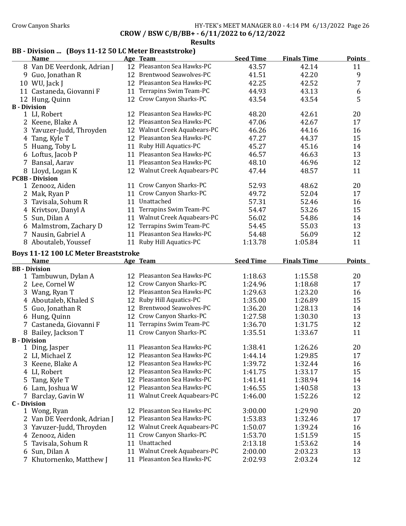### Crow Canyon Sharks **HY-TEK's MEET MANAGER 8.0 - 4:14 PM 6/13/2022** Page 26 CROW / BSW C/B/BB+ - 6/11/2022 to 6/12/2022

#### Results

# BB - Division ... (Boys 11-12 50 LC Meter Breaststroke)

| 12 Pleasanton Sea Hawks-PC<br>42.14<br>11<br>8 Van DE Veerdonk, Adrian J<br>43.57<br>12 Brentwood Seawolves-PC<br>9<br>41.51<br>42.20<br>9 Guo, Jonathan R<br>7<br>12 Pleasanton Sea Hawks-PC<br>42.25<br>10 WU, Jack J<br>42.52<br>Terrapins Swim Team-PC<br>6<br>11 Castaneda, Giovanni F<br>44.93<br>43.13<br>11<br>5<br>12 Crow Canyon Sharks-PC<br>43.54<br>43.54<br>12 Hung, Quinn<br><b>B</b> - Division<br>1 LI, Robert<br>12 Pleasanton Sea Hawks-PC<br>20<br>48.20<br>42.61<br>12 Pleasanton Sea Hawks-PC<br>2 Keene, Blake A<br>47.06<br>42.67<br>17<br>12 Walnut Creek Aquabears-PC<br>16<br>3 Yavuzer-Judd, Throyden<br>46.26<br>44.16<br>12 Pleasanton Sea Hawks-PC<br>15<br>4 Tang, Kyle T<br>47.27<br>44.37<br>11 Ruby Hill Aquatics-PC<br>14<br>5 Huang, Toby L<br>45.27<br>45.16<br>11 Pleasanton Sea Hawks-PC<br>13<br>6 Loftus, Jacob P<br>46.57<br>46.63<br>11 Pleasanton Sea Hawks-PC<br>46.96<br>12<br>7 Bansal, Aarav<br>48.10<br>12 Walnut Creek Aquabears-PC<br>11<br>8 Lloyd, Logan K<br>47.44<br>48.57<br><b>PC8B - Division</b><br>20<br>11 Crow Canyon Sharks-PC<br>52.93<br>48.62<br>1 Zenooz, Aiden<br>11 Crow Canyon Sharks-PC<br>52.04<br>2 Mak, Ryan P<br>49.72<br>17<br>11 Unattached<br>52.46<br>16<br>3 Tavisala, Sohum R<br>57.31<br>Terrapins Swim Team-PC<br>53.26<br>15<br>4 Krivtsov, Danyl A<br>54.47<br>11<br>Walnut Creek Aquabears-PC<br>14<br>5 Sun, Dilan A<br>56.02<br>54.86<br>11<br>Terrapins Swim Team-PC<br>13<br>6 Malmstrom, Zachary D<br>12<br>54.45<br>55.03<br>11 Pleasanton Sea Hawks-PC<br>12<br>7 Nausin, Gabriel A<br>54.48<br>56.09<br>11 Ruby Hill Aquatics-PC<br>1:05.84<br>11<br>8 Aboutaleb, Youssef<br>1:13.78<br><b>Boys 11-12 100 LC Meter Breaststroke</b><br><b>Seed Time</b><br><b>Finals Time</b><br><b>Points</b><br><b>Name</b><br>Age Team<br><b>BB</b> - Division<br>12 Pleasanton Sea Hawks-PC<br>1 Tambuwun, Dylan A<br>1:18.63<br>1:15.58<br>20<br>12 Crow Canyon Sharks-PC<br>17<br>2 Lee, Cornel W<br>1:24.96<br>1:18.68<br>12 Pleasanton Sea Hawks-PC<br>3 Wang, Ryan T<br>1:29.63<br>1:23.20<br>16<br>12 Ruby Hill Aquatics-PC<br>1:35.00<br>15<br>4 Aboutaleb, Khaled S<br>1:26.89<br>12 Brentwood Seawolves-PC<br>5 Guo, Jonathan R<br>1:36.20<br>1:28.13<br>14<br>12 Crow Canyon Sharks-PC<br>13<br>6 Hung, Quinn<br>1:27.58<br>1:30.30<br>11 Terrapins Swim Team-PC<br>12<br>7 Castaneda, Giovanni F<br>1:36.70<br>1:31.75<br>11 Crow Canyon Sharks-PC<br>1:35.51<br>11<br>1:33.67<br>8 Bailey, Jackson T<br><b>B</b> - Division<br>11 Pleasanton Sea Hawks-PC<br>20<br>1:38.41<br>1:26.26<br>1 Ding, Jasper<br>2 LI, Michael Z<br>12 Pleasanton Sea Hawks-PC<br>1:29.85<br>1:44.14<br>17 |
|-------------------------------------------------------------------------------------------------------------------------------------------------------------------------------------------------------------------------------------------------------------------------------------------------------------------------------------------------------------------------------------------------------------------------------------------------------------------------------------------------------------------------------------------------------------------------------------------------------------------------------------------------------------------------------------------------------------------------------------------------------------------------------------------------------------------------------------------------------------------------------------------------------------------------------------------------------------------------------------------------------------------------------------------------------------------------------------------------------------------------------------------------------------------------------------------------------------------------------------------------------------------------------------------------------------------------------------------------------------------------------------------------------------------------------------------------------------------------------------------------------------------------------------------------------------------------------------------------------------------------------------------------------------------------------------------------------------------------------------------------------------------------------------------------------------------------------------------------------------------------------------------------------------------------------------------------------------------------------------------------------------------------------------------------------------------------------------------------------------------------------------------------------------------------------------------------------------------------------------------------------------------------------------------------------------------------------------------------------------------------------------------------------------------------------------------------------------------------------------------------------------------------------------------------------------------------------------------------------------------------------------------------------------------------------------|
|                                                                                                                                                                                                                                                                                                                                                                                                                                                                                                                                                                                                                                                                                                                                                                                                                                                                                                                                                                                                                                                                                                                                                                                                                                                                                                                                                                                                                                                                                                                                                                                                                                                                                                                                                                                                                                                                                                                                                                                                                                                                                                                                                                                                                                                                                                                                                                                                                                                                                                                                                                                                                                                                                     |
|                                                                                                                                                                                                                                                                                                                                                                                                                                                                                                                                                                                                                                                                                                                                                                                                                                                                                                                                                                                                                                                                                                                                                                                                                                                                                                                                                                                                                                                                                                                                                                                                                                                                                                                                                                                                                                                                                                                                                                                                                                                                                                                                                                                                                                                                                                                                                                                                                                                                                                                                                                                                                                                                                     |
|                                                                                                                                                                                                                                                                                                                                                                                                                                                                                                                                                                                                                                                                                                                                                                                                                                                                                                                                                                                                                                                                                                                                                                                                                                                                                                                                                                                                                                                                                                                                                                                                                                                                                                                                                                                                                                                                                                                                                                                                                                                                                                                                                                                                                                                                                                                                                                                                                                                                                                                                                                                                                                                                                     |
|                                                                                                                                                                                                                                                                                                                                                                                                                                                                                                                                                                                                                                                                                                                                                                                                                                                                                                                                                                                                                                                                                                                                                                                                                                                                                                                                                                                                                                                                                                                                                                                                                                                                                                                                                                                                                                                                                                                                                                                                                                                                                                                                                                                                                                                                                                                                                                                                                                                                                                                                                                                                                                                                                     |
|                                                                                                                                                                                                                                                                                                                                                                                                                                                                                                                                                                                                                                                                                                                                                                                                                                                                                                                                                                                                                                                                                                                                                                                                                                                                                                                                                                                                                                                                                                                                                                                                                                                                                                                                                                                                                                                                                                                                                                                                                                                                                                                                                                                                                                                                                                                                                                                                                                                                                                                                                                                                                                                                                     |
|                                                                                                                                                                                                                                                                                                                                                                                                                                                                                                                                                                                                                                                                                                                                                                                                                                                                                                                                                                                                                                                                                                                                                                                                                                                                                                                                                                                                                                                                                                                                                                                                                                                                                                                                                                                                                                                                                                                                                                                                                                                                                                                                                                                                                                                                                                                                                                                                                                                                                                                                                                                                                                                                                     |
|                                                                                                                                                                                                                                                                                                                                                                                                                                                                                                                                                                                                                                                                                                                                                                                                                                                                                                                                                                                                                                                                                                                                                                                                                                                                                                                                                                                                                                                                                                                                                                                                                                                                                                                                                                                                                                                                                                                                                                                                                                                                                                                                                                                                                                                                                                                                                                                                                                                                                                                                                                                                                                                                                     |
|                                                                                                                                                                                                                                                                                                                                                                                                                                                                                                                                                                                                                                                                                                                                                                                                                                                                                                                                                                                                                                                                                                                                                                                                                                                                                                                                                                                                                                                                                                                                                                                                                                                                                                                                                                                                                                                                                                                                                                                                                                                                                                                                                                                                                                                                                                                                                                                                                                                                                                                                                                                                                                                                                     |
|                                                                                                                                                                                                                                                                                                                                                                                                                                                                                                                                                                                                                                                                                                                                                                                                                                                                                                                                                                                                                                                                                                                                                                                                                                                                                                                                                                                                                                                                                                                                                                                                                                                                                                                                                                                                                                                                                                                                                                                                                                                                                                                                                                                                                                                                                                                                                                                                                                                                                                                                                                                                                                                                                     |
|                                                                                                                                                                                                                                                                                                                                                                                                                                                                                                                                                                                                                                                                                                                                                                                                                                                                                                                                                                                                                                                                                                                                                                                                                                                                                                                                                                                                                                                                                                                                                                                                                                                                                                                                                                                                                                                                                                                                                                                                                                                                                                                                                                                                                                                                                                                                                                                                                                                                                                                                                                                                                                                                                     |
|                                                                                                                                                                                                                                                                                                                                                                                                                                                                                                                                                                                                                                                                                                                                                                                                                                                                                                                                                                                                                                                                                                                                                                                                                                                                                                                                                                                                                                                                                                                                                                                                                                                                                                                                                                                                                                                                                                                                                                                                                                                                                                                                                                                                                                                                                                                                                                                                                                                                                                                                                                                                                                                                                     |
|                                                                                                                                                                                                                                                                                                                                                                                                                                                                                                                                                                                                                                                                                                                                                                                                                                                                                                                                                                                                                                                                                                                                                                                                                                                                                                                                                                                                                                                                                                                                                                                                                                                                                                                                                                                                                                                                                                                                                                                                                                                                                                                                                                                                                                                                                                                                                                                                                                                                                                                                                                                                                                                                                     |
|                                                                                                                                                                                                                                                                                                                                                                                                                                                                                                                                                                                                                                                                                                                                                                                                                                                                                                                                                                                                                                                                                                                                                                                                                                                                                                                                                                                                                                                                                                                                                                                                                                                                                                                                                                                                                                                                                                                                                                                                                                                                                                                                                                                                                                                                                                                                                                                                                                                                                                                                                                                                                                                                                     |
|                                                                                                                                                                                                                                                                                                                                                                                                                                                                                                                                                                                                                                                                                                                                                                                                                                                                                                                                                                                                                                                                                                                                                                                                                                                                                                                                                                                                                                                                                                                                                                                                                                                                                                                                                                                                                                                                                                                                                                                                                                                                                                                                                                                                                                                                                                                                                                                                                                                                                                                                                                                                                                                                                     |
|                                                                                                                                                                                                                                                                                                                                                                                                                                                                                                                                                                                                                                                                                                                                                                                                                                                                                                                                                                                                                                                                                                                                                                                                                                                                                                                                                                                                                                                                                                                                                                                                                                                                                                                                                                                                                                                                                                                                                                                                                                                                                                                                                                                                                                                                                                                                                                                                                                                                                                                                                                                                                                                                                     |
|                                                                                                                                                                                                                                                                                                                                                                                                                                                                                                                                                                                                                                                                                                                                                                                                                                                                                                                                                                                                                                                                                                                                                                                                                                                                                                                                                                                                                                                                                                                                                                                                                                                                                                                                                                                                                                                                                                                                                                                                                                                                                                                                                                                                                                                                                                                                                                                                                                                                                                                                                                                                                                                                                     |
|                                                                                                                                                                                                                                                                                                                                                                                                                                                                                                                                                                                                                                                                                                                                                                                                                                                                                                                                                                                                                                                                                                                                                                                                                                                                                                                                                                                                                                                                                                                                                                                                                                                                                                                                                                                                                                                                                                                                                                                                                                                                                                                                                                                                                                                                                                                                                                                                                                                                                                                                                                                                                                                                                     |
|                                                                                                                                                                                                                                                                                                                                                                                                                                                                                                                                                                                                                                                                                                                                                                                                                                                                                                                                                                                                                                                                                                                                                                                                                                                                                                                                                                                                                                                                                                                                                                                                                                                                                                                                                                                                                                                                                                                                                                                                                                                                                                                                                                                                                                                                                                                                                                                                                                                                                                                                                                                                                                                                                     |
|                                                                                                                                                                                                                                                                                                                                                                                                                                                                                                                                                                                                                                                                                                                                                                                                                                                                                                                                                                                                                                                                                                                                                                                                                                                                                                                                                                                                                                                                                                                                                                                                                                                                                                                                                                                                                                                                                                                                                                                                                                                                                                                                                                                                                                                                                                                                                                                                                                                                                                                                                                                                                                                                                     |
|                                                                                                                                                                                                                                                                                                                                                                                                                                                                                                                                                                                                                                                                                                                                                                                                                                                                                                                                                                                                                                                                                                                                                                                                                                                                                                                                                                                                                                                                                                                                                                                                                                                                                                                                                                                                                                                                                                                                                                                                                                                                                                                                                                                                                                                                                                                                                                                                                                                                                                                                                                                                                                                                                     |
|                                                                                                                                                                                                                                                                                                                                                                                                                                                                                                                                                                                                                                                                                                                                                                                                                                                                                                                                                                                                                                                                                                                                                                                                                                                                                                                                                                                                                                                                                                                                                                                                                                                                                                                                                                                                                                                                                                                                                                                                                                                                                                                                                                                                                                                                                                                                                                                                                                                                                                                                                                                                                                                                                     |
|                                                                                                                                                                                                                                                                                                                                                                                                                                                                                                                                                                                                                                                                                                                                                                                                                                                                                                                                                                                                                                                                                                                                                                                                                                                                                                                                                                                                                                                                                                                                                                                                                                                                                                                                                                                                                                                                                                                                                                                                                                                                                                                                                                                                                                                                                                                                                                                                                                                                                                                                                                                                                                                                                     |
|                                                                                                                                                                                                                                                                                                                                                                                                                                                                                                                                                                                                                                                                                                                                                                                                                                                                                                                                                                                                                                                                                                                                                                                                                                                                                                                                                                                                                                                                                                                                                                                                                                                                                                                                                                                                                                                                                                                                                                                                                                                                                                                                                                                                                                                                                                                                                                                                                                                                                                                                                                                                                                                                                     |
|                                                                                                                                                                                                                                                                                                                                                                                                                                                                                                                                                                                                                                                                                                                                                                                                                                                                                                                                                                                                                                                                                                                                                                                                                                                                                                                                                                                                                                                                                                                                                                                                                                                                                                                                                                                                                                                                                                                                                                                                                                                                                                                                                                                                                                                                                                                                                                                                                                                                                                                                                                                                                                                                                     |
|                                                                                                                                                                                                                                                                                                                                                                                                                                                                                                                                                                                                                                                                                                                                                                                                                                                                                                                                                                                                                                                                                                                                                                                                                                                                                                                                                                                                                                                                                                                                                                                                                                                                                                                                                                                                                                                                                                                                                                                                                                                                                                                                                                                                                                                                                                                                                                                                                                                                                                                                                                                                                                                                                     |
|                                                                                                                                                                                                                                                                                                                                                                                                                                                                                                                                                                                                                                                                                                                                                                                                                                                                                                                                                                                                                                                                                                                                                                                                                                                                                                                                                                                                                                                                                                                                                                                                                                                                                                                                                                                                                                                                                                                                                                                                                                                                                                                                                                                                                                                                                                                                                                                                                                                                                                                                                                                                                                                                                     |
|                                                                                                                                                                                                                                                                                                                                                                                                                                                                                                                                                                                                                                                                                                                                                                                                                                                                                                                                                                                                                                                                                                                                                                                                                                                                                                                                                                                                                                                                                                                                                                                                                                                                                                                                                                                                                                                                                                                                                                                                                                                                                                                                                                                                                                                                                                                                                                                                                                                                                                                                                                                                                                                                                     |
|                                                                                                                                                                                                                                                                                                                                                                                                                                                                                                                                                                                                                                                                                                                                                                                                                                                                                                                                                                                                                                                                                                                                                                                                                                                                                                                                                                                                                                                                                                                                                                                                                                                                                                                                                                                                                                                                                                                                                                                                                                                                                                                                                                                                                                                                                                                                                                                                                                                                                                                                                                                                                                                                                     |
|                                                                                                                                                                                                                                                                                                                                                                                                                                                                                                                                                                                                                                                                                                                                                                                                                                                                                                                                                                                                                                                                                                                                                                                                                                                                                                                                                                                                                                                                                                                                                                                                                                                                                                                                                                                                                                                                                                                                                                                                                                                                                                                                                                                                                                                                                                                                                                                                                                                                                                                                                                                                                                                                                     |
|                                                                                                                                                                                                                                                                                                                                                                                                                                                                                                                                                                                                                                                                                                                                                                                                                                                                                                                                                                                                                                                                                                                                                                                                                                                                                                                                                                                                                                                                                                                                                                                                                                                                                                                                                                                                                                                                                                                                                                                                                                                                                                                                                                                                                                                                                                                                                                                                                                                                                                                                                                                                                                                                                     |
|                                                                                                                                                                                                                                                                                                                                                                                                                                                                                                                                                                                                                                                                                                                                                                                                                                                                                                                                                                                                                                                                                                                                                                                                                                                                                                                                                                                                                                                                                                                                                                                                                                                                                                                                                                                                                                                                                                                                                                                                                                                                                                                                                                                                                                                                                                                                                                                                                                                                                                                                                                                                                                                                                     |
|                                                                                                                                                                                                                                                                                                                                                                                                                                                                                                                                                                                                                                                                                                                                                                                                                                                                                                                                                                                                                                                                                                                                                                                                                                                                                                                                                                                                                                                                                                                                                                                                                                                                                                                                                                                                                                                                                                                                                                                                                                                                                                                                                                                                                                                                                                                                                                                                                                                                                                                                                                                                                                                                                     |
|                                                                                                                                                                                                                                                                                                                                                                                                                                                                                                                                                                                                                                                                                                                                                                                                                                                                                                                                                                                                                                                                                                                                                                                                                                                                                                                                                                                                                                                                                                                                                                                                                                                                                                                                                                                                                                                                                                                                                                                                                                                                                                                                                                                                                                                                                                                                                                                                                                                                                                                                                                                                                                                                                     |
|                                                                                                                                                                                                                                                                                                                                                                                                                                                                                                                                                                                                                                                                                                                                                                                                                                                                                                                                                                                                                                                                                                                                                                                                                                                                                                                                                                                                                                                                                                                                                                                                                                                                                                                                                                                                                                                                                                                                                                                                                                                                                                                                                                                                                                                                                                                                                                                                                                                                                                                                                                                                                                                                                     |
|                                                                                                                                                                                                                                                                                                                                                                                                                                                                                                                                                                                                                                                                                                                                                                                                                                                                                                                                                                                                                                                                                                                                                                                                                                                                                                                                                                                                                                                                                                                                                                                                                                                                                                                                                                                                                                                                                                                                                                                                                                                                                                                                                                                                                                                                                                                                                                                                                                                                                                                                                                                                                                                                                     |
|                                                                                                                                                                                                                                                                                                                                                                                                                                                                                                                                                                                                                                                                                                                                                                                                                                                                                                                                                                                                                                                                                                                                                                                                                                                                                                                                                                                                                                                                                                                                                                                                                                                                                                                                                                                                                                                                                                                                                                                                                                                                                                                                                                                                                                                                                                                                                                                                                                                                                                                                                                                                                                                                                     |
|                                                                                                                                                                                                                                                                                                                                                                                                                                                                                                                                                                                                                                                                                                                                                                                                                                                                                                                                                                                                                                                                                                                                                                                                                                                                                                                                                                                                                                                                                                                                                                                                                                                                                                                                                                                                                                                                                                                                                                                                                                                                                                                                                                                                                                                                                                                                                                                                                                                                                                                                                                                                                                                                                     |
| 12 Pleasanton Sea Hawks-PC<br>1:39.72<br>1:32.44<br>3 Keene, Blake A<br>16                                                                                                                                                                                                                                                                                                                                                                                                                                                                                                                                                                                                                                                                                                                                                                                                                                                                                                                                                                                                                                                                                                                                                                                                                                                                                                                                                                                                                                                                                                                                                                                                                                                                                                                                                                                                                                                                                                                                                                                                                                                                                                                                                                                                                                                                                                                                                                                                                                                                                                                                                                                                          |
| 12 Pleasanton Sea Hawks-PC<br>1:33.17<br>15<br>4 LI, Robert<br>1:41.75                                                                                                                                                                                                                                                                                                                                                                                                                                                                                                                                                                                                                                                                                                                                                                                                                                                                                                                                                                                                                                                                                                                                                                                                                                                                                                                                                                                                                                                                                                                                                                                                                                                                                                                                                                                                                                                                                                                                                                                                                                                                                                                                                                                                                                                                                                                                                                                                                                                                                                                                                                                                              |
| 12 Pleasanton Sea Hawks-PC<br>Tang, Kyle T<br>1:41.41<br>1:38.94<br>14<br>5.                                                                                                                                                                                                                                                                                                                                                                                                                                                                                                                                                                                                                                                                                                                                                                                                                                                                                                                                                                                                                                                                                                                                                                                                                                                                                                                                                                                                                                                                                                                                                                                                                                                                                                                                                                                                                                                                                                                                                                                                                                                                                                                                                                                                                                                                                                                                                                                                                                                                                                                                                                                                        |
| 12 Pleasanton Sea Hawks-PC<br>6 Lam, Joshua W<br>1:40.58<br>13<br>1:46.55                                                                                                                                                                                                                                                                                                                                                                                                                                                                                                                                                                                                                                                                                                                                                                                                                                                                                                                                                                                                                                                                                                                                                                                                                                                                                                                                                                                                                                                                                                                                                                                                                                                                                                                                                                                                                                                                                                                                                                                                                                                                                                                                                                                                                                                                                                                                                                                                                                                                                                                                                                                                           |
| 11 Walnut Creek Aquabears-PC<br>1:52.26<br>12<br>7 Barclay, Gavin W<br>1:46.00                                                                                                                                                                                                                                                                                                                                                                                                                                                                                                                                                                                                                                                                                                                                                                                                                                                                                                                                                                                                                                                                                                                                                                                                                                                                                                                                                                                                                                                                                                                                                                                                                                                                                                                                                                                                                                                                                                                                                                                                                                                                                                                                                                                                                                                                                                                                                                                                                                                                                                                                                                                                      |
| <b>C</b> - Division                                                                                                                                                                                                                                                                                                                                                                                                                                                                                                                                                                                                                                                                                                                                                                                                                                                                                                                                                                                                                                                                                                                                                                                                                                                                                                                                                                                                                                                                                                                                                                                                                                                                                                                                                                                                                                                                                                                                                                                                                                                                                                                                                                                                                                                                                                                                                                                                                                                                                                                                                                                                                                                                 |
| 12 Pleasanton Sea Hawks-PC<br>3:00.00<br>20<br>1 Wong, Ryan<br>1:29.90                                                                                                                                                                                                                                                                                                                                                                                                                                                                                                                                                                                                                                                                                                                                                                                                                                                                                                                                                                                                                                                                                                                                                                                                                                                                                                                                                                                                                                                                                                                                                                                                                                                                                                                                                                                                                                                                                                                                                                                                                                                                                                                                                                                                                                                                                                                                                                                                                                                                                                                                                                                                              |
| 12 Pleasanton Sea Hawks-PC<br>2 Van DE Veerdonk, Adrian J<br>1:53.83<br>1:32.46<br>17                                                                                                                                                                                                                                                                                                                                                                                                                                                                                                                                                                                                                                                                                                                                                                                                                                                                                                                                                                                                                                                                                                                                                                                                                                                                                                                                                                                                                                                                                                                                                                                                                                                                                                                                                                                                                                                                                                                                                                                                                                                                                                                                                                                                                                                                                                                                                                                                                                                                                                                                                                                               |
| 12 Walnut Creek Aquabears-PC<br>Yavuzer-Judd, Throyden<br>1:50.07<br>1:39.24<br>16<br>3                                                                                                                                                                                                                                                                                                                                                                                                                                                                                                                                                                                                                                                                                                                                                                                                                                                                                                                                                                                                                                                                                                                                                                                                                                                                                                                                                                                                                                                                                                                                                                                                                                                                                                                                                                                                                                                                                                                                                                                                                                                                                                                                                                                                                                                                                                                                                                                                                                                                                                                                                                                             |
| Crow Canyon Sharks-PC<br>15<br>4 Zenooz, Aiden<br>1:53.70<br>1:51.59<br>11                                                                                                                                                                                                                                                                                                                                                                                                                                                                                                                                                                                                                                                                                                                                                                                                                                                                                                                                                                                                                                                                                                                                                                                                                                                                                                                                                                                                                                                                                                                                                                                                                                                                                                                                                                                                                                                                                                                                                                                                                                                                                                                                                                                                                                                                                                                                                                                                                                                                                                                                                                                                          |
| 11 Unattached<br>Tavisala, Sohum R<br>2:13.18<br>1:53.62<br>14<br>5.                                                                                                                                                                                                                                                                                                                                                                                                                                                                                                                                                                                                                                                                                                                                                                                                                                                                                                                                                                                                                                                                                                                                                                                                                                                                                                                                                                                                                                                                                                                                                                                                                                                                                                                                                                                                                                                                                                                                                                                                                                                                                                                                                                                                                                                                                                                                                                                                                                                                                                                                                                                                                |
| 11 Walnut Creek Aquabears-PC<br>Sun, Dilan A<br>13<br>2:00.00<br>2:03.23<br>6                                                                                                                                                                                                                                                                                                                                                                                                                                                                                                                                                                                                                                                                                                                                                                                                                                                                                                                                                                                                                                                                                                                                                                                                                                                                                                                                                                                                                                                                                                                                                                                                                                                                                                                                                                                                                                                                                                                                                                                                                                                                                                                                                                                                                                                                                                                                                                                                                                                                                                                                                                                                       |
| 11 Pleasanton Sea Hawks-PC<br>12<br>7 Khutornenko, Matthew J<br>2:02.93<br>2:03.24                                                                                                                                                                                                                                                                                                                                                                                                                                                                                                                                                                                                                                                                                                                                                                                                                                                                                                                                                                                                                                                                                                                                                                                                                                                                                                                                                                                                                                                                                                                                                                                                                                                                                                                                                                                                                                                                                                                                                                                                                                                                                                                                                                                                                                                                                                                                                                                                                                                                                                                                                                                                  |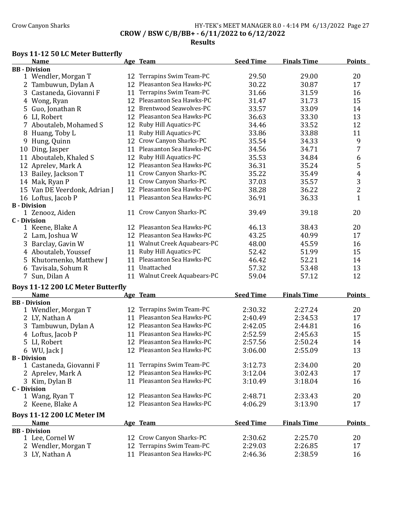# Crow Canyon Sharks **HY-TEK's MEET MANAGER 8.0 - 4:14 PM 6/13/2022** Page 27 CROW / BSW C/B/BB+ - 6/11/2022 to 6/12/2022

#### Results

### Boys 11-12 50 LC Meter Butterfly

B - Division<br>1 Castaneda, Giovanni F

|                     | <b>Name</b>                              |                 | Age Team                     | <b>Seed Time</b> | <b>Finals Time</b> | <b>Points</b>  |
|---------------------|------------------------------------------|-----------------|------------------------------|------------------|--------------------|----------------|
|                     | <b>BB</b> - Division                     |                 |                              |                  |                    |                |
|                     | 1 Wendler, Morgan T                      | 12              | Terrapins Swim Team-PC       | 29.50            | 29.00              | 20             |
|                     | 2 Tambuwun, Dylan A                      | 12 <sub>1</sub> | Pleasanton Sea Hawks-PC      | 30.22            | 30.87              | 17             |
|                     | 3 Castaneda, Giovanni F                  | 11              | Terrapins Swim Team-PC       | 31.66            | 31.59              | 16             |
|                     | 4 Wong, Ryan                             |                 | 12 Pleasanton Sea Hawks-PC   | 31.47            | 31.73              | 15             |
| 5                   | Guo, Jonathan R                          |                 | 12 Brentwood Seawolves-PC    | 33.57            | 33.09              | 14             |
|                     | 6 LI, Robert                             |                 | 12 Pleasanton Sea Hawks-PC   | 36.63            | 33.30              | 13             |
|                     | 7 Aboutaleb, Mohamed S                   | 12              | Ruby Hill Aquatics-PC        | 34.46            | 33.52              | 12             |
| 8                   | Huang, Toby L                            | 11              | Ruby Hill Aquatics-PC        | 33.86            | 33.88              | 11             |
| 9                   | Hung, Quinn                              | 12              | Crow Canyon Sharks-PC        | 35.54            | 34.33              | 9              |
| 10                  | Ding, Jasper                             |                 | 11 Pleasanton Sea Hawks-PC   | 34.56            | 34.71              | $\overline{7}$ |
|                     | 11 Aboutaleb, Khaled S                   | 12              | Ruby Hill Aquatics-PC        | 35.53            | 34.84              | 6              |
|                     | 12 Aprelev, Mark A                       |                 | 12 Pleasanton Sea Hawks-PC   | 36.31            | 35.24              | 5              |
|                     | 13 Bailey, Jackson T                     |                 | 11 Crow Canyon Sharks-PC     | 35.22            | 35.49              | $\overline{4}$ |
|                     | 14 Mak, Ryan P                           | 11              | Crow Canyon Sharks-PC        | 37.03            | 35.57              | $\frac{3}{2}$  |
|                     | 15 Van DE Veerdonk, Adrian J             |                 | 12 Pleasanton Sea Hawks-PC   | 38.28            | 36.22              |                |
|                     | 16 Loftus, Jacob P                       |                 | 11 Pleasanton Sea Hawks-PC   | 36.91            | 36.33              | $\mathbf{1}$   |
| <b>B</b> - Division |                                          |                 |                              |                  |                    |                |
|                     | 1 Zenooz, Aiden                          | 11              | Crow Canyon Sharks-PC        | 39.49            | 39.18              | 20             |
| <b>C</b> - Division |                                          |                 |                              |                  |                    |                |
|                     | 1 Keene, Blake A                         |                 | 12 Pleasanton Sea Hawks-PC   | 46.13            | 38.43              | 20             |
|                     | 2 Lam, Joshua W                          |                 | 12 Pleasanton Sea Hawks-PC   | 43.25            | 40.99              | 17             |
|                     | 3 Barclay, Gavin W                       |                 | 11 Walnut Creek Aquabears-PC | 48.00            | 45.59              | 16             |
|                     | 4 Aboutaleb, Youssef                     | 11              | Ruby Hill Aquatics-PC        | 52.42            | 51.99              | 15             |
|                     | 5 Khutornenko, Matthew J                 | 11              | Pleasanton Sea Hawks-PC      | 46.42            | 52.21              | 14             |
|                     | 6 Tavisala, Sohum R                      |                 | 11 Unattached                | 57.32            | 53.48              | 13             |
|                     | 7 Sun, Dilan A                           |                 | 11 Walnut Creek Aquabears-PC | 59.04            | 57.12              | 12             |
|                     | <b>Boys 11-12 200 LC Meter Butterfly</b> |                 |                              |                  |                    |                |
|                     | <b>Name</b>                              |                 | Age Team                     | <b>Seed Time</b> | <b>Finals Time</b> | <b>Points</b>  |
|                     | <b>BB</b> - Division                     |                 |                              |                  |                    |                |
|                     | 1 Wendler, Morgan T                      |                 | 12 Terrapins Swim Team-PC    | 2:30.32          | 2:27.24            | 20             |
|                     | 2 LY, Nathan A                           |                 | 11 Pleasanton Sea Hawks-PC   | 2:40.49          | 2:34.53            | 17             |

| 3 Kim, Dylan B                    | 11 Pleasanton Sea Hawks-PC | 3:10.49          | 3:18.04            | 16            |
|-----------------------------------|----------------------------|------------------|--------------------|---------------|
| C - Division                      |                            |                  |                    |               |
| 1 Wang, Ryan T                    | 12 Pleasanton Sea Hawks-PC | 2:48.71          | 2:33.43            | 20            |
| 2 Keene, Blake A                  | 12 Pleasanton Sea Hawks-PC | 4:06.29          | 3:13.90            | 17            |
| <b>Boys 11-12 200 LC Meter IM</b> |                            |                  |                    |               |
|                                   |                            |                  |                    |               |
| <b>Name</b>                       | Age Team                   | <b>Seed Time</b> | <b>Finals Time</b> | <b>Points</b> |
| <b>BB</b> - Division              |                            |                  |                    |               |
| 1 Lee, Cornel W                   | 12 Crow Canyon Sharks-PC   | 2:30.62          | 2:25.70            | 20            |
| 2 Wendler, Morgan T               | 12 Terrapins Swim Team-PC  | 2:29.03          | 2:26.85            | 17            |

3 Tambuwun, Dylan A 12 Pleasanton Sea Hawks-PC 2:42.05 2:44.81 16 Loftus, Jacob P 11 Pleasanton Sea Hawks-PC 2:52.59 2:45.63 15 LI, Robert 12 Pleasanton Sea Hawks-PC 2:57.56 2:50.24 14 6 WU, Jack J 12 Pleasanton Sea Hawks-PC 3:06.00 2:55.09 13

1 Castaneda, Giovanni F 11 Terrapins Swim Team-PC 3:12.73 2:34.00 20<br>
2 Aprelev, Mark A 12 Pleasanton Sea Hawks-PC 3:12.04 3:02.43 17

12 Pleasanton Sea Hawks-PC 3:12.04 3:02.43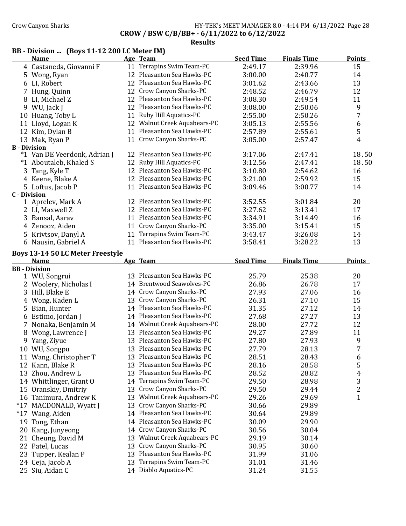### Crow Canyon Sharks **HY-TEK's MEET MANAGER 8.0 - 4:14 PM 6/13/2022** Page 28 CROW / BSW C/B/BB+ - 6/11/2022 to 6/12/2022

## Results

# BB - Division ... (Boys 11-12 200 LC Meter IM)

|                     | <b>Name</b>                             |    | Age Team                     | <b>Seed Time</b> | <b>Finals Time</b> | <b>Points</b>           |
|---------------------|-----------------------------------------|----|------------------------------|------------------|--------------------|-------------------------|
|                     | 4 Castaneda, Giovanni F                 |    | 11 Terrapins Swim Team-PC    | 2:49.17          | 2:39.96            | 15                      |
|                     | 5 Wong, Ryan                            |    | 12 Pleasanton Sea Hawks-PC   | 3:00.00          | 2:40.77            | 14                      |
|                     | 6 LI, Robert                            |    | 12 Pleasanton Sea Hawks-PC   | 3:01.62          | 2:43.66            | 13                      |
|                     | 7 Hung, Quinn                           |    | 12 Crow Canyon Sharks-PC     | 2:48.52          | 2:46.79            | 12                      |
|                     | 8 LI, Michael Z                         |    | 12 Pleasanton Sea Hawks-PC   | 3:08.30          | 2:49.54            | 11                      |
|                     | 9 WU, Jack J                            |    | 12 Pleasanton Sea Hawks-PC   | 3:08.00          | 2:50.06            | 9                       |
|                     | 10 Huang, Toby L                        | 11 | Ruby Hill Aquatics-PC        | 2:55.00          | 2:50.26            | 7                       |
|                     | 11 Lloyd, Logan K                       | 12 | Walnut Creek Aquabears-PC    | 3:05.13          | 2:55.56            | 6                       |
|                     | 12 Kim, Dylan B                         | 11 | Pleasanton Sea Hawks-PC      | 2:57.89          | 2:55.61            | 5                       |
|                     | 13 Mak, Ryan P                          |    | 11 Crow Canyon Sharks-PC     | 3:05.00          | 2:57.47            | 4                       |
| <b>B</b> - Division |                                         |    |                              |                  |                    |                         |
|                     | *1 Van DE Veerdonk, Adrian J            | 12 | Pleasanton Sea Hawks-PC      | 3:17.06          | 2:47.41            | 18.50                   |
|                     | *1 Aboutaleb, Khaled S                  |    | 12 Ruby Hill Aquatics-PC     | 3:12.56          | 2:47.41            | 18.50                   |
| 3                   | Tang, Kyle T                            |    | 12 Pleasanton Sea Hawks-PC   | 3:10.80          | 2:54.62            | 16                      |
|                     | 4 Keene, Blake A                        |    | 12 Pleasanton Sea Hawks-PC   | 3:21.00          | 2:59.92            | 15                      |
|                     | 5 Loftus, Jacob P                       |    | 11 Pleasanton Sea Hawks-PC   | 3:09.46          | 3:00.77            | 14                      |
| <b>C</b> - Division |                                         |    |                              |                  |                    |                         |
|                     | 1 Aprelev, Mark A                       |    | 12 Pleasanton Sea Hawks-PC   | 3:52.55          | 3:01.84            | 20                      |
|                     | 2 LI, Maxwell Z                         |    | 12 Pleasanton Sea Hawks-PC   | 3:27.62          | 3:13.41            | 17                      |
|                     | 3 Bansal, Aarav                         |    | 11 Pleasanton Sea Hawks-PC   | 3:34.91          | 3:14.49            | 16                      |
|                     | 4 Zenooz, Aiden                         |    | 11 Crow Canyon Sharks-PC     | 3:35.00          | 3:15.41            | 15                      |
|                     | 5 Krivtsov, Danyl A                     |    | 11 Terrapins Swim Team-PC    | 3:43.47          | 3:26.08            | 14                      |
|                     | 6 Nausin, Gabriel A                     |    | 11 Pleasanton Sea Hawks-PC   | 3:58.41          | 3:28.22            | 13                      |
|                     |                                         |    |                              |                  |                    |                         |
|                     | <b>Boys 13-14 50 LC Meter Freestyle</b> |    |                              |                  |                    |                         |
|                     | <b>Name</b>                             |    | Age Team                     | <b>Seed Time</b> | <b>Finals Time</b> | <b>Points</b>           |
|                     | <b>BB</b> - Division<br>1 WU, Songrui   |    | 13 Pleasanton Sea Hawks-PC   | 25.79            | 25.38              | 20                      |
|                     |                                         |    | 14 Brentwood Seawolves-PC    | 26.86            | 26.78              | 17                      |
|                     | 2 Woolery, Nicholas I                   |    | 14 Crow Canyon Sharks-PC     | 27.93            | 27.06              | 16                      |
|                     | 3 Hill, Blake E                         |    | Crow Canyon Sharks-PC        |                  |                    |                         |
|                     | 4 Wong, Kaden L                         | 13 | 14 Pleasanton Sea Hawks-PC   | 26.31            | 27.10              | 15                      |
|                     | 5 Bian, Hunter                          |    | 14 Pleasanton Sea Hawks-PC   | 31.35            | 27.12              | 14                      |
|                     | 6 Estimo, Jordan J                      |    |                              | 27.68            | 27.27              | 13                      |
|                     | 7 Nonaka, Benjamin M                    |    | 14 Walnut Creek Aquabears-PC | 28.00            | 27.72              | 12                      |
| 8                   | Wong, Lawrence J                        |    | 13 Pleasanton Sea Hawks-PC   | 29.27            | 27.89              | 11                      |
| 9                   | Yang, Ziyue                             |    | 13 Pleasanton Sea Hawks-PC   | 27.80            | 27.93              | 9                       |
|                     | 10 WU, Songpu                           |    | 13 Pleasanton Sea Hawks-PC   | 27.79            | 28.13              | 7                       |
|                     | 11 Wang, Christopher T                  |    | 13 Pleasanton Sea Hawks-PC   | 28.51            | 28.43              | 6                       |
|                     | 12 Kann, Blake R                        |    | 13 Pleasanton Sea Hawks-PC   | 28.16            | 28.58              | 5                       |
|                     | 13 Zhou, Andrew L                       |    | 13 Pleasanton Sea Hawks-PC   | 28.52            | 28.82              | 4                       |
|                     | 14 Whittlinger, Grant O                 | 14 | Terrapins Swim Team-PC       | 29.50            | 28.98              | 3                       |
|                     | 15 Oranskiy, Dmitriy                    | 13 | Crow Canyon Sharks-PC        | 29.50            | 29.44              | $\overline{\mathbf{c}}$ |
|                     | 16 Tanimura, Andrew K                   | 13 | Walnut Creek Aquabears-PC    | 29.26            | 29.69              | $\mathbf{1}$            |
|                     | *17 MACDONALD, Wyatt J                  | 13 | Crow Canyon Sharks-PC        | 30.66            | 29.89              |                         |
|                     | *17 Wang, Aiden                         | 14 | Pleasanton Sea Hawks-PC      | 30.64            | 29.89              |                         |
| 19                  | Tong, Ethan                             |    | 14 Pleasanton Sea Hawks-PC   | 30.09            | 29.90              |                         |
| 20                  | Kang, Junyeong                          | 14 | Crow Canyon Sharks-PC        | 30.56            | 30.04              |                         |
| 21                  | Cheung, David M                         | 13 | Walnut Creek Aquabears-PC    | 29.19            | 30.14              |                         |
|                     | 22 Patel, Lucas                         | 13 | Crow Canyon Sharks-PC        | 30.95            | 30.60              |                         |
| 23                  | Tupper, Kealan P                        | 13 | Pleasanton Sea Hawks-PC      | 31.99            | 31.06              |                         |
|                     | 24 Ceja, Jacob A                        | 13 | Terrapins Swim Team-PC       | 31.01            | 31.46              |                         |
|                     | 25 Siu, Aidan C                         |    | 14 Diablo Aquatics-PC        | 31.24            | 31.55              |                         |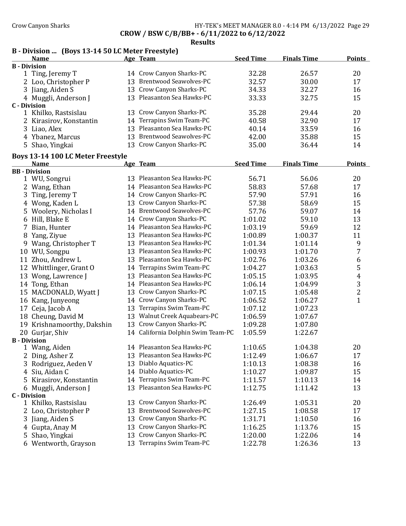Crow Canyon Sharks **HY-TEK's MEET MANAGER 8.0 - 4:14 PM 6/13/2022** Page 29

CROW / BSW C/B/BB+ - 6/11/2022 to 6/12/2022

Results

# B - Division ... (Boys 13-14 50 LC Meter Freestyle)

|                     | <b>Name</b>             | Age Team                   | <b>Seed Time</b> | <b>Finals Time</b> | <b>Points</b> |
|---------------------|-------------------------|----------------------------|------------------|--------------------|---------------|
| <b>B</b> - Division |                         |                            |                  |                    |               |
|                     | 1 Ting, Jeremy T        | 14 Crow Canyon Sharks-PC   | 32.28            | 26.57              | 20            |
|                     | 2 Loo, Christopher P    | 13 Brentwood Seawolves-PC  | 32.57            | 30.00              | 17            |
|                     | 3 Jiang, Aiden S        | 13 Crow Canyon Sharks-PC   | 34.33            | 32.27              | 16            |
|                     | 4 Muggli, Anderson J    | 13 Pleasanton Sea Hawks-PC | 33.33            | 32.75              | 15            |
| C - Division        |                         |                            |                  |                    |               |
|                     | 1 Khilko, Rastsislau    | 13 Crow Canyon Sharks-PC   | 35.28            | 29.44              | 20            |
|                     | 2 Kirasirov, Konstantin | 14 Terrapins Swim Team-PC  | 40.58            | 32.90              | 17            |
|                     | 3 Liao, Alex            | 13 Pleasanton Sea Hawks-PC | 40.14            | 33.59              | 16            |
|                     | 4 Ybanez, Marcus        | 13 Brentwood Seawolves-PC  | 42.00            | 35.88              | 15            |
|                     | 5 Shao, Yingkai         | 13 Crow Canyon Sharks-PC   | 35.00            | 36.44              | 14            |

# Boys 13-14 100 LC Meter Freestyle

|                     | Boys 13-14 100 LC Meter Freestyle |    |                                    |                  |                    |                  |  |
|---------------------|-----------------------------------|----|------------------------------------|------------------|--------------------|------------------|--|
|                     | <b>Name</b>                       |    | Age Team                           | <b>Seed Time</b> | <b>Finals Time</b> | <b>Points</b>    |  |
|                     | <b>BB</b> - Division              |    |                                    |                  |                    |                  |  |
|                     | 1 WU, Songrui                     |    | 13 Pleasanton Sea Hawks-PC         | 56.71            | 56.06              | 20               |  |
|                     | 2 Wang, Ethan                     |    | 14 Pleasanton Sea Hawks-PC         | 58.83            | 57.68              | 17               |  |
| 3                   | Ting, Jeremy T                    |    | 14 Crow Canyon Sharks-PC           | 57.90            | 57.91              | 16               |  |
|                     | 4 Wong, Kaden L                   |    | 13 Crow Canyon Sharks-PC           | 57.38            | 58.69              | 15               |  |
|                     | 5 Woolery, Nicholas I             |    | 14 Brentwood Seawolves-PC          | 57.76            | 59.07              | 14               |  |
|                     | 6 Hill, Blake E                   |    | 14 Crow Canyon Sharks-PC           | 1:01.02          | 59.10              | 13               |  |
| 7                   | Bian, Hunter                      |    | 14 Pleasanton Sea Hawks-PC         | 1:03.19          | 59.69              | 12               |  |
| 8                   | Yang, Ziyue                       |    | 13 Pleasanton Sea Hawks-PC         | 1:00.89          | 1:00.37            | 11               |  |
|                     | 9 Wang, Christopher T             |    | 13 Pleasanton Sea Hawks-PC         | 1:01.34          | 1:01.14            | 9                |  |
|                     | 10 WU, Songpu                     |    | 13 Pleasanton Sea Hawks-PC         | 1:00.93          | 1:01.70            | $\overline{7}$   |  |
|                     | 11 Zhou, Andrew L                 |    | 13 Pleasanton Sea Hawks-PC         | 1:02.76          | 1:03.26            | $\boldsymbol{6}$ |  |
|                     | 12 Whittlinger, Grant O           |    | 14 Terrapins Swim Team-PC          | 1:04.27          | 1:03.63            | 5                |  |
|                     | 13 Wong, Lawrence J               |    | 13 Pleasanton Sea Hawks-PC         | 1:05.15          | 1:03.95            | $\overline{4}$   |  |
|                     | 14 Tong, Ethan                    |    | 14 Pleasanton Sea Hawks-PC         | 1:06.14          | 1:04.99            | 3                |  |
|                     | 15 MACDONALD, Wyatt J             | 13 | Crow Canyon Sharks-PC              | 1:07.15          | 1:05.48            | $\overline{2}$   |  |
|                     | 16 Kang, Junyeong                 |    | 14 Crow Canyon Sharks-PC           | 1:06.52          | 1:06.27            | $\mathbf{1}$     |  |
| 17                  | Ceja, Jacob A                     | 13 | Terrapins Swim Team-PC             | 1:07.12          | 1:07.23            |                  |  |
|                     | 18 Cheung, David M                |    | 13 Walnut Creek Aquabears-PC       | 1:06.59          | 1:07.67            |                  |  |
|                     | 19 Krishnamoorthy, Dakshin        |    | 13 Crow Canyon Sharks-PC           | 1:09.28          | 1:07.80            |                  |  |
|                     | 20 Gurjar, Shiv                   |    | 14 California Dolphin Swim Team-PC | 1:05.59          | 1:22.67            |                  |  |
| <b>B</b> - Division |                                   |    |                                    |                  |                    |                  |  |
|                     | 1 Wang, Aiden                     |    | 14 Pleasanton Sea Hawks-PC         | 1:10.65          | 1:04.38            | 20               |  |
|                     | 2 Ding, Asher Z                   |    | 13 Pleasanton Sea Hawks-PC         | 1:12.49          | 1:06.67            | 17               |  |
|                     | 3 Rodriguez, Aeden V              |    | 13 Diablo Aquatics-PC              | 1:10.13          | 1:08.38            | 16               |  |
|                     | 4 Siu, Aidan C                    |    | 14 Diablo Aquatics-PC              | 1:10.27          | 1:09.87            | 15               |  |
|                     | 5 Kirasirov, Konstantin           |    | 14 Terrapins Swim Team-PC          | 1:11.57          | 1:10.13            | 14               |  |
|                     | 6 Muggli, Anderson J              |    | 13 Pleasanton Sea Hawks-PC         | 1:12.75          | 1:11.42            | 13               |  |
| <b>C</b> - Division |                                   |    |                                    |                  |                    |                  |  |
|                     | 1 Khilko, Rastsislau              |    | 13 Crow Canyon Sharks-PC           | 1:26.49          | 1:05.31            | 20               |  |
|                     | 2 Loo, Christopher P              |    | 13 Brentwood Seawolves-PC          | 1:27.15          | 1:08.58            | 17               |  |
|                     | 3 Jiang, Aiden S                  |    | 13 Crow Canyon Sharks-PC           | 1:31.71          | 1:10.50            | 16               |  |
|                     | 4 Gupta, Anay M                   |    | 13 Crow Canyon Sharks-PC           | 1:16.25          | 1:13.76            | 15               |  |
|                     | 5 Shao, Yingkai                   |    | 13 Crow Canyon Sharks-PC           | 1:20.00          | 1:22.06            | 14               |  |
|                     | 6 Wentworth, Grayson              |    | 13 Terrapins Swim Team-PC          | 1:22.78          | 1:26.36            | 13               |  |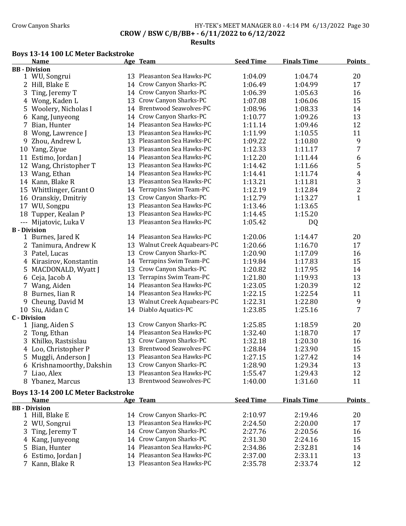### Crow Canyon Sharks **HY-TEK's MEET MANAGER 8.0 - 4:14 PM 6/13/2022** Page 30 CROW / BSW C/B/BB+ - 6/11/2022 to 6/12/2022

Results

### Boys 13-14 100 LC Meter Backstroke

|                     | Name                                      |    | Age Team                                            | <b>Seed Time</b> | <b>Finals Time</b> | <b>Points</b>  |
|---------------------|-------------------------------------------|----|-----------------------------------------------------|------------------|--------------------|----------------|
|                     | <b>BB</b> - Division                      |    |                                                     |                  |                    |                |
|                     | 1 WU, Songrui                             |    | 13 Pleasanton Sea Hawks-PC                          | 1:04.09          | 1:04.74            | 20             |
|                     | 2 Hill, Blake E                           |    | 14 Crow Canyon Sharks-PC                            | 1:06.49          | 1:04.99            | 17             |
|                     | 3 Ting, Jeremy T                          | 14 | Crow Canyon Sharks-PC                               | 1:06.39          | 1:05.63            | 16             |
|                     | 4 Wong, Kaden L                           | 13 | Crow Canyon Sharks-PC                               | 1:07.08          | 1:06.06            | 15             |
| 5                   | Woolery, Nicholas I                       | 14 | <b>Brentwood Seawolves-PC</b>                       | 1:08.96          | 1:08.33            | 14             |
|                     | 6 Kang, Junyeong                          |    | 14 Crow Canyon Sharks-PC                            | 1:10.77          | 1:09.26            | 13             |
|                     | 7 Bian, Hunter                            |    | 14 Pleasanton Sea Hawks-PC                          | 1:11.14          | 1:09.46            | 12             |
| 8                   | Wong, Lawrence J                          |    | 13 Pleasanton Sea Hawks-PC                          | 1:11.99          | 1:10.55            | 11             |
| 9                   | Zhou, Andrew L                            |    | 13 Pleasanton Sea Hawks-PC                          | 1:09.22          | 1:10.80            | 9              |
|                     | 10 Yang, Ziyue                            |    | 13 Pleasanton Sea Hawks-PC                          | 1:12.33          | 1:11.17            | $\overline{7}$ |
|                     | 11 Estimo, Jordan J                       | 14 | Pleasanton Sea Hawks-PC                             | 1:12.20          | 1:11.44            | 6              |
|                     | 12 Wang, Christopher T                    | 13 | Pleasanton Sea Hawks-PC                             | 1:14.42          | 1:11.66            | 5              |
|                     | 13 Wang, Ethan                            | 14 | Pleasanton Sea Hawks-PC                             | 1:14.41          | 1:11.74            | $\overline{4}$ |
|                     | 14 Kann, Blake R                          | 13 | Pleasanton Sea Hawks-PC                             | 1:13.21          | 1:11.81            | 3              |
|                     | 15 Whittlinger, Grant O                   | 14 | Terrapins Swim Team-PC                              | 1:12.19          | 1:12.84            | $\overline{2}$ |
|                     | 16 Oranskiy, Dmitriy                      | 13 | Crow Canyon Sharks-PC                               | 1:12.79          | 1:13.27            | $\mathbf{1}$   |
|                     | 17 WU, Songpu                             | 13 | Pleasanton Sea Hawks-PC                             | 1:13.46          | 1:13.65            |                |
|                     | 18 Tupper, Kealan P                       | 13 | Pleasanton Sea Hawks-PC                             | 1:14.45          | 1:15.20            |                |
|                     | --- Mijatovic, Luka V                     |    | 13 Pleasanton Sea Hawks-PC                          | 1:05.42          |                    |                |
| <b>B</b> - Division |                                           |    |                                                     |                  | DQ                 |                |
|                     | 1 Burnes, Jared K                         |    | 14 Pleasanton Sea Hawks-PC                          | 1:20.06          | 1:14.47            | 20             |
|                     | 2 Tanimura, Andrew K                      |    | 13 Walnut Creek Aquabears-PC                        | 1:20.66          | 1:16.70            | 17             |
|                     | 3 Patel, Lucas                            | 13 | Crow Canyon Sharks-PC                               | 1:20.90          | 1:17.09            | 16             |
|                     | 4 Kirasirov, Konstantin                   | 14 | Terrapins Swim Team-PC                              | 1:19.84          | 1:17.83            | 15             |
|                     | MACDONALD, Wyatt J                        | 13 | Crow Canyon Sharks-PC                               | 1:20.82          |                    | 14             |
| 5.                  |                                           | 13 | Terrapins Swim Team-PC                              |                  | 1:17.95            | 13             |
|                     | 6 Ceja, Jacob A                           |    | Pleasanton Sea Hawks-PC                             | 1:21.80          | 1:19.93            |                |
|                     | 7 Wang, Aiden                             | 14 |                                                     | 1:23.05          | 1:20.39            | 12             |
|                     | 8 Burnes, Iian R                          |    | 14 Pleasanton Sea Hawks-PC                          | 1:22.15          | 1:22.54            | 11             |
| 9                   | Cheung, David M                           |    | 13 Walnut Creek Aquabears-PC                        | 1:22.31          | 1:22.80            | 9              |
|                     | 10 Siu, Aidan C                           |    | 14 Diablo Aquatics-PC                               | 1:23.85          | 1:25.16            | 7              |
| <b>C</b> - Division | 1 Jiang, Aiden S                          |    | 13 Crow Canyon Sharks-PC                            | 1:25.85          | 1:18.59            | 20             |
|                     |                                           | 14 | Pleasanton Sea Hawks-PC                             | 1:32.40          | 1:18.70            | 17             |
|                     | 2 Tong, Ethan                             |    | 13 Crow Canyon Sharks-PC                            |                  |                    | 16             |
|                     | 3 Khilko, Rastsislau                      |    | 13 Brentwood Seawolves-PC                           | 1:32.18          | 1:20.30            |                |
|                     | 4 Loo, Christopher P                      |    | 13 Pleasanton Sea Hawks-PC                          | 1:28.84          | 1:23.90            | 15             |
|                     | 5 Muggli, Anderson J                      |    |                                                     | 1:27.15          | 1:27.42            | 14             |
|                     | 6 Krishnamoorthy, Dakshin                 | 13 | Crow Canyon Sharks-PC<br>13 Pleasanton Sea Hawks-PC | 1:28.90          | 1:29.34            | 13             |
|                     | 7 Liao, Alex                              |    |                                                     | 1:55.47          | 1:29.43            | 12             |
|                     | 8 Ybanez, Marcus                          | 13 | <b>Brentwood Seawolves-PC</b>                       | 1:40.00          | 1:31.60            | 11             |
|                     | <b>Boys 13-14 200 LC Meter Backstroke</b> |    |                                                     |                  |                    |                |
|                     | <b>Name</b>                               |    | Age Team                                            | <b>Seed Time</b> | <b>Finals Time</b> | <b>Points</b>  |
|                     | <b>BB</b> - Division                      |    |                                                     |                  |                    |                |
|                     | 1 Hill, Blake E                           |    | 14 Crow Canyon Sharks-PC                            | 2:10.97          | 2:19.46            | 20             |
|                     | 2 WU, Songrui                             |    | 13 Pleasanton Sea Hawks-PC                          | 2:24.50          | 2:20.00            | 17             |
|                     | 3 Ting, Jeremy T                          | 14 | Crow Canyon Sharks-PC                               | 2:27.76          | 2:20.56            | 16             |
|                     | 4 Kang, Junyeong                          | 14 | Crow Canyon Sharks-PC                               | 2:31.30          | 2:24.16            | 15             |
| 5.                  | Bian, Hunter                              | 14 | Pleasanton Sea Hawks-PC                             | 2:34.86          | 2:32.81            | 14             |
|                     | 6 Estimo, Jordan J                        |    | 14 Pleasanton Sea Hawks-PC                          | 2:37.00          | 2:33.11            | 13             |
|                     | 7 Kann, Blake R                           |    | 13 Pleasanton Sea Hawks-PC                          | 2:35.78          | 2:33.74            | 12             |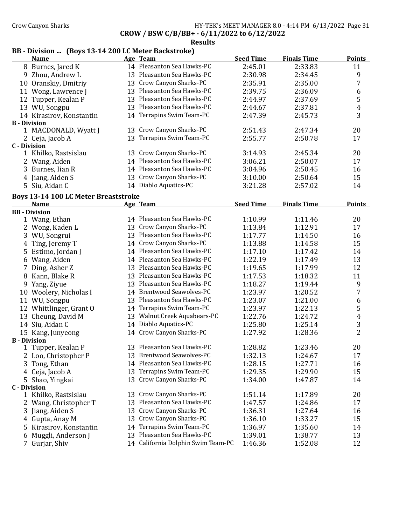### Crow Canyon Sharks **HY-TEK's MEET MANAGER 8.0 - 4:14 PM 6/13/2022** Page 31 CROW / BSW C/B/BB+ - 6/11/2022 to 6/12/2022

#### Results

# BB - Division ... (Boys 13-14 200 LC Meter Backstroke)

|                     | <b>Name</b>                                 |    | Age Team                           | <b>Seed Time</b> | <b>Finals Time</b> | <b>Points</b>           |
|---------------------|---------------------------------------------|----|------------------------------------|------------------|--------------------|-------------------------|
|                     | 8 Burnes, Jared K                           |    | 14 Pleasanton Sea Hawks-PC         | 2:45.01          | 2:33.83            | 11                      |
|                     | 9 Zhou, Andrew L                            |    | 13 Pleasanton Sea Hawks-PC         | 2:30.98          | 2:34.45            | 9                       |
|                     | 10 Oranskiy, Dmitriy                        |    | 13 Crow Canyon Sharks-PC           | 2:35.91          | 2:35.00            | $\overline{7}$          |
|                     | 11 Wong, Lawrence J                         |    | 13 Pleasanton Sea Hawks-PC         | 2:39.75          | 2:36.09            | 6                       |
|                     | 12 Tupper, Kealan P                         |    | 13 Pleasanton Sea Hawks-PC         | 2:44.97          | 2:37.69            | 5                       |
|                     | 13 WU, Songpu                               |    | 13 Pleasanton Sea Hawks-PC         | 2:44.67          | 2:37.81            | $\overline{\mathbf{r}}$ |
|                     | 14 Kirasirov, Konstantin                    |    | 14 Terrapins Swim Team-PC          | 2:47.39          | 2:45.73            | 3                       |
| <b>B</b> - Division |                                             |    |                                    |                  |                    |                         |
|                     | 1 MACDONALD, Wyatt J                        |    | 13 Crow Canyon Sharks-PC           | 2:51.43          | 2:47.34            | 20                      |
|                     | 2 Ceja, Jacob A                             |    | 13 Terrapins Swim Team-PC          | 2:55.77          | 2:50.78            | 17                      |
| <b>C</b> - Division |                                             |    |                                    |                  |                    |                         |
|                     | 1 Khilko, Rastsislau                        |    | 13 Crow Canyon Sharks-PC           | 3:14.93          | 2:45.34            | 20                      |
|                     | 2 Wang, Aiden                               |    | 14 Pleasanton Sea Hawks-PC         | 3:06.21          | 2:50.07            | 17                      |
|                     | 3 Burnes, Iian R                            |    | 14 Pleasanton Sea Hawks-PC         | 3:04.96          | 2:50.45            | 16                      |
|                     | 4 Jiang, Aiden S                            |    | 13 Crow Canyon Sharks-PC           | 3:10.00          | 2:50.64            | 15                      |
|                     | 5 Siu, Aidan C                              |    | 14 Diablo Aquatics-PC              | 3:21.28          | 2:57.02            | 14                      |
|                     | <b>Boys 13-14 100 LC Meter Breaststroke</b> |    |                                    |                  |                    |                         |
|                     | <b>Name</b>                                 |    | Age Team                           | <b>Seed Time</b> | <b>Finals Time</b> | <b>Points</b>           |
|                     | <b>BB</b> - Division                        |    |                                    |                  |                    |                         |
|                     | 1 Wang, Ethan                               |    | 14 Pleasanton Sea Hawks-PC         | 1:10.99          | 1:11.46            | 20                      |
|                     | 2 Wong, Kaden L                             |    | 13 Crow Canyon Sharks-PC           | 1:13.84          | 1:12.91            | 17                      |
|                     | 3 WU, Songrui                               |    | 13 Pleasanton Sea Hawks-PC         | 1:17.77          | 1:14.50            | 16                      |
|                     | 4 Ting, Jeremy T                            |    | 14 Crow Canyon Sharks-PC           | 1:13.88          | 1:14.58            | 15                      |
|                     | 5 Estimo, Jordan J                          |    | 14 Pleasanton Sea Hawks-PC         | 1:17.10          | 1:17.42            | 14                      |
|                     | 6 Wang, Aiden                               |    | 14 Pleasanton Sea Hawks-PC         | 1:22.19          | 1:17.49            | 13                      |
|                     | 7 Ding, Asher Z                             |    | 13 Pleasanton Sea Hawks-PC         | 1:19.65          | 1:17.99            | 12                      |
|                     | 8 Kann, Blake R                             |    | 13 Pleasanton Sea Hawks-PC         | 1:17.53          | 1:18.32            | 11                      |
|                     | 9 Yang, Ziyue                               |    | 13 Pleasanton Sea Hawks-PC         | 1:18.27          | 1:19.44            | 9                       |
|                     | 10 Woolery, Nicholas I                      |    | 14 Brentwood Seawolves-PC          | 1:23.97          | 1:20.52            | $\boldsymbol{7}$        |
|                     | 11 WU, Songpu                               |    | 13 Pleasanton Sea Hawks-PC         | 1:23.07          | 1:21.00            | $\boldsymbol{6}$        |
|                     | 12 Whittlinger, Grant O                     |    | 14 Terrapins Swim Team-PC          | 1:23.97          | 1:22.13            | $\mathsf S$             |
|                     | 13 Cheung, David M                          |    | 13 Walnut Creek Aquabears-PC       | 1:22.76          | 1:24.72            | $\boldsymbol{4}$        |
|                     | 14 Siu, Aidan C                             |    | 14 Diablo Aquatics-PC              | 1:25.80          | 1:25.14            | $\mathbf{3}$            |
|                     | 15 Kang, Junyeong                           |    | 14 Crow Canyon Sharks-PC           | 1:27.92          | 1:28.36            | $\overline{2}$          |
| <b>B</b> - Division |                                             |    |                                    |                  |                    |                         |
|                     | 1 Tupper, Kealan P                          |    | 13 Pleasanton Sea Hawks-PC         | 1:28.82          | 1:23.46            | 20                      |
|                     | 2 Loo, Christopher P                        |    | 13 Brentwood Seawolves-PC          | 1:32.13          | 1:24.67            | 17                      |
|                     | 3 Tong, Ethan                               |    | 14 Pleasanton Sea Hawks-PC         | 1:28.15          | 1:27.71            | 16                      |
|                     | 4 Ceja, Jacob A                             |    | 13 Terrapins Swim Team-PC          | 1:29.35          | 1:29.90            | 15                      |
|                     | 5 Shao, Yingkai                             | 13 | Crow Canyon Sharks-PC              | 1:34.00          | 1:47.87            | 14                      |
| <b>C</b> - Division |                                             |    |                                    |                  |                    |                         |
|                     | 1 Khilko, Rastsislau                        | 13 | Crow Canyon Sharks-PC              | 1:51.14          | 1:17.89            | 20                      |
|                     | 2 Wang, Christopher T                       | 13 | Pleasanton Sea Hawks-PC            | 1:47.57          | 1:24.86            | 17                      |
|                     | 3 Jiang, Aiden S                            | 13 | Crow Canyon Sharks-PC              | 1:36.31          | 1:27.64            | 16                      |
|                     | 4 Gupta, Anay M                             | 13 | Crow Canyon Sharks-PC              | 1:36.10          | 1:33.27            | 15                      |
|                     | 5 Kirasirov, Konstantin                     | 14 | Terrapins Swim Team-PC             | 1:36.97          | 1:35.60            | 14                      |
| 6                   | Muggli, Anderson J                          |    | 13 Pleasanton Sea Hawks-PC         | 1:39.01          | 1:38.77            | 13                      |
|                     | 7 Gurjar, Shiv                              |    | 14 California Dolphin Swim Team-PC | 1:46.36          | 1:52.08            | 12                      |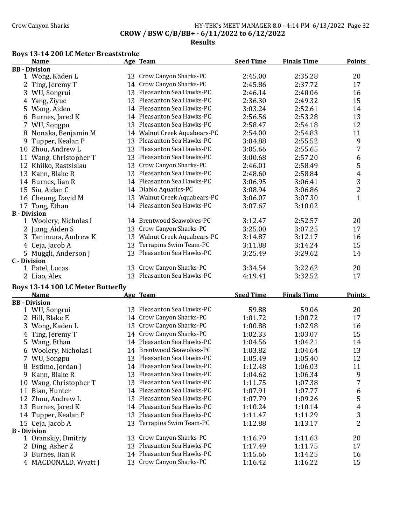### Crow Canyon Sharks **HY-TEK's MEET MANAGER 8.0 - 4:14 PM 6/13/2022** Page 32 CROW / BSW C/B/BB+ - 6/11/2022 to 6/12/2022

#### Results

### Boys 13-14 200 LC Meter Breaststroke

|                     | <b>Name</b>           |    | Age Team                     | <b>Seed Time</b> | <b>Finals Time</b> | <b>Points</b>  |
|---------------------|-----------------------|----|------------------------------|------------------|--------------------|----------------|
|                     | <b>BB</b> - Division  |    |                              |                  |                    |                |
|                     | 1 Wong, Kaden L       |    | 13 Crow Canyon Sharks-PC     | 2:45.00          | 2:35.28            | 20             |
| 2                   | Ting, Jeremy T        | 14 | Crow Canyon Sharks-PC        | 2:45.86          | 2:37.72            | 17             |
| 3                   | WU, Songrui           |    | 13 Pleasanton Sea Hawks-PC   | 2:46.14          | 2:40.06            | 16             |
|                     | Yang, Ziyue           |    | 13 Pleasanton Sea Hawks-PC   | 2:36.30          | 2:49.32            | 15             |
|                     | 5 Wang, Aiden         |    | 14 Pleasanton Sea Hawks-PC   | 3:03.24          | 2:52.61            | 14             |
| 6                   | Burnes, Jared K       |    | 14 Pleasanton Sea Hawks-PC   | 2:56.56          | 2:53.28            | 13             |
| 7                   | WU, Songpu            |    | 13 Pleasanton Sea Hawks-PC   | 2:58.47          | 2:54.18            | 12             |
| 8                   | Nonaka, Benjamin M    |    | 14 Walnut Creek Aquabears-PC | 2:54.00          | 2:54.83            | 11             |
| 9                   | Tupper, Kealan P      | 13 | Pleasanton Sea Hawks-PC      | 3:04.88          | 2:55.52            | 9              |
| 10                  | Zhou, Andrew L        | 13 | Pleasanton Sea Hawks-PC      | 3:05.66          | 2:55.65            | 7              |
| 11                  | Wang, Christopher T   |    | 13 Pleasanton Sea Hawks-PC   | 3:00.68          | 2:57.20            | 6              |
|                     | 12 Khilko, Rastsislau | 13 | Crow Canyon Sharks-PC        | 2:46.01          | 2:58.49            | 5              |
| 13                  | Kann, Blake R         |    | 13 Pleasanton Sea Hawks-PC   | 2:48.60          | 2:58.84            | 4              |
| 14                  | Burnes, Iian R        |    | 14 Pleasanton Sea Hawks-PC   | 3:06.95          | 3:06.41            | 3              |
| 15                  | Siu, Aidan C          |    | 14 Diablo Aquatics-PC        | 3:08.94          | 3:06.86            | $\overline{c}$ |
| 16                  | Cheung, David M       | 13 | Walnut Creek Aquabears-PC    | 3:06.07          | 3:07.30            | $\mathbf{1}$   |
| 17                  | Tong, Ethan           |    | 14 Pleasanton Sea Hawks-PC   | 3:07.67          | 3:10.02            |                |
| <b>B</b> - Division |                       |    |                              |                  |                    |                |
|                     | 1 Woolery, Nicholas I |    | 14 Brentwood Seawolves-PC    | 3:12.47          | 2:52.57            | 20             |
|                     | 2 Jiang, Aiden S      | 13 | Crow Canyon Sharks-PC        | 3:25.00          | 3:07.25            | 17             |
|                     | 3 Tanimura, Andrew K  | 13 | Walnut Creek Aquabears-PC    | 3:14.87          | 3:12.17            | 16             |
| 4                   | Ceja, Jacob A         | 13 | Terrapins Swim Team-PC       | 3:11.88          | 3:14.24            | 15             |
|                     | 5 Muggli, Anderson J  | 13 | Pleasanton Sea Hawks-PC      | 3:25.49          | 3:29.62            | 14             |
| <b>C</b> - Division |                       |    |                              |                  |                    |                |
|                     | 1 Patel, Lucas        |    | 13 Crow Canyon Sharks-PC     | 3:34.54          | 3:22.62            | 20             |
|                     | 2 Liao, Alex          |    | 13 Pleasanton Sea Hawks-PC   | 4:19.41          | 3:32.52            | 17             |

# Boys 13-14 100 LC Meter Butterfly

|    | <b>Name</b>          |    | Age Team                      | <b>Seed Time</b> | <b>Finals Time</b> | <b>Points</b> |
|----|----------------------|----|-------------------------------|------------------|--------------------|---------------|
|    | <b>BB</b> - Division |    |                               |                  |                    |               |
|    | 1 WU, Songrui        |    | 13 Pleasanton Sea Hawks-PC    | 59.88            | 59.06              | 20            |
|    | 2 Hill, Blake E      |    | 14 Crow Canyon Sharks-PC      | 1:01.72          | 1:00.72            | 17            |
|    | 3 Wong, Kaden L      | 13 | Crow Canyon Sharks-PC         | 1:00.88          | 1:02.98            | 16            |
| 4  | Ting, Jeremy T       | 14 | Crow Canyon Sharks-PC         | 1:02.33          | 1:03.07            | 15            |
|    | 5 Wang, Ethan        |    | 14 Pleasanton Sea Hawks-PC    | 1:04.56          | 1:04.21            | 14            |
| 6  | Woolery, Nicholas I  | 14 | <b>Brentwood Seawolves-PC</b> | 1:03.82          | 1:04.64            | 13            |
|    | 7 WU, Songpu         | 13 | Pleasanton Sea Hawks-PC       | 1:05.49          | 1:05.40            | 12            |
| 8  | Estimo, Jordan J     |    | 14 Pleasanton Sea Hawks-PC    | 1:12.48          | 1:06.03            | 11            |
| 9  | Kann, Blake R        |    | 13 Pleasanton Sea Hawks-PC    | 1:04.62          | 1:06.34            | 9             |
| 10 | Wang, Christopher T  |    | 13 Pleasanton Sea Hawks-PC    | 1:11.75          | 1:07.38            | 7             |
| 11 | Bian, Hunter         | 14 | Pleasanton Sea Hawks-PC       | 1:07.91          | 1:07.77            | 6             |
| 12 | Zhou, Andrew L       |    | 13 Pleasanton Sea Hawks-PC    | 1:07.79          | 1:09.26            | 5             |
| 13 | Burnes, Jared K      |    | 14 Pleasanton Sea Hawks-PC    | 1:10.24          | 1:10.14            | 4             |
| 14 | Tupper, Kealan P     |    | 13 Pleasanton Sea Hawks-PC    | 1:11.47          | 1:11.29            | 3             |
|    | 15 Ceja, Jacob A     |    | 13 Terrapins Swim Team-PC     | 1:12.88          | 1:13.17            | 2             |
|    | <b>B</b> - Division  |    |                               |                  |                    |               |
|    | 1 Oranskiy, Dmitriy  | 13 | Crow Canyon Sharks-PC         | 1:16.79          | 1:11.63            | 20            |
|    | Ding, Asher Z        | 13 | Pleasanton Sea Hawks-PC       | 1:17.49          | 1:11.75            | 17            |
|    | 3 Burnes, Iian R     | 14 | Pleasanton Sea Hawks-PC       | 1:15.66          | 1:14.25            | 16            |
|    | 4 MACDONALD, Wyatt J |    | 13 Crow Canyon Sharks-PC      | 1:16.42          | 1:16.22            | 15            |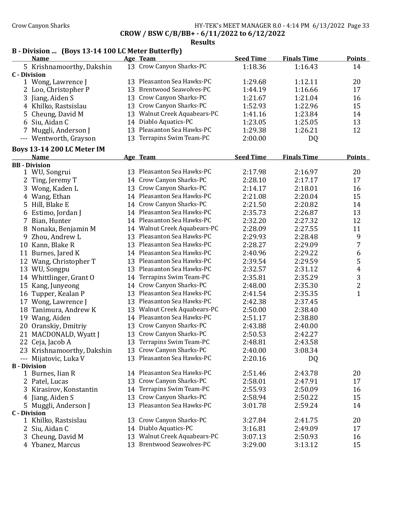### Crow Canyon Sharks **HY-TEK's MEET MANAGER 8.0 - 4:14 PM 6/13/2022** Page 33 CROW / BSW C/B/BB+ - 6/11/2022 to 6/12/2022

|                     | <b>Name</b>                       |    | Age Team                     | <b>Seed Time</b> | <b>Finals Time</b> | <b>Points</b>  |
|---------------------|-----------------------------------|----|------------------------------|------------------|--------------------|----------------|
|                     | 5 Krishnamoorthy, Dakshin         |    | 13 Crow Canyon Sharks-PC     | 1:18.36          | 1:16.43            | 14             |
| <b>C</b> - Division |                                   |    |                              |                  |                    |                |
|                     | 1 Wong, Lawrence J                |    | 13 Pleasanton Sea Hawks-PC   | 1:29.68          | 1:12.11            | 20             |
|                     | 2 Loo, Christopher P              |    | 13 Brentwood Seawolves-PC    | 1:44.19          | 1:16.66            | 17             |
|                     | 3 Jiang, Aiden S                  |    | 13 Crow Canyon Sharks-PC     | 1:21.67          | 1:21.04            | 16             |
|                     | 4 Khilko, Rastsislau              |    | 13 Crow Canyon Sharks-PC     | 1:52.93          | 1:22.96            | 15             |
|                     | 5 Cheung, David M                 |    | 13 Walnut Creek Aquabears-PC | 1:41.16          | 1:23.84            | 14             |
|                     | 6 Siu, Aidan C                    |    | 14 Diablo Aquatics-PC        | 1:23.05          | 1:25.05            | 13             |
|                     | 7 Muggli, Anderson J              |    | 13 Pleasanton Sea Hawks-PC   | 1:29.38          | 1:26.21            | 12             |
|                     | --- Wentworth, Grayson            |    | 13 Terrapins Swim Team-PC    | 2:00.00          | DQ                 |                |
|                     | <b>Boys 13-14 200 LC Meter IM</b> |    |                              |                  |                    |                |
|                     | <b>Name</b>                       |    | Age Team                     | <b>Seed Time</b> | <b>Finals Time</b> | <b>Points</b>  |
|                     | <b>BB</b> - Division              |    | 13 Pleasanton Sea Hawks-PC   |                  |                    |                |
|                     | 1 WU, Songrui                     |    |                              | 2:17.98          | 2:16.97            | 20             |
| 2                   | Ting, Jeremy T                    |    | 14 Crow Canyon Sharks-PC     | 2:28.10          | 2:17.17            | 17             |
| 3                   | Wong, Kaden L                     |    | 13 Crow Canyon Sharks-PC     | 2:14.17          | 2:18.01            | 16             |
|                     | 4 Wang, Ethan                     |    | 14 Pleasanton Sea Hawks-PC   | 2:21.08          | 2:20.04            | 15             |
|                     | 5 Hill, Blake E                   |    | 14 Crow Canyon Sharks-PC     | 2:21.50          | 2:20.82            | 14             |
|                     | 6 Estimo, Jordan J                |    | 14 Pleasanton Sea Hawks-PC   | 2:35.73          | 2:26.87            | 13             |
|                     | 7 Bian, Hunter                    |    | 14 Pleasanton Sea Hawks-PC   | 2:32.20          | 2:27.32            | 12             |
|                     | 8 Nonaka, Benjamin M              |    | 14 Walnut Creek Aquabears-PC | 2:28.09          | 2:27.55            | 11             |
| 9                   | Zhou, Andrew L                    |    | 13 Pleasanton Sea Hawks-PC   | 2:29.93          | 2:28.48            | 9              |
|                     | 10 Kann, Blake R                  |    | 13 Pleasanton Sea Hawks-PC   | 2:28.27          | 2:29.09            | 7              |
|                     | 11 Burnes, Jared K                |    | 14 Pleasanton Sea Hawks-PC   | 2:40.96          | 2:29.22            | 6              |
|                     | 12 Wang, Christopher T            |    | 13 Pleasanton Sea Hawks-PC   | 2:39.54          | 2:29.59            | 5              |
|                     | 13 WU, Songpu                     |    | 13 Pleasanton Sea Hawks-PC   | 2:32.57          | 2:31.12            | 4              |
|                     | 14 Whittlinger, Grant O           |    | 14 Terrapins Swim Team-PC    | 2:35.81          | 2:35.29            | 3              |
|                     | 15 Kang, Junyeong                 |    | 14 Crow Canyon Sharks-PC     | 2:48.00          | 2:35.30            | $\overline{c}$ |
|                     | 16 Tupper, Kealan P               |    | 13 Pleasanton Sea Hawks-PC   | 2:41.54          | 2:35.35            | $\mathbf{1}$   |
|                     | 17 Wong, Lawrence J               |    | 13 Pleasanton Sea Hawks-PC   | 2:42.38          | 2:37.45            |                |
|                     | 18 Tanimura, Andrew K             |    | 13 Walnut Creek Aquabears-PC | 2:50.00          | 2:38.40            |                |
|                     | 19 Wang, Aiden                    |    | 14 Pleasanton Sea Hawks-PC   | 2:51.17          | 2:38.80            |                |
|                     | 20 Oranskiy, Dmitriy              |    | 13 Crow Canyon Sharks-PC     | 2:43.88          | 2:40.00            |                |
|                     | 21 MACDONALD, Wyatt J             |    | 13 Crow Canyon Sharks-PC     | 2:50.53          | 2:42.27            |                |
|                     | 22 Ceja, Jacob A                  |    | 13 Terrapins Swim Team-PC    | 2:48.81          | 2:43.58            |                |
|                     | 23 Krishnamoorthy, Dakshin        |    | 13 Crow Canyon Sharks-PC     | 2:40.00          | 3:08.34            |                |
|                     | --- Mijatovic, Luka V             |    | 13 Pleasanton Sea Hawks-PC   | 2:20.16          | DQ                 |                |
| <b>B</b> - Division |                                   |    |                              |                  |                    |                |
|                     | 1 Burnes, Iian R                  |    | 14 Pleasanton Sea Hawks-PC   | 2:51.46          | 2:43.78            | 20             |
|                     | 2 Patel, Lucas                    |    | 13 Crow Canyon Sharks-PC     | 2:58.01          | 2:47.91            | 17             |
|                     | 3 Kirasirov, Konstantin           | 14 | Terrapins Swim Team-PC       | 2:55.93          | 2:50.09            | 16             |
|                     | 4 Jiang, Aiden S                  | 13 | Crow Canyon Sharks-PC        | 2:58.94          | 2:50.22            | 15             |
|                     | 5 Muggli, Anderson J              |    | 13 Pleasanton Sea Hawks-PC   | 3:01.78          | 2:59.24            | 14             |
| <b>C</b> - Division |                                   |    |                              |                  |                    |                |
|                     | 1 Khilko, Rastsislau              |    | 13 Crow Canyon Sharks-PC     | 3:27.84          | 2:41.75            | 20             |
|                     | 2 Siu, Aidan C                    |    | 14 Diablo Aquatics-PC        | 3:16.81          | 2:49.09            | 17             |
|                     | 3 Cheung, David M                 |    | 13 Walnut Creek Aquabears-PC | 3:07.13          | 2:50.93            | 16             |
|                     | 4 Ybanez, Marcus                  |    | 13 Brentwood Seawolves-PC    | 3:29.00          | 3:13.12            | 15             |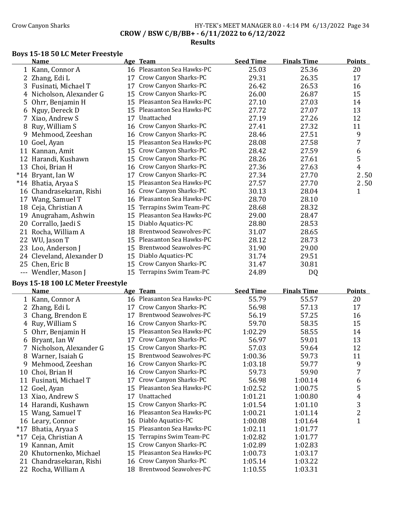$\overline{a}$ 

### Crow Canyon Sharks **HY-TEK's MEET MANAGER 8.0 - 4:14 PM 6/13/2022** Page 34 CROW / BSW C/B/BB+ - 6/11/2022 to 6/12/2022 Results

### Boys 15-18 50 LC Meter Freestyle

|       | <b>Name</b>               |    | Age Team                      | <b>Seed Time</b> | <b>Finals Time</b> | Points      |
|-------|---------------------------|----|-------------------------------|------------------|--------------------|-------------|
|       | 1 Kann, Connor A          |    | 16 Pleasanton Sea Hawks-PC    | 25.03            | 25.36              | 20          |
|       | 2 Zhang, Edi L            | 17 | Crow Canyon Sharks-PC         | 29.31            | 26.35              | 17          |
| 3     | Fusinati, Michael T       | 17 | Crow Canyon Sharks-PC         | 26.42            | 26.53              | 16          |
|       | 4 Nicholson, Alexander G  |    | 15 Crow Canyon Sharks-PC      | 26.00            | 26.87              | 15          |
| 5.    | Ohrr, Benjamin H          |    | 15 Pleasanton Sea Hawks-PC    | 27.10            | 27.03              | 14          |
| 6     | Nguy, Dereck D            | 15 | Pleasanton Sea Hawks-PC       | 27.72            | 27.07              | 13          |
|       | 7 Xiao, Andrew S          | 17 | Unattached                    | 27.19            | 27.26              | 12          |
|       | 8 Ruy, William S          |    | 16 Crow Canyon Sharks-PC      | 27.41            | 27.32              | 11          |
| 9     | Mehmood, Zeeshan          | 16 | Crow Canyon Sharks-PC         | 28.46            | 27.51              | 9           |
| 10    | Goel, Ayan                | 15 | Pleasanton Sea Hawks-PC       | 28.08            | 27.58              | 7           |
| 11    | Kannan, Amit              | 15 | Crow Canyon Sharks-PC         | 28.42            | 27.59              | 6           |
| 12    | Harandi, Kushawn          | 15 | Crow Canyon Sharks-PC         | 28.26            | 27.61              | 5           |
|       | 13 Choi, Brian H          | 16 | Crow Canyon Sharks-PC         | 27.36            | 27.63              | 4           |
| $*14$ | Bryant, Ian W             | 17 | Crow Canyon Sharks-PC         | 27.34            | 27.70              | 2.50        |
|       | *14 Bhatia, Aryaa S       | 15 | Pleasanton Sea Hawks-PC       | 27.57            | 27.70              | 2.50        |
|       | 16 Chandrasekaran, Rishi  | 16 | Crow Canyon Sharks-PC         | 30.13            | 28.04              | $\mathbf 1$ |
| 17    | Wang, Samuel T            |    | 16 Pleasanton Sea Hawks-PC    | 28.70            | 28.10              |             |
|       | 18 Ceja, Christian A      | 15 | Terrapins Swim Team-PC        | 28.68            | 28.32              |             |
| 19    | Anugraham, Ashwin         | 15 | Pleasanton Sea Hawks-PC       | 29.00            | 28.47              |             |
| 20    | Corrallo, Jaedi S         | 15 | Diablo Aquatics-PC            | 28.80            | 28.53              |             |
|       | 21 Rocha, William A       | 18 | <b>Brentwood Seawolves-PC</b> | 31.07            | 28.65              |             |
|       | 22 WU, Jason T            | 15 | Pleasanton Sea Hawks-PC       | 28.12            | 28.73              |             |
|       | 23 Loo, Anderson J        | 15 | <b>Brentwood Seawolves-PC</b> | 31.90            | 29.00              |             |
|       | 24 Cleveland, Alexander D | 15 | Diablo Aquatics-PC            | 31.74            | 29.51              |             |
|       | 25 Chen, Eric B           | 15 | Crow Canyon Sharks-PC         | 31.47            | 30.81              |             |
|       | Wendler, Mason J          |    | 15 Terrapins Swim Team-PC     | 24.89            | DQ                 |             |

### Boys 15-18 100 LC Meter Freestyle

|       | Name                     |    | Age Team                      | <b>Seed Time</b> | <b>Finals Time</b> | <b>Points</b> |
|-------|--------------------------|----|-------------------------------|------------------|--------------------|---------------|
|       | 1 Kann, Connor A         |    | 16 Pleasanton Sea Hawks-PC    | 55.79            | 55.57              | 20            |
|       | 2 Zhang, Edi L           | 17 | Crow Canyon Sharks-PC         | 56.98            | 57.13              | 17            |
|       | 3 Chang, Brendon E       | 17 | <b>Brentwood Seawolves-PC</b> | 56.19            | 57.25              | 16            |
|       | 4 Ruy, William S         |    | 16 Crow Canyon Sharks-PC      | 59.70            | 58.35              | 15            |
|       | 5 Ohrr, Benjamin H       | 15 | Pleasanton Sea Hawks-PC       | 1:02.29          | 58.55              | 14            |
|       | 6 Bryant, Ian W          | 17 | Crow Canyon Sharks-PC         | 56.97            | 59.01              | 13            |
|       | 7 Nicholson, Alexander G | 15 | Crow Canyon Sharks-PC         | 57.03            | 59.64              | 12            |
| 8     | Warner, Isaiah G         | 15 | <b>Brentwood Seawolves-PC</b> | 1:00.36          | 59.73              | 11            |
| 9     | Mehmood, Zeeshan         | 16 | Crow Canyon Sharks-PC         | 1:03.18          | 59.77              | 9             |
| 10    | Choi, Brian H            |    | 16 Crow Canyon Sharks-PC      | 59.73            | 59.90              | 7             |
| 11    | Fusinati, Michael T      | 17 | Crow Canyon Sharks-PC         | 56.98            | 1:00.14            | 6             |
| 12    | Goel, Ayan               | 15 | Pleasanton Sea Hawks-PC       | 1:02.52          | 1:00.75            | 5             |
|       | 13 Xiao, Andrew S        | 17 | Unattached                    | 1:01.21          | 1:00.80            | 4             |
| 14    | Harandi, Kushawn         |    | 15 Crow Canyon Sharks-PC      | 1:01.54          | 1:01.10            | 3             |
| 15    | Wang, Samuel T           |    | 16 Pleasanton Sea Hawks-PC    | 1:00.21          | 1:01.14            | 2             |
|       | 16 Leary, Connor         | 16 | Diablo Aquatics-PC            | 1:00.08          | 1:01.64            | $\mathbf{1}$  |
| $*17$ | Bhatia, Aryaa S          | 15 | Pleasanton Sea Hawks-PC       | 1:02.11          | 1:01.77            |               |
| $*17$ | Ceja, Christian A        | 15 | Terrapins Swim Team-PC        | 1:02.82          | 1:01.77            |               |
| 19    | Kannan, Amit             | 15 | Crow Canyon Sharks-PC         | 1:02.89          | 1:02.83            |               |
|       | 20 Khutornenko, Michael  | 15 | Pleasanton Sea Hawks-PC       | 1:00.73          | 1:03.17            |               |
|       | 21 Chandrasekaran, Rishi |    | 16 Crow Canyon Sharks-PC      | 1:05.14          | 1:03.22            |               |
|       | 22 Rocha, William A      |    | 18 Brentwood Seawolves-PC     | 1:10.55          | 1:03.31            |               |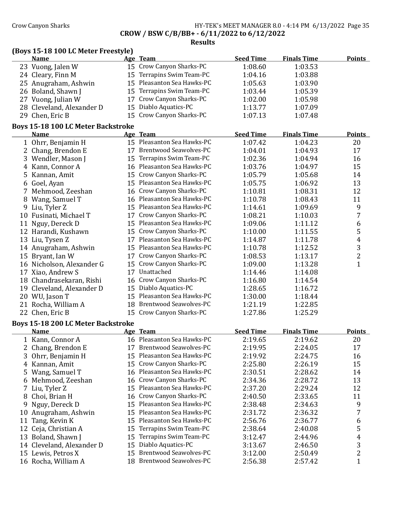## Crow Canyon Sharks **HY-TEK's MEET MANAGER 8.0 - 4:14 PM 6/13/2022** Page 35 CROW / BSW C/B/BB+ - 6/11/2022 to 6/12/2022

|    | <b>Name</b>                                              |    | Age Team                      | <b>Seed Time</b> | <b>Finals Time</b> | <b>Points</b>           |
|----|----------------------------------------------------------|----|-------------------------------|------------------|--------------------|-------------------------|
|    | 23 Vuong, Jalen W                                        |    | 15 Crow Canyon Sharks-PC      | 1:08.60          | 1:03.53            |                         |
|    | 24 Cleary, Finn M                                        |    | 15 Terrapins Swim Team-PC     | 1:04.16          | 1:03.88            |                         |
|    | 25 Anugraham, Ashwin                                     |    | 15 Pleasanton Sea Hawks-PC    | 1:05.63          | 1:03.90            |                         |
| 26 | Boland, Shawn J                                          |    | 15 Terrapins Swim Team-PC     | 1:03.44          | 1:05.39            |                         |
|    | 27 Vuong, Julian W                                       |    | 17 Crow Canyon Sharks-PC      | 1:02.00          | 1:05.98            |                         |
|    | 28 Cleveland, Alexander D                                |    | 15 Diablo Aquatics-PC         | 1:13.77          | 1:07.09            |                         |
|    | 29 Chen, Eric B                                          |    | 15 Crow Canyon Sharks-PC      | 1:07.13          | 1:07.48            |                         |
|    | <b>Boys 15-18 100 LC Meter Backstroke</b>                |    |                               |                  |                    |                         |
|    | <b>Name</b>                                              |    | Age Team                      | <b>Seed Time</b> | <b>Finals Time</b> | <b>Points</b>           |
|    | 1 Ohrr, Benjamin H                                       |    | 15 Pleasanton Sea Hawks-PC    | 1:07.42          | 1:04.23            | 20                      |
|    | Chang, Brendon E                                         |    | 17 Brentwood Seawolves-PC     | 1:04.01          | 1:04.93            | 17                      |
| 3  | Wendler, Mason J                                         |    | 15 Terrapins Swim Team-PC     | 1:02.36          | 1:04.94            | 16                      |
| 4  | Kann, Connor A                                           |    | 16 Pleasanton Sea Hawks-PC    | 1:03.76          | 1:04.97            | 15                      |
| 5  | Kannan, Amit                                             |    | 15 Crow Canyon Sharks-PC      | 1:05.79          | 1:05.68            | 14                      |
| 6  | Goel, Ayan                                               |    | 15 Pleasanton Sea Hawks-PC    | 1:05.75          | 1:06.92            | 13                      |
| 7  | Mehmood, Zeeshan                                         |    | 16 Crow Canyon Sharks-PC      | 1:10.81          | 1:08.31            | 12                      |
| 8  | Wang, Samuel T                                           |    | 16 Pleasanton Sea Hawks-PC    | 1:10.78          | 1:08.43            | 11                      |
| 9  | Liu, Tyler Z                                             |    | 15 Pleasanton Sea Hawks-PC    | 1:14.61          | 1:09.69            | 9                       |
| 10 | Fusinati, Michael T                                      |    | 17 Crow Canyon Sharks-PC      | 1:08.21          | 1:10.03            | 7                       |
| 11 | Nguy, Dereck D                                           |    | 15 Pleasanton Sea Hawks-PC    | 1:09.06          | 1:11.12            | 6                       |
|    | 12 Harandi, Kushawn                                      |    | 15 Crow Canyon Sharks-PC      | 1:10.00          | 1:11.55            | 5                       |
|    | 13 Liu, Tysen Z                                          |    | 17 Pleasanton Sea Hawks-PC    | 1:14.87          | 1:11.78            | $\overline{\mathbf{r}}$ |
|    | 14 Anugraham, Ashwin                                     |    | 15 Pleasanton Sea Hawks-PC    | 1:10.78          | 1:12.52            | 3                       |
|    | 15 Bryant, Ian W                                         |    | 17 Crow Canyon Sharks-PC      | 1:08.53          | 1:13.17            | $\sqrt{2}$              |
|    | 16 Nicholson, Alexander G                                |    | 15 Crow Canyon Sharks-PC      | 1:09.00          | 1:13.28            | $\mathbf{1}$            |
|    | 17 Xiao, Andrew S                                        |    | 17 Unattached                 | 1:14.46          | 1:14.08            |                         |
|    | 18 Chandrasekaran, Rishi                                 |    | 16 Crow Canyon Sharks-PC      | 1:16.80          | 1:14.54            |                         |
|    | 19 Cleveland, Alexander D                                |    | 15 Diablo Aquatics-PC         | 1:28.65          | 1:16.72            |                         |
|    | 20 WU, Jason T                                           |    | 15 Pleasanton Sea Hawks-PC    | 1:30.00          | 1:18.44            |                         |
|    | 21 Rocha, William A                                      |    | 18 Brentwood Seawolves-PC     | 1:21.19          | 1:22.85            |                         |
|    | 22 Chen, Eric B                                          |    | 15 Crow Canyon Sharks-PC      | 1:27.86          | 1:25.29            |                         |
|    |                                                          |    |                               |                  |                    |                         |
|    | <b>Boys 15-18 200 LC Meter Backstroke</b><br><b>Name</b> |    | Age Team                      | <b>Seed Time</b> | <b>Finals Time</b> | <b>Points</b>           |
|    | 1 Kann, Connor A                                         |    | 16 Pleasanton Sea Hawks-PC    | 2:19.65          | 2:19.62            | 20                      |
|    | 2 Chang, Brendon E                                       |    | 17 Brentwood Seawolves-PC     | 2:19.95          | 2:24.05            | 17                      |
|    | 3 Ohrr, Benjamin H                                       |    | 15 Pleasanton Sea Hawks-PC    | 2:19.92          | 2:24.75            | 16                      |
| 4  | Kannan, Amit                                             |    | 15 Crow Canyon Sharks-PC      | 2:25.80          | 2:26.19            | 15                      |
| 5  | Wang, Samuel T                                           | 16 | Pleasanton Sea Hawks-PC       | 2:30.51          | 2:28.62            | 14                      |
| 6  | Mehmood, Zeeshan                                         | 16 | Crow Canyon Sharks-PC         | 2:34.36          | 2:28.72            | 13                      |
| 7  | Liu, Tyler Z                                             | 15 | Pleasanton Sea Hawks-PC       | 2:37.20          | 2:29.24            | 12                      |
| 8  | Choi, Brian H                                            | 16 | Crow Canyon Sharks-PC         | 2:40.50          | 2:33.65            | 11                      |
| 9  | Nguy, Dereck D                                           | 15 | Pleasanton Sea Hawks-PC       | 2:38.48          | 2:34.63            | 9                       |
| 10 | Anugraham, Ashwin                                        | 15 | Pleasanton Sea Hawks-PC       | 2:31.72          | 2:36.32            | 7                       |
| 11 | Tang, Kevin K                                            | 15 | Pleasanton Sea Hawks-PC       | 2:56.76          | 2:36.77            | 6                       |
| 12 | Ceja, Christian A                                        | 15 | Terrapins Swim Team-PC        | 2:38.64          | 2:40.08            | 5                       |
| 13 | Boland, Shawn J                                          | 15 | Terrapins Swim Team-PC        | 3:12.47          | 2:44.96            | $\boldsymbol{4}$        |
|    | 14 Cleveland, Alexander D                                | 15 | Diablo Aquatics-PC            | 3:13.67          | 2:46.50            | 3                       |
|    | 15 Lewis, Petros X                                       | 15 | <b>Brentwood Seawolves-PC</b> | 3:12.00          | 2:50.49            | $\sqrt{2}$              |
|    | 16 Rocha, William A                                      |    | 18 Brentwood Seawolves-PC     | 2:56.38          | 2:57.42            | $\mathbf{1}$            |
|    |                                                          |    |                               |                  |                    |                         |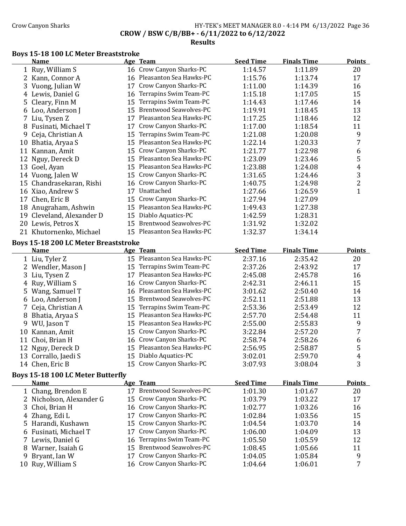# Crow Canyon Sharks **HY-TEK's MEET MANAGER 8.0 - 4:14 PM 6/13/2022** Page 36 CROW / BSW C/B/BB+ - 6/11/2022 to 6/12/2022

#### Results

### Boys 15-18 100 LC Meter Breaststroke

|    | <b>Name</b>                                 | Age Team                                             | <b>Seed Time</b>   | <b>Finals Time</b> | <b>Points</b>       |
|----|---------------------------------------------|------------------------------------------------------|--------------------|--------------------|---------------------|
|    | 1 Ruy, William S                            | 16 Crow Canyon Sharks-PC                             | 1:14.57            | 1:11.89            | 20                  |
|    | 2 Kann, Connor A                            | 16 Pleasanton Sea Hawks-PC                           | 1:15.76            | 1:13.74            | 17                  |
|    | 3 Vuong, Julian W                           | 17 Crow Canyon Sharks-PC                             | 1:11.00            | 1:14.39            | 16                  |
|    | 4 Lewis, Daniel G                           | 16 Terrapins Swim Team-PC                            | 1:15.18            | 1:17.05            | 15                  |
| 5. | Cleary, Finn M                              | 15 Terrapins Swim Team-PC                            | 1:14.43            | 1:17.46            | 14                  |
|    | 6 Loo, Anderson J                           | 15 Brentwood Seawolves-PC                            | 1:19.91            | 1:18.45            | 13                  |
|    | 7 Liu, Tysen Z                              | 17 Pleasanton Sea Hawks-PC                           | 1:17.25            | 1:18.46            | 12                  |
|    | 8 Fusinati, Michael T                       | 17 Crow Canyon Sharks-PC                             | 1:17.00            | 1:18.54            | 11                  |
| 9  | Ceja, Christian A                           | 15 Terrapins Swim Team-PC                            | 1:21.08            | 1:20.08            | 9                   |
|    | 10 Bhatia, Aryaa S                          | 15 Pleasanton Sea Hawks-PC                           | 1:22.14            | 1:20.33            | 7                   |
|    | 11 Kannan, Amit                             | 15 Crow Canyon Sharks-PC                             | 1:21.77            | 1:22.98            | 6                   |
|    | 12 Nguy, Dereck D                           | 15 Pleasanton Sea Hawks-PC                           | 1:23.09            | 1:23.46            | 5                   |
|    | 13 Goel, Ayan                               | 15 Pleasanton Sea Hawks-PC                           | 1:23.88            | 1:24.08            | 4                   |
|    | 14 Vuong, Jalen W                           | 15 Crow Canyon Sharks-PC                             | 1:31.65            | 1:24.46            | 3                   |
|    | 15 Chandrasekaran, Rishi                    | 16 Crow Canyon Sharks-PC                             | 1:40.75            | 1:24.98            | $\overline{c}$      |
|    | 16 Xiao, Andrew S                           | 17 Unattached                                        | 1:27.66            | 1:26.59            | $\mathbf{1}$        |
|    | 17 Chen, Eric B                             | 15 Crow Canyon Sharks-PC                             | 1:27.94            | 1:27.09            |                     |
|    | 18 Anugraham, Ashwin                        | 15 Pleasanton Sea Hawks-PC                           | 1:49.43            | 1:27.38            |                     |
|    | 19 Cleveland, Alexander D                   | 15 Diablo Aquatics-PC                                | 1:42.59            | 1:28.31            |                     |
|    | 20 Lewis, Petros X                          | 15 Brentwood Seawolves-PC                            | 1:31.92            | 1:32.02            |                     |
|    | 21 Khutornenko, Michael                     | 15 Pleasanton Sea Hawks-PC                           | 1:32.37            | 1:34.14            |                     |
|    | <b>Boys 15-18 200 LC Meter Breaststroke</b> |                                                      |                    |                    |                     |
|    | <b>Name</b>                                 | Age Team                                             | <b>Seed Time</b>   | <b>Finals Time</b> | <b>Points</b>       |
|    |                                             |                                                      |                    |                    |                     |
|    |                                             | 15 Pleasanton Sea Hawks-PC                           | 2:37.16            | 2:35.42            | 20                  |
|    | 1 Liu, Tyler Z<br>2 Wendler, Mason J        | 15 Terrapins Swim Team-PC                            | 2:37.26            | 2:43.92            | 17                  |
| 3  |                                             | 17 Pleasanton Sea Hawks-PC                           | 2:45.08            | 2:45.78            | 16                  |
| 4  | Liu, Tysen Z                                | 16 Crow Canyon Sharks-PC                             | 2:42.31            | 2:46.11            | 15                  |
|    | Ruy, William S                              | 16 Pleasanton Sea Hawks-PC                           | 3:01.62            | 2:50.40            | 14                  |
|    | 5 Wang, Samuel T                            | 15 Brentwood Seawolves-PC                            | 2:52.11            | 2:51.88            | 13                  |
|    | 6 Loo, Anderson J<br>7 Ceja, Christian A    | 15 Terrapins Swim Team-PC                            | 2:53.36            | 2:53.49            | 12                  |
|    |                                             | 15 Pleasanton Sea Hawks-PC                           | 2:57.70            | 2:54.48            | 11                  |
|    | 8 Bhatia, Aryaa S                           | 15 Pleasanton Sea Hawks-PC                           | 2:55.00            | 2:55.83            | 9                   |
|    | 9 WU, Jason T                               | 15 Crow Canyon Sharks-PC                             | 3:22.84            | 2:57.20            | 7                   |
|    | 10 Kannan, Amit<br>11 Choi, Brian H         | 16 Crow Canyon Sharks-PC                             | 2:58.74            | 2:58.26            | 6                   |
|    | 12 Nguy, Dereck D                           | 15 Pleasanton Sea Hawks-PC                           | 2:56.95            | 2:58.87            | 5                   |
|    |                                             | 15 Diablo Aquatics-PC                                | 3:02.01            |                    |                     |
|    | 13 Corrallo, Jaedi S<br>14 Chen, Eric B     | 15 Crow Canyon Sharks-PC                             | 3:07.93            | 2:59.70<br>3:08.04 | $\overline{4}$<br>3 |
|    |                                             |                                                      |                    |                    |                     |
|    | <b>Boys 15-18 100 LC Meter Butterfly</b>    |                                                      |                    |                    |                     |
|    | <b>Name</b>                                 | Age Team                                             | <b>Seed Time</b>   | <b>Finals Time</b> | <b>Points</b>       |
|    | 1 Chang, Brendon E                          | 17 Brentwood Seawolves-PC                            | 1:01.30            | 1:01.67            | 20                  |
|    | 2 Nicholson, Alexander G<br>3 Choi, Brian H | 15 Crow Canyon Sharks-PC<br>16 Crow Canyon Sharks-PC | 1:03.79<br>1:02.77 | 1:03.22<br>1:03.26 | 17<br>16            |

5 Harandi, Kushawn 15 Crow Canyon Sharks-PC 1:04.54 1:03.70 14 Fusinati, Michael T 17 Crow Canyon Sharks-PC 1:06.00 1:04.09 13 7 Lewis, Daniel G 16 Terrapins Swim Team-PC 1:05.50 1:05.59 12 8 Warner, Isaiah G 15 Brentwood Seawolves-PC 1:08.45 1:05.66 11 9 Bryant, Ian W 17 Crow Canyon Sharks-PC 1:04.05 1:05.84 9<br>10 Ruy, William S 16 Crow Canyon Sharks-PC 1:04.64 1:06.01 7

16 Crow Canyon Sharks-PC 1:04.64 1:06.01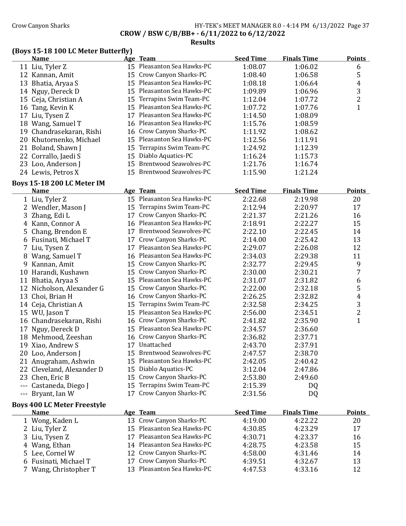### Crow Canyon Sharks **HY-TEK's MEET MANAGER 8.0 - 4:14 PM 6/13/2022** Page 37 CROW / BSW C/B/BB+ - 6/11/2022 to 6/12/2022

Results

### (Boys 15-18 100 LC Meter Butterfly)

|     | <b>Name</b>                        | Age Team                   | <b>Seed Time</b> | <b>Finals Time</b> | <b>Points</b>           |
|-----|------------------------------------|----------------------------|------------------|--------------------|-------------------------|
|     | 11 Liu, Tyler Z                    | 15 Pleasanton Sea Hawks-PC | 1:08.07          | 1:06.02            | 6                       |
|     | 12 Kannan, Amit                    | 15 Crow Canyon Sharks-PC   | 1:08.40          | 1:06.58            | 5                       |
|     | 13 Bhatia, Aryaa S                 | 15 Pleasanton Sea Hawks-PC | 1:08.18          | 1:06.64            | $\overline{4}$          |
|     | 14 Nguy, Dereck D                  | 15 Pleasanton Sea Hawks-PC | 1:09.89          | 1:06.96            | 3                       |
|     | 15 Ceja, Christian A               | 15 Terrapins Swim Team-PC  | 1:12.04          | 1:07.72            | $\overline{\mathbf{c}}$ |
|     | 16 Tang, Kevin K                   | 15 Pleasanton Sea Hawks-PC | 1:07.72          | 1:07.76            | $\overline{1}$          |
| 17  | Liu, Tysen Z                       | 17 Pleasanton Sea Hawks-PC | 1:14.50          | 1:08.09            |                         |
|     | 18 Wang, Samuel T                  | 16 Pleasanton Sea Hawks-PC | 1:15.76          | 1:08.59            |                         |
|     | 19 Chandrasekaran, Rishi           | 16 Crow Canyon Sharks-PC   | 1:11.92          | 1:08.62            |                         |
|     | 20 Khutornenko, Michael            | 15 Pleasanton Sea Hawks-PC | 1:12.56          | 1:11.91            |                         |
|     | 21 Boland, Shawn J                 | 15 Terrapins Swim Team-PC  | 1:24.92          | 1:12.39            |                         |
|     | 22 Corrallo, Jaedi S               | 15 Diablo Aquatics-PC      | 1:16.24          | 1:15.73            |                         |
|     | 23 Loo, Anderson J                 | 15 Brentwood Seawolves-PC  | 1:21.76          | 1:16.74            |                         |
|     | 24 Lewis, Petros X                 | 15 Brentwood Seawolves-PC  | 1:15.90          | 1:21.24            |                         |
|     |                                    |                            |                  |                    |                         |
|     | <b>Boys 15-18 200 LC Meter IM</b>  |                            |                  |                    |                         |
|     | <b>Name</b>                        | Age Team                   | <b>Seed Time</b> | <b>Finals Time</b> | <b>Points</b>           |
|     | 1 Liu, Tyler Z                     | 15 Pleasanton Sea Hawks-PC | 2:22.68          | 2:19.98            | 20                      |
|     | 2 Wendler, Mason J                 | 15 Terrapins Swim Team-PC  | 2:12.94          | 2:20.97            | 17                      |
| 3   | Zhang, Edi L                       | 17 Crow Canyon Sharks-PC   | 2:21.37          | 2:21.26            | 16                      |
|     | 4 Kann, Connor A                   | 16 Pleasanton Sea Hawks-PC | 2:18.91          | 2:22.27            | 15                      |
| 5   | Chang, Brendon E                   | 17 Brentwood Seawolves-PC  | 2:22.10          | 2:22.45            | 14                      |
|     | 6 Fusinati, Michael T              | 17 Crow Canyon Sharks-PC   | 2:14.00          | 2:25.42            | 13                      |
| 7   | Liu, Tysen Z                       | 17 Pleasanton Sea Hawks-PC | 2:29.07          | 2:26.08            | 12                      |
|     | 8 Wang, Samuel T                   | 16 Pleasanton Sea Hawks-PC | 2:34.03          | 2:29.38            | 11                      |
|     | 9 Kannan, Amit                     | 15 Crow Canyon Sharks-PC   | 2:32.77          | 2:29.45            | 9                       |
|     | 10 Harandi, Kushawn                | 15 Crow Canyon Sharks-PC   | 2:30.00          | 2:30.21            | 7                       |
|     | 11 Bhatia, Aryaa S                 | 15 Pleasanton Sea Hawks-PC | 2:31.07          | 2:31.82            | 6                       |
|     | 12 Nicholson, Alexander G          | 15 Crow Canyon Sharks-PC   | 2:22.00          | 2:32.18            | 5                       |
|     | 13 Choi, Brian H                   | 16 Crow Canyon Sharks-PC   | 2:26.25          | 2:32.82            | 4                       |
|     | 14 Ceja, Christian A               | 15 Terrapins Swim Team-PC  | 2:32.58          | 2:34.25            | 3                       |
|     | 15 WU, Jason T                     | 15 Pleasanton Sea Hawks-PC | 2:56.00          | 2:34.51            | $\overline{\mathbf{c}}$ |
|     | 16 Chandrasekaran, Rishi           | 16 Crow Canyon Sharks-PC   | 2:41.82          | 2:35.90            | $\mathbf{1}$            |
|     | 17 Nguy, Dereck D                  | 15 Pleasanton Sea Hawks-PC | 2:34.57          | 2:36.60            |                         |
|     | 18 Mehmood, Zeeshan                | 16 Crow Canyon Sharks-PC   | 2:36.82          | 2:37.71            |                         |
|     | 19 Xiao, Andrew S                  | 17 Unattached              | 2:43.70          | 2:37.91            |                         |
|     | 20 Loo, Anderson J                 | 15 Brentwood Seawolves-PC  | 2:47.57          | 2:38.70            |                         |
|     |                                    | 15 Pleasanton Sea Hawks-PC | 2:42.05          | 2:40.42            |                         |
|     | 21 Anugraham, Ashwin               | 15 Diablo Aquatics-PC      | 3:12.04          |                    |                         |
|     | 22 Cleveland, Alexander D          | 15 Crow Canyon Sharks-PC   |                  | 2:47.86            |                         |
|     | 23 Chen, Eric B                    |                            | 2:53.80          | 2:49.60            |                         |
|     | --- Castaneda, Diego J             | 15 Terrapins Swim Team-PC  | 2:15.39          | DQ                 |                         |
| --- | Bryant, Ian W                      | 17 Crow Canyon Sharks-PC   | 2:31.56          | DQ                 |                         |
|     | <b>Boys 400 LC Meter Freestyle</b> |                            |                  |                    |                         |
|     | <b>Name</b>                        | Age Team                   | <b>Seed Time</b> | <b>Finals Time</b> | <b>Points</b>           |
|     | 1 Wong, Kaden L                    | 13 Crow Canyon Sharks-PC   | 4:19.00          | 4:22.22            | 20                      |
|     | 2 Liu, Tyler Z                     | 15 Pleasanton Sea Hawks-PC | 4:30.85          | 4:23.29            | 17                      |
|     | 3 Liu, Tysen Z                     | 17 Pleasanton Sea Hawks-PC | 4:30.71          | 4:23.37            | 16                      |
|     | 4 Wang, Ethan                      | 14 Pleasanton Sea Hawks-PC | 4:28.75          | 4:23.58            | 15                      |
|     | 5 Lee, Cornel W                    | 12 Crow Canyon Sharks-PC   | 4:58.00          | 4:31.46            | 14                      |
|     | 6 Fusinati, Michael T              | 17 Crow Canyon Sharks-PC   | 4:39.51          | 4:32.67            | 13                      |
|     | 7 Wang, Christopher T              | 13 Pleasanton Sea Hawks-PC | 4:47.53          | 4:33.16            | 12                      |